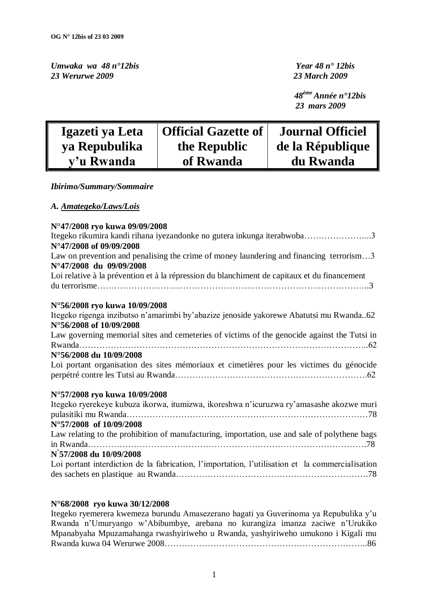*Umwaka wa 48 n°12bis**Year 48 n° 12bis 23 Werurwe 2009 23 March 2009*

 *48ème Année n°12bis 23 mars 2009*

| Igazeti ya Leta | <b>Official Gazette of</b> | <b>Journal Officiel</b> |
|-----------------|----------------------------|-------------------------|
| ya Repubulika   | the Republic               | de la République        |
| y'u Rwanda      | of Rwanda                  | du Rwanda               |

#### *Ibirimo/Summary/Sommaire*

#### *A. Amategeko/Laws/Lois*

## **N°47/2008 ryo kuwa 09/09/2008** Itegeko rikumira kandi rihana iyezandonke no gutera inkunga iterabwoba…………………...3 **N°47/2008 of 09/09/2008** Law on prevention and penalising the crime of money laundering and financing terrorism...3 **N°47/2008 du 09/09/2008** Loi relative à la prévention et à la répression du blanchiment de capitaux et du financement du terrorisme…………………………………………………………………………………..3

## **N°56/2008 ryo kuwa 10/09/2008**

Itegeko rigenga inzibutso n"amarimbi by"abazize jenoside yakorewe Abatutsi mu Rwanda..62 **N°56/2008 of 10/09/2008** Law governing memorial sites and cemeteries of victims of the genocide against the Tutsi in Rwanda………………………………………………………………………………………..62 **N°56/2008 du 10/09/2008** Loi portant organisation des sites mémoriaux et cimetières pour les victimes du génocide perpétré contre les Tutsi au Rwanda………………………………………………………….62 **N°57/2008 ryo kuwa 10/09/2008** Itegeko ryerekeye kubuza ikorwa, itumizwa, ikoreshwa n"icuruzwa ry"amasashe akozwe muri

| Tegeko fyerekeye kubuza ikorwa, itumizwa, ikoreshwa n icuruzwa ry amasashe akozwe muri           |
|--------------------------------------------------------------------------------------------------|
|                                                                                                  |
| N°57/2008 of 10/09/2008                                                                          |
| Law relating to the prohibition of manufacturing, importation, use and sale of polythene bags    |
|                                                                                                  |
| N°57/2008 du 10/09/2008                                                                          |
| Loi portant interdiction de la fabrication, l'importation, l'utilisation et la commercialisation |
|                                                                                                  |

#### **N°68/2008 ryo kuwa 30/12/2008**

Itegeko ryemerera kwemeza burundu Amasezerano hagati ya Guverinoma ya Repubulika y"u Rwanda n"Umuryango w"Abibumbye, arebana no kurangiza imanza zaciwe n"Urukiko Mpanabyaha Mpuzamahanga rwashyiriweho u Rwanda, yashyiriweho umukono i Kigali mu Rwanda kuwa 04 Werurwe 2008……………………………………………………………..86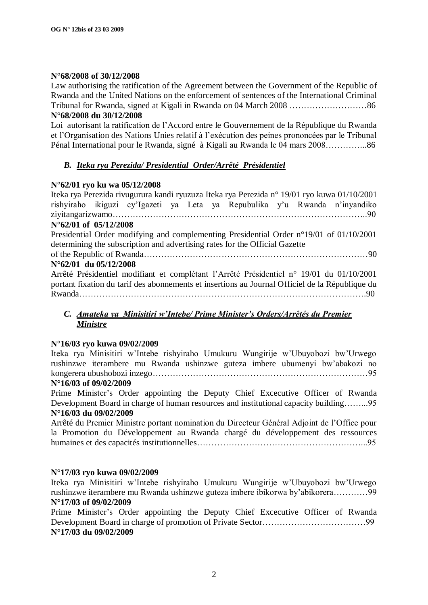#### **N°68/2008 of 30/12/2008**

Law authorising the ratification of the Agreement between the Government of the Republic of Rwanda and the United Nations on the enforcement of sentences of the International Criminal Tribunal for Rwanda, signed at Kigali in Rwanda on 04 March 2008 ………………………86 **N°68/2008 du 30/12/2008** 

Loi autorisant la ratification de l"Accord entre le Gouvernement de la République du Rwanda et l"Organisation des Nations Unies relatif à l"exécution des peines prononcées par le Tribunal Pénal International pour le Rwanda, signé à Kigali au Rwanda le 04 mars 2008…………...86

### *B. Iteka rya Perezida/ Presidential Order/Arrêté Présidentiel*

#### **N°62/01 ryo ku wa 05/12/2008**

Iteka rya Perezida rivugurura kandi ryuzuza Iteka rya Perezida n° 19/01 ryo kuwa 01/10/2001 rishyiraho ikiguzi cy"Igazeti ya Leta ya Repubulika y"u Rwanda n"inyandiko ziyitangarizwamo……………………………………………………………………………..90 **N°62/01 of 05/12/2008** Presidential Order modifying and complementing Presidential Order n°19/01 of 01/10/2001 determining the subscription and advertising rates for the Official Gazette of the Republic of Rwanda……………………………………………………………………90 **N°62/01 du 05/12/2008**

Arrêté Présidentiel modifiant et complétant l"Arrêté Présidentiel n° 19/01 du 01/10/2001 portant fixation du tarif des abonnements et insertions au Journal Officiel de la République du Rwanda……………………………………………………………………………………….90

### *C. Amateka ya Minisitiri w'Intebe/ Prime Minister's Orders/Arrêtés du Premier Ministre*

### **N°16/03 ryo kuwa 09/02/2009**

Iteka rya Minisitiri w"Intebe rishyiraho Umukuru Wungirije w"Ubuyobozi bw"Urwego rushinzwe iterambere mu Rwanda ushinzwe guteza imbere ubumenyi bw"abakozi no kongerera ubushobozi inzego…………………………………………………………………95

#### **N°16/03 of 09/02/2009**

Prime Minister's Order appointing the Deputy Chief Excecutive Officer of Rwanda Development Board in charge of human resources and institutional capacity building……...95 **N°16/03 du 09/02/2009**

Arrêté du Premier Ministre portant nomination du Directeur Général Adjoint de l"Office pour la Promotion du Développement au Rwanda chargé du développement des ressources humaines et des capacités institutionnelles…………………………………………………...95

#### **N°17/03 ryo kuwa 09/02/2009**

Iteka rya Minisitiri w"Intebe rishyiraho Umukuru Wungirije w"Ubuyobozi bw"Urwego rushinzwe iterambere mu Rwanda ushinzwe guteza imbere ibikorwa by"abikorera…………99 **N°17/03 of 09/02/2009**

Prime Minister"s Order appointing the Deputy Chief Excecutive Officer of Rwanda Development Board in charge of promotion of Private Sector………………………………99 **N°17/03 du 09/02/2009**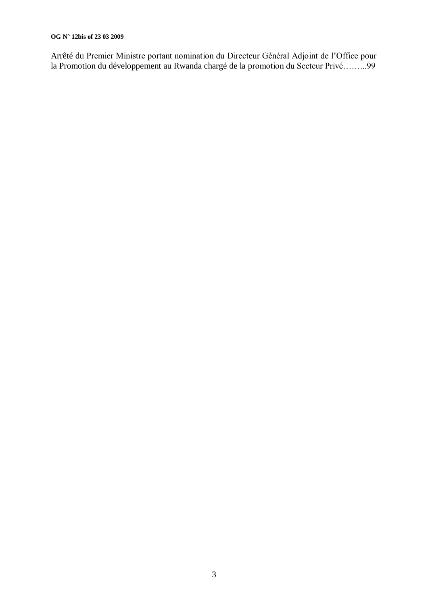#### **OG N° 12bis of 23 03 2009**

Arrêté du Premier Ministre portant nomination du Directeur Général Adjoint de l"Office pour la Promotion du développement au Rwanda chargé de la promotion du Secteur Privé……...99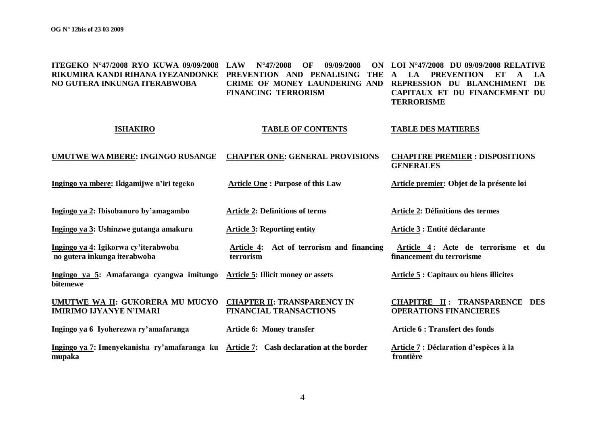**ITEGEKO N°47/2008 RYO KUWA 09/09/2008 LAW N°47/2008 OF 09/09/2008 ON RIKUMIRA KANDI RIHANA IYEZANDONKE PREVENTION AND PENALISING THE A LA PREVENTION ET A LA NO GUTERA INKUNGA ITERABWOBA CRIME OF MONEY LAUNDERING AND REPRESSION DU BLANCHIMENT DE FINANCING TERRORISM LOI N°47/2008 DU 09/09/2008 RELATIVE CAPITAUX ET DU FINANCEMENT DU TERRORISME**

#### **ISHAKIRO TABLE OF CONTENTS TABLE DES MATIERES**

#### **UMUTWE WA MBERE: INGINGO RUSANGE CHAPTER ONE: GENERAL PROVISIONS CHAPITRE PREMIER : DISPOSITIONS GENERALES**

**Ingingo ya mbere: Ikigamijwe n'iri tegeko**

**Ingingo ya 2: Ibisobanuro by'amagambo**

**Ingingo ya 3: Ushinzwe gutanga amakuru**

**Ingingo ya 4: Igikorwa cy'iterabwoba no gutera inkunga iterabwoba**

**bitemewe**

**Article 2: Definitions of terms** 

**Article One : Purpose of this Law**

**Article 3: Reporting entity** 

**Article 4: Act of terrorism and financing terrorism**

**Ingingo ya 5: Amafaranga cyangwa imitungo Article 5: Illicit money or assets**

**IMIRIMO IJYANYE N'IMARI**

**UMUTWE WA II: GUKORERA MU MUCYO CHAPTER II: TRANSPARENCY IN FINANCIAL TRANSACTIONS**

**Article 6: Money transfer**

**Ingingo ya 6 Iyoherezwa ry'amafaranga**

**Ingingo ya 7: Imenyekanisha ry'amafaranga ku Article 7: Cash declaration at the border mupaka**

**Article 2: Définitions des termes**

**Article premier: Objet de la présente loi** 

**Article 3 : Entité déclarante**

 **Article 4 : Acte de terrorisme et du financement du terrorisme**

**Article 5 : Capitaux ou biens illicites**

#### **CHAPITRE II : TRANSPARENCE DES OPERATIONS FINANCIERES**

**Article 6 : Transfert des fonds** 

**Article 7 : Déclaration d'espèces à la frontière**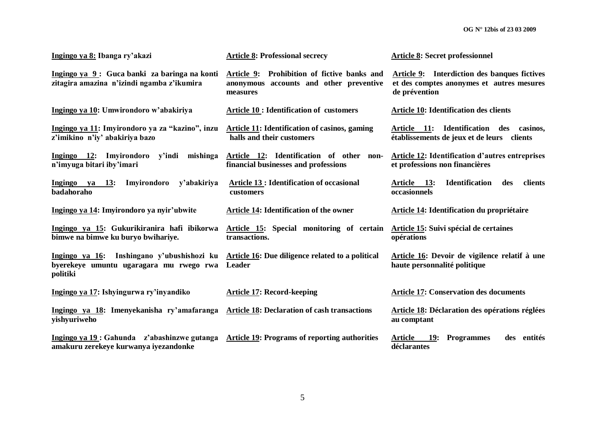| Ingingo ya 8: Ibanga ry'akazi                                                                     | <b>Article 8: Professional secrecy</b>                                                                | <b>Article 8: Secret professionnel</b>                                                                            |  |  |  |
|---------------------------------------------------------------------------------------------------|-------------------------------------------------------------------------------------------------------|-------------------------------------------------------------------------------------------------------------------|--|--|--|
| Ingingo ya 9: Guca banki za baringa na konti<br>zitagira amazina n'izindi ngamba z'ikumira        | Prohibition of fictive banks and<br>Article 9:<br>anonymous accounts and other preventive<br>measures | <b>Article 9:</b> Interdiction des banques fictives<br>et des comptes anonymes et autres mesures<br>de prévention |  |  |  |
| Ingingo ya 10: Umwirondoro w'abakiriya                                                            | <b>Article 10 : Identification of customers</b>                                                       | <b>Article 10: Identification des clients</b>                                                                     |  |  |  |
| Ingingo ya 11: Imyirondoro ya za "kazino", inzu<br>z'imikino n'iy' abakiriya bazo                 | <b>Article 11: Identification of casinos, gaming</b><br>halls and their customers                     | Article 11: Identification des casinos,<br>établissements de jeux et de leurs clients                             |  |  |  |
| Ingingo 12: Imyirondoro<br>mishinga<br>y'indi<br>n'imyuga bitari iby'imari                        | Article 12: Identification of other non-<br>financial businesses and professions                      | <b>Article 12: Identification d'autres entreprises</b><br>et professions non financières                          |  |  |  |
| <b>13:</b><br>Imyirondoro<br>y'abakiriya<br><b>Ingingo</b><br>ya<br>badahoraho                    | <b>Article 13 : Identification of occasional</b><br>customers                                         | <b>Identification</b><br>clients<br>Article 13:<br>des<br>occasionnels                                            |  |  |  |
| Ingingo ya 14: Imyirondoro ya nyir'ubwite                                                         | <b>Article 14: Identification of the owner</b>                                                        | Article 14: Identification du propriétaire                                                                        |  |  |  |
| Ingingo ya 15: Gukurikiranira hafi ibikorwa<br>bimwe na bimwe ku buryo bwihariye.                 | Article 15: Special monitoring of certain<br>transactions.                                            | Article 15: Suivi spécial de certaines<br>opérations                                                              |  |  |  |
| Ingingo ya 16: Inshingano y'ubushishozi ku<br>byerekeye umuntu ugaragara mu rwego rwa<br>politiki | Article 16: Due diligence related to a political<br>Leader                                            | Article 16: Devoir de vigilence relatif à une<br>haute personnalité politique                                     |  |  |  |
| Ingingo ya 17: Ishyingurwa ry'inyandiko                                                           | <b>Article 17: Record-keeping</b>                                                                     | <b>Article 17: Conservation des documents</b>                                                                     |  |  |  |
| Ingingo ya 18: Imenyekanisha ry'amafaranga<br>yishyuriweho                                        | <b>Article 18: Declaration of cash transactions</b>                                                   | Article 18: Déclaration des opérations réglées<br>au comptant                                                     |  |  |  |
| Ingingo ya 19 : Gahunda z'abashinzwe gutanga<br>amakuru zerekeye kurwanya iyezandonke             | <b>Article 19: Programs of reporting authorities</b>                                                  | Article<br><b>19:</b><br><b>Programmes</b><br>des entités<br>déclarantes                                          |  |  |  |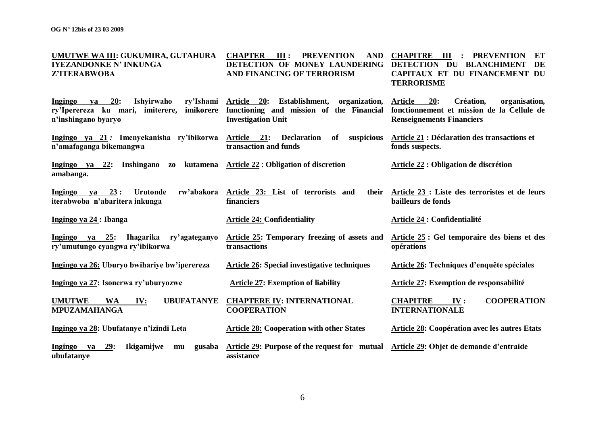| UMUTWE WA III: GUKUMIRA, GUTAHURA<br><b>IYEZANDONKE N' INKUNGA</b><br>Z'ITERABWOBA                                             | III:<br><b>PREVENTION</b><br><b>AND</b><br><b>CHAPTER</b><br>DETECTION OF MONEY LAUNDERING<br>AND FINANCING OF TERRORISM | <b>CHAPITRE</b><br>$\mathbf{III}$<br>: PREVENTION<br>ET<br>DETECTION DU BLANCHIMENT<br>DE<br>CAPITAUX ET DU FINANCEMENT DU<br><b>TERRORISME</b> |  |  |  |
|--------------------------------------------------------------------------------------------------------------------------------|--------------------------------------------------------------------------------------------------------------------------|-------------------------------------------------------------------------------------------------------------------------------------------------|--|--|--|
| 20:<br>ry'Ishami<br><b>Ingingo</b><br>Ishyirwaho<br>va<br>ry'Iperereza ku mari, imiterere,<br>imikorere<br>n'inshingano byaryo | Article 20: Establishment,<br>organization,<br>functioning and mission of the Financial<br><b>Investigation Unit</b>     | 20:<br><b>Article</b><br>Création,<br>organisation,<br>fonctionnement et mission de la Cellule de<br><b>Renseignements Financiers</b>           |  |  |  |
| Ingingo ya 21: Imenyekanisha ry'ibikorwa Article 21:<br>n'amafaganga bikemangwa                                                | suspicious<br><b>Declaration</b><br>of<br>transaction and funds                                                          | Article 21 : Déclaration des transactions et<br>fonds suspects.                                                                                 |  |  |  |
| Ingingo ya 22: Inshingano<br>kutamena<br>Z <sub>0</sub><br>amabanga.                                                           | <b>Article 22 : Obligation of discretion</b>                                                                             | Article 22 : Obligation de discrétion                                                                                                           |  |  |  |
| ya 23:<br>rw'abakora<br><b>Ingingo</b><br>Urutonde<br>iterabwoba n'abaritera inkunga                                           | Article 23: List of terrorists and<br>financiers                                                                         | their Article 23 : Liste des terroristes et de leurs<br>bailleurs de fonds                                                                      |  |  |  |
| Ingingo ya 24 : Ibanga                                                                                                         | <b>Article 24: Confidentiality</b>                                                                                       | Article 24 : Confidentialité                                                                                                                    |  |  |  |
| Ingingo ya 25: Ihagarika ry'agateganyo<br>ry'umutungo cyangwa ry'ibikorwa                                                      | Article 25: Temporary freezing of assets and<br>transactions                                                             | Article 25 : Gel temporaire des biens et des<br>opérations                                                                                      |  |  |  |
| Ingingo ya 26: Uburyo bwihariye bw'iperereza                                                                                   | <b>Article 26: Special investigative techniques</b>                                                                      | Article 26: Techniques d'enquête spéciales                                                                                                      |  |  |  |
| Ingingo ya 27: Isonerwa ry'uburyozwe                                                                                           | <b>Article 27: Exemption of liability</b>                                                                                | Article 27: Exemption de responsabilité                                                                                                         |  |  |  |
| <b>UMUTWE</b><br><b>WA</b><br><b>UBUFATANYE</b><br>IV:<br><b>MPUZAMAHANGA</b>                                                  | <b>CHAPTERE IV: INTERNATIONAL</b><br><b>COOPERATION</b>                                                                  | <b>COOPERATION</b><br><b>CHAPITRE</b><br>IV:<br><b>INTERNATIONALE</b>                                                                           |  |  |  |
| Ingingo ya 28: Ubufatanye n'izindi Leta                                                                                        | <b>Article 28: Cooperation with other States</b>                                                                         | <b>Article 28: Coopération avec les autres Etats</b>                                                                                            |  |  |  |
| Ingingo ya<br>29:<br>Ikigamijwe<br>gusaba<br>mu<br>ubufatanye                                                                  | Article 29: Purpose of the request for mutual Article 29: Objet de demande d'entraide<br>assistance                      |                                                                                                                                                 |  |  |  |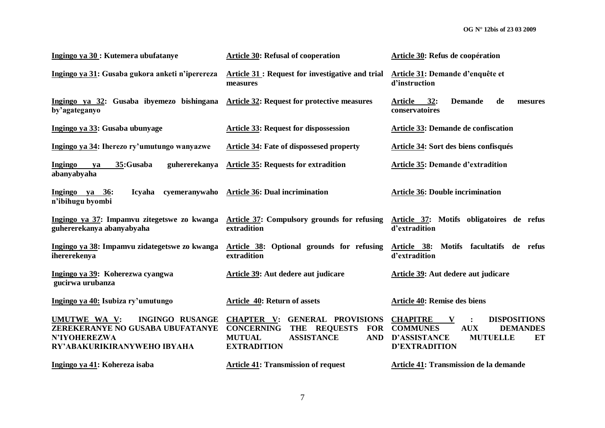| Ingingo ya 30 : Kutemera ubufatanye                                                                                              | <b>Article 30: Refusal of cooperation</b>                                                                                                                                   | Article 30: Refus de coopération                                                                                                                                        |  |  |  |
|----------------------------------------------------------------------------------------------------------------------------------|-----------------------------------------------------------------------------------------------------------------------------------------------------------------------------|-------------------------------------------------------------------------------------------------------------------------------------------------------------------------|--|--|--|
| Ingingo ya 31: Gusaba gukora anketi n'iperereza                                                                                  | Article 31 : Request for investigative and trial<br>measures                                                                                                                | Article 31: Demande d'enquête et<br>d'instruction                                                                                                                       |  |  |  |
| Ingingo ya 32: Gusaba ibyemezo bishingana<br>by'agateganyo                                                                       | <b>Article 32: Request for protective measures</b>                                                                                                                          | de<br><b>Article</b><br>32:<br><b>Demande</b><br>mesures<br>conservatoires                                                                                              |  |  |  |
| Ingingo ya 33: Gusaba ubunyage                                                                                                   | <b>Article 33: Request for dispossession</b>                                                                                                                                | Article 33: Demande de confiscation                                                                                                                                     |  |  |  |
| Ingingo ya 34: Iherezo ry'umutungo wanyazwe                                                                                      | <b>Article 34: Fate of dispossesed property</b>                                                                                                                             | Article 34: Sort des biens confisqués                                                                                                                                   |  |  |  |
| 35:Gusaba<br>Ingingo<br>guhererekanya<br>ya<br>abanyabyaha                                                                       | <b>Article 35: Requests for extradition</b>                                                                                                                                 | <b>Article 35: Demande d'extradition</b>                                                                                                                                |  |  |  |
| cyemeranywaho<br>Ingingo ya 36:<br><b>Icyaha</b><br>n'ibihugu byombi                                                             | <b>Article 36: Dual incrimination</b>                                                                                                                                       | <b>Article 36: Double incrimination</b>                                                                                                                                 |  |  |  |
| Ingingo ya 37: Impamvu zitegetswe zo kwanga<br>guhererekanya abanyabyaha                                                         | Article 37: Compulsory grounds for refusing<br>extradition                                                                                                                  | Article 37: Motifs obligatoires de refus<br>d'extradition                                                                                                               |  |  |  |
| Ingingo ya 38: Impamvu zidategetswe zo kwanga<br>ihererekenya                                                                    | Article 38: Optional grounds for refusing<br>extradition                                                                                                                    | Motifs facultatifs de refus<br>Article 38:<br>d'extradition                                                                                                             |  |  |  |
| Ingingo ya 39: Koherezwa cyangwa<br>gucirwa urubanza                                                                             | Article 39: Aut dedere aut judicare                                                                                                                                         | Article 39: Aut dedere aut judicare                                                                                                                                     |  |  |  |
| Ingingo ya 40: Isubiza ry'umutungo                                                                                               | Article 40: Return of assets                                                                                                                                                | <b>Article 40: Remise des biens</b>                                                                                                                                     |  |  |  |
| UMUTWE WA V:<br><b>INGINGO RUSANGE</b><br>ZEREKERANYE NO GUSABA UBUFATANYE<br><b>N'IYOHEREZWA</b><br>RY'ABAKURIKIRANYWEHO IBYAHA | <b>CHAPTER V:</b><br><b>GENERAL PROVISIONS</b><br>THE REQUESTS<br><b>CONCERNING</b><br><b>FOR</b><br><b>MUTUAL</b><br><b>ASSISTANCE</b><br><b>AND</b><br><b>EXTRADITION</b> | <b>CHAPITRE</b><br><b>DISPOSITIONS</b><br>V<br><b>COMMUNES</b><br><b>AUX</b><br><b>DEMANDES</b><br><b>D'ASSISTANCE</b><br><b>MUTUELLE</b><br>ET<br><b>D'EXTRADITION</b> |  |  |  |
| Ingingo ya 41: Kohereza isaba                                                                                                    | <b>Article 41: Transmission of request</b>                                                                                                                                  | Article 41: Transmission de la demande                                                                                                                                  |  |  |  |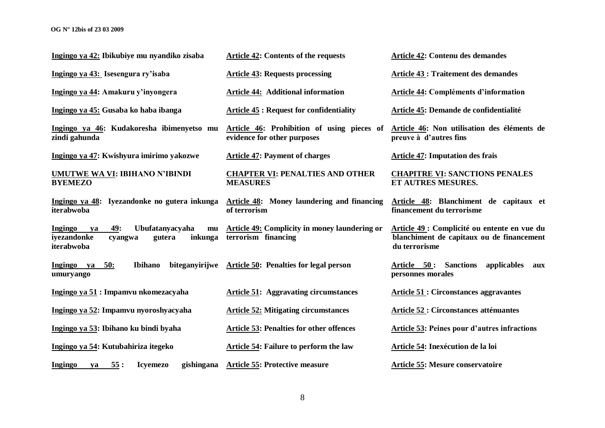| Ingingo ya 42: Ibikubiye mu nyandiko zisaba                                                                | <b>Article 42: Contents of the requests</b>                                                                           | <b>Article 42: Contenu des demandes</b>                                                                    |  |  |
|------------------------------------------------------------------------------------------------------------|-----------------------------------------------------------------------------------------------------------------------|------------------------------------------------------------------------------------------------------------|--|--|
| Ingingo ya 43: Isesengura ry'isaba                                                                         | <b>Article 43: Requests processing</b>                                                                                | <b>Article 43 : Traitement des demandes</b>                                                                |  |  |
| Ingingo ya 44: Amakuru y'inyongera                                                                         | <b>Article 44: Additional information</b>                                                                             | <b>Article 44: Compléments d'information</b>                                                               |  |  |
| Ingingo ya 45: Gusaba ko haba ibanga                                                                       | <b>Article 45: Request for confidentiality</b>                                                                        | Article 45: Demande de confidentialité                                                                     |  |  |
| Ingingo ya 46: Kudakoresha ibimenyetso mu<br>zindi gahunda                                                 | Article 46: Prohibition of using pieces of Article 46: Non utilisation des éléments de<br>evidence for other purposes | preuve à d'autres fins                                                                                     |  |  |
| Ingingo ya 47: Kwishyura imirimo yakozwe                                                                   | <b>Article 47: Payment of charges</b>                                                                                 | <b>Article 47: Imputation des frais</b>                                                                    |  |  |
| <b>UMUTWE WA VI: IBIHANO N'IBINDI</b><br><b>BYEMEZO</b>                                                    | <b>CHAPTER VI: PENALTIES AND OTHER</b><br><b>MEASURES</b>                                                             | <b>CHAPITRE VI: SANCTIONS PENALES</b><br>ET AUTRES MESURES.                                                |  |  |
| Ingingo ya 48: Iyezandonke no gutera inkunga<br>iterabwoba                                                 | <b>Article 48:</b> Money laundering and financing<br>of terrorism                                                     | Article 48: Blanchiment de capitaux et<br>financement du terrorisme                                        |  |  |
| 49:<br>Ubufatanyacyaha<br>Ingingo<br>mu<br>ya<br>iyezandonke<br>inkunga<br>gutera<br>cyangwa<br>iterabwoba | Article 49: Complicity in money laundering or<br>terrorism financing                                                  | Article 49 : Complicité ou entente en vue du<br>blanchiment de capitaux ou de financement<br>du terrorisme |  |  |
| Ibihano<br>biteganyirijwe<br>Ingingo ya<br>50:<br>umuryango                                                | Article 50: Penalties for legal person                                                                                | Article 50:<br><b>Sanctions</b><br>applicables<br>aux<br>personnes morales                                 |  |  |
| Ingingo ya 51 : Impamvu nkomezacyaha                                                                       | <b>Article 51: Aggravating circumstances</b>                                                                          | <b>Article 51 : Circonstances aggravantes</b>                                                              |  |  |
| Ingingo ya 52: Impamvu nyoroshyacyaha                                                                      | <b>Article 52: Mitigating circumstances</b>                                                                           | <b>Article 52 : Circonstances atténuantes</b>                                                              |  |  |
| Ingingo ya 53: Ibihano ku bindi byaha                                                                      | <b>Article 53: Penalties for other offences</b>                                                                       | <b>Article 53: Peines pour d'autres infractions</b>                                                        |  |  |
| Ingingo ya 54: Kutubahiriza itegeko                                                                        | Article 54: Failure to perform the law                                                                                | Article 54: Inexécution de la loi                                                                          |  |  |
| 55:<br><b>Icyemezo</b><br>gishingana<br>Ingingo<br>ya                                                      | <b>Article 55: Protective measure</b>                                                                                 | Article 55: Mesure conservatoire                                                                           |  |  |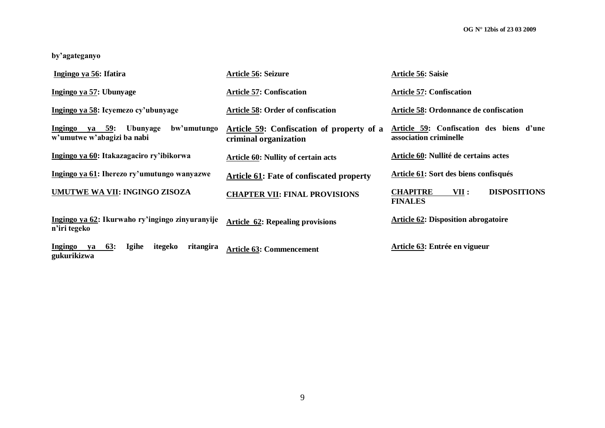**by'agateganyo**

| Ingingo ya 56: Ifatira                                                             | Article 56: Seizure                                                | Article 56: Saisie                                                 |
|------------------------------------------------------------------------------------|--------------------------------------------------------------------|--------------------------------------------------------------------|
| Ingingo ya 57: Ubunyage                                                            | <b>Article 57: Confiscation</b>                                    | <b>Article 57: Confiscation</b>                                    |
| Ingingo ya 58: Icyemezo cy'ubunyage                                                | <b>Article 58: Order of confiscation</b>                           | Article 58: Ordonnance de confiscation                             |
| Ingingo<br>ya 59: Ubunyage<br>bw'umutungo<br>w'umutwe w'abagizi ba nabi            | Article 59: Confiscation of property of a<br>criminal organization | Article 59: Confiscation des biens d'une<br>association criminelle |
| Ingingo ya 60: Itakazagaciro ry'ibikorwa                                           | <b>Article 60: Nullity of certain acts</b>                         | Article 60: Nullité de certains actes                              |
| Ingingo ya 61: Iherezo ry'umutungo wanyazwe                                        | <b>Article 61:</b> Fate of confiscated property                    | Article 61: Sort des biens confisqués                              |
| UMUTWE WA VII: INGINGO ZISOZA                                                      | <b>CHAPTER VII: FINAL PROVISIONS</b>                               | <b>CHAPITRE</b><br><b>DISPOSITIONS</b><br>VII :<br><b>FINALES</b>  |
| Ingingo ya 62: Ikurwaho ry'ingingo zinyuranyije<br>n'iri tegeko                    | <b>Article 62: Repealing provisions</b>                            | <b>Article 62: Disposition abrogatoire</b>                         |
| <b>63:</b><br><b>Igihe</b><br>ritangira<br>Ingingo<br>itegeko<br>ya<br>gukurikizwa | <b>Article 63: Commencement</b>                                    | Article 63: Entrée en vigueur                                      |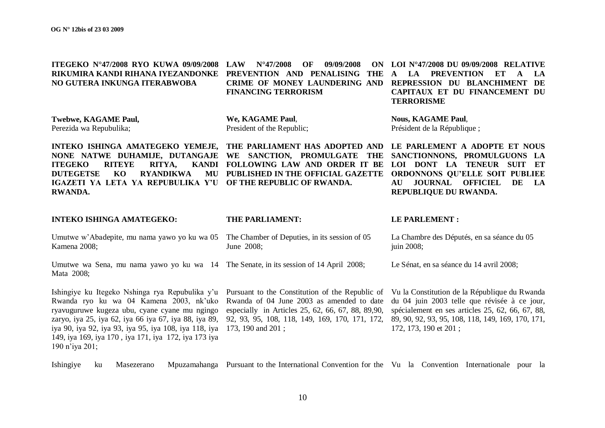| <b>ITEGEKO N°47/2008 RYO KUWA 09/09/2008</b><br>RIKUMIRA KANDI RIHANA IYEZANDONKE<br>NO GUTERA INKUNGA ITERABWOBA                                                                                                                                                                                                                       | <b>LAW</b><br>$N^{\circ}47/2008$<br>OF<br>09/09/2008<br>ON<br>PREVENTION AND PENALISING<br><b>THE</b><br>CRIME OF MONEY LAUNDERING AND<br><b>FINANCING TERRORISM</b>                                                     | LOI N°47/2008 DU 09/09/2008 RELATIVE<br>LA<br><b>PREVENTION</b><br>ET<br>LA<br>A<br>A<br>REPRESSION DU BLANCHIMENT<br>DE<br>CAPITAUX ET DU FINANCEMENT DU<br><b>TERRORISME</b>                                                  |  |
|-----------------------------------------------------------------------------------------------------------------------------------------------------------------------------------------------------------------------------------------------------------------------------------------------------------------------------------------|--------------------------------------------------------------------------------------------------------------------------------------------------------------------------------------------------------------------------|---------------------------------------------------------------------------------------------------------------------------------------------------------------------------------------------------------------------------------|--|
| <b>Twebwe, KAGAME Paul,</b><br>Perezida wa Repubulika;                                                                                                                                                                                                                                                                                  | We, KAGAME Paul,<br>President of the Republic;                                                                                                                                                                           | <b>Nous, KAGAME Paul,</b><br>Président de la République;                                                                                                                                                                        |  |
| INTEKO ISHINGA AMATEGEKO YEMEJE,<br>NONE NATWE DUHAMIJE, DUTANGAJE<br><b>ITEGEKO</b><br><b>RITEYE</b><br>RITYA,<br><b>KANDI</b><br><b>DUTEGETSE</b><br>KO<br><b>RYANDIKWA</b><br>MU<br>IGAZETI YA LETA YA REPUBULIKA Y'U<br><b>RWANDA.</b>                                                                                              | THE PARLIAMENT HAS ADOPTED AND<br>WE SANCTION, PROMULGATE<br>THE<br>FOLLOWING LAW AND ORDER IT BE<br>PUBLISHED IN THE OFFICIAL GAZETTE<br>OF THE REPUBLIC OF RWANDA.                                                     | LE PARLEMENT A ADOPTE ET NOUS<br>SANCTIONNONS, PROMULGUONS LA<br>LOI DONT LA TENEUR SUIT<br>ET<br>ORDONNONS QU'ELLE SOIT PUBLIEE<br><b>JOURNAL</b><br><b>OFFICIEL</b><br>DE<br>LA<br>AU<br>REPUBLIQUE DU RWANDA.                |  |
| <b>INTEKO ISHINGA AMATEGEKO:</b>                                                                                                                                                                                                                                                                                                        | THE PARLIAMENT:                                                                                                                                                                                                          | <b>LE PARLEMENT:</b>                                                                                                                                                                                                            |  |
|                                                                                                                                                                                                                                                                                                                                         |                                                                                                                                                                                                                          |                                                                                                                                                                                                                                 |  |
| Umutwe w'Abadepite, mu nama yawo yo ku wa 05<br>Kamena 2008;                                                                                                                                                                                                                                                                            | The Chamber of Deputies, in its session of 05<br>June 2008;                                                                                                                                                              | La Chambre des Députés, en sa séance du 05<br>juin 2008;                                                                                                                                                                        |  |
| Umutwe wa Sena, mu nama yawo yo ku wa 14 The Senate, in its session of 14 April 2008;<br>Mata 2008;                                                                                                                                                                                                                                     |                                                                                                                                                                                                                          | Le Sénat, en sa séance du 14 avril 2008;                                                                                                                                                                                        |  |
| Ishingiye ku Itegeko Nshinga rya Repubulika y'u<br>Rwanda ryo ku wa 04 Kamena 2003, nk'uko<br>ryavuguruwe kugeza ubu, cyane cyane mu ngingo<br>zaryo, iya 25, iya 62, iya 66 iya 67, iya 88, iya 89,<br>iya 90, iya 92, iya 93, iya 95, iya 108, iya 118, iya<br>149, iya 169, iya 170, iya 171, iya 172, iya 173 iya<br>190 n'iya 201; | Pursuant to the Constitution of the Republic of<br>Rwanda of 04 June 2003 as amended to date<br>especially in Articles 25, 62, 66, 67, 88, 89,90,<br>92, 93, 95, 108, 118, 149, 169, 170, 171, 172,<br>173, 190 and 201; | Vu la Constitution de la République du Rwanda<br>du 04 juin 2003 telle que révisée à ce jour,<br>spécialement en ses articles 25, 62, 66, 67, 88,<br>89, 90, 92, 93, 95, 108, 118, 149, 169, 170, 171,<br>172, 173, 190 et 201; |  |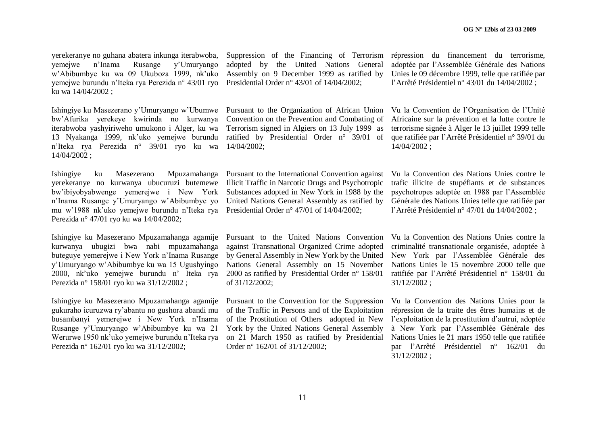yerekeranye no guhana abatera inkunga iterabwoba, yemejwe n"Inama Rusange y"Umuryango w"Abibumbye ku wa 09 Ukuboza 1999, nk"uko yemejwe burundu n"Iteka rya Perezida n° 43/01 ryo Presidential Order n° 43/01 of 14/04/2002; ku wa 14/04/2002 ;

Ishingiye ku Masezerano y"Umuryango w"Ubumwe bw"Afurika yerekeye kwirinda no kurwanya iterabwoba yashyiriweho umukono i Alger, ku wa 13 Nyakanga 1999, nk"uko yemejwe burundu n"Iteka rya Perezida n° 39/01 ryo ku wa 14/04/2002 ;

Ishingiye ku Masezerano Mpuzamahanga yerekeranye no kurwanya ubucuruzi butemewe bw"ibiyobyabwenge yemerejwe i New York n"Inama Rusange y"Umuryango w"Abibumbye yo mu w"1988 nk"uko yemejwe burundu n"Iteka rya Presidential Order n° 47/01 of 14/04/2002; Perezida n° 47/01 ryo ku wa 14/04/2002;

Ishingiye ku Masezerano Mpuzamahanga agamije kurwanya ubugizi bwa nabi mpuzamahanga buteguye yemerejwe i New York n"Inama Rusange y"Umuryango w"Abibumbye ku wa 15 Ugushyingo 2000, nk"uko yemejwe burundu n" Iteka rya Perezida n° 158/01 ryo ku wa 31/12/2002 ;

Ishingiye ku Masezerano Mpuzamahanga agamije gukuraho icuruzwa ry"abantu no gushora abandi mu busambanyi yemerejwe i New York n"Inama Rusange y"Umuryango w"Abibumbye ku wa 21 Werurwe 1950 nk"uko yemejwe burundu n"Iteka rya Perezida n° 162/01 ryo ku wa 31/12/2002;

Suppression of the Financing of Terrorism répression du financement du terrorisme, adopted by the United Nations General Assembly on 9 December 1999 as ratified by

Pursuant to the Organization of African Union Convention on the Prevention and Combating of Terrorism signed in Algiers on 13 July 1999 as ratified by Presidential Order n° 39/01 of 14/04/2002;

Pursuant to the International Convention against Illicit Traffic in Narcotic Drugs and Psychotropic Substances adopted in New York in 1988 by the United Nations General Assembly as ratified by

Pursuant to the United Nations Convention against Transnational Organized Crime adopted by General Assembly in New York by the United Nations General Assembly on 15 November 2000 as ratified by Presidential Order n° 158/01 of 31/12/2002;

Pursuant to the Convention for the Suppression of the Traffic in Persons and of the Exploitation of the Prostitution of Others adopted in New York by the United Nations General Assembly on 21 March 1950 as ratified by Presidential Order n° 162/01 of 31/12/2002;

adoptée par l"Assemblée Générale des Nations Unies le 09 décembre 1999, telle que ratifiée par l"Arrêté Présidentiel n° 43/01 du 14/04/2002 ;

Vu la Convention de l"Organisation de l"Unité Africaine sur la prévention et la lutte contre le terrorisme signée à Alger le 13 juillet 1999 telle que ratifiée par l"Arrêté Présidentiel n° 39/01 du 14/04/2002 ;

Vu la Convention des Nations Unies contre le trafic illicite de stupéfiants et de substances psychotropes adoptée en 1988 par l"Assemblée Générale des Nations Unies telle que ratifiée par l"Arrêté Présidentiel n° 47/01 du 14/04/2002 ;

Vu la Convention des Nations Unies contre la criminalité transnationale organisée, adoptée à New York par l"Assemblée Générale des Nations Unies le 15 novembre 2000 telle que ratifiée par l"Arrêté Présidentiel n° 158/01 du 31/12/2002 ;

Vu la Convention des Nations Unies pour la répression de la traite des êtres humains et de l"exploitation de la prostitution d"autrui, adoptée à New York par l"Assemblée Générale des Nations Unies le 21 mars 1950 telle que ratifiée par l"Arrêté Présidentiel n° 162/01 du 31/12/2002 ;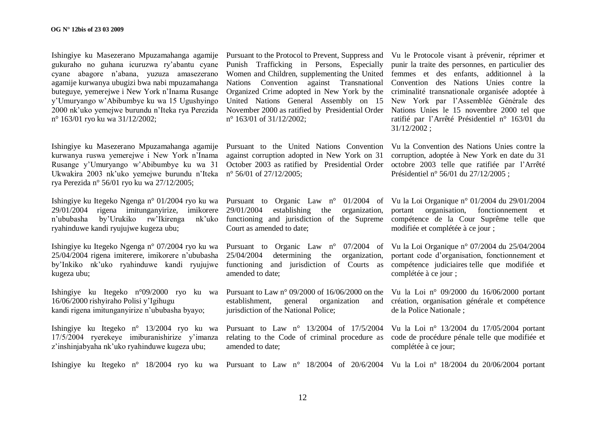Ishingiye ku Masezerano Mpuzamahanga agamije gukuraho no guhana icuruzwa ry"abantu cyane cyane abagore n"abana, yuzuza amasezerano agamije kurwanya ubugizi bwa nabi mpuzamahanga buteguye, yemerejwe i New York n"Inama Rusange y"Umuryango w"Abibumbye ku wa 15 Ugushyingo 2000 nk"uko yemejwe burundu n"Iteka rya Perezida n° 163/01 ryo ku wa 31/12/2002;

Ishingiye ku Masezerano Mpuzamahanga agamije kurwanya ruswa yemerejwe i New York n"Inama Rusange y"Umuryango w"Abibumbye ku wa 31 Ukwakira 2003 nk'uko yemejwe burundu n'Iteka n° 56/01 of 27/12/2005; rya Perezida n° 56/01 ryo ku wa 27/12/2005;

Ishingiye ku Itegeko Ngenga n° 01/2004 ryo ku wa Pursuant to Organic Law n° 01/2004 of Vu la Loi Organique n° 01/2004 du 29/01/2004 29/01/2004 rigena imitunganyirize, imikorere 29/01/2004 establishing the organization, portant organisation, fonctionnement et n'ububasha by'Urukiko rw'Ikirenga ryahinduwe kandi ryujujwe kugeza ubu;

Ishingiye ku Itegeko Ngenga n° 07/2004 ryo ku wa Pursuant to Organic Law n° 07/2004 of Vu la Loi Organique n° 07/2004 du 25/04/2004 25/04/2004 rigena imiterere, imikorere n"ububasha by"Inkiko nk"uko ryahinduwe kandi ryujujwe kugeza ubu;

Ishingiye ku Itegeko n°09/2000 ryo ku wa 16/06/2000 rishyiraho Polisi y"Igihugu kandi rigena imitunganyirize n"ububasha byayo;

Ishingiye ku Itegeko n° 13/2004 ryo ku wa 17/5/2004 ryerekeye imiburanishirize y"imanza z"inshinjabyaha nk"uko ryahinduwe kugeza ubu;

Pursuant to the Protocol to Prevent, Suppress and Vu le Protocole visant à prévenir, réprimer et Punish Trafficking in Persons, Especially Women and Children, supplementing the United femmes et des enfants, additionnel à la Nations Convention against Transnational Convention des Nations Unies contre la Organized Crime adopted in New York by the criminalité transnationale organisée adoptée à United Nations General Assembly on 15 New York par l"Assemblée Générale des November 2000 as ratified by Presidential Order Nations Unies le 15 novembre 2000 tel que n° 163/01 of 31/12/2002;

Pursuant to the United Nations Convention Vu la Convention des Nations Unies contre la against corruption adopted in New York on 31 October 2003 as ratified by Presidential Order octobre 2003 telle que ratifiée par l'Arrêté

Court as amended to date;

25/04/2004 determining the organization, portant code d"organisation, fonctionnement et functioning and jurisdiction of Courts as compétence judiciaires telle que modifiée et amended to date;

establishment, general organization jurisdiction of the National Police;

Pursuant to Law n° 13/2004 of 17/5/2004 Vu la Loi n° 13/2004 du 17/05/2004 portant relating to the Code of criminal procedure as code de procédure pénale telle que modifiée et amended to date;

punir la traite des personnes, en particulier des ratifié par l"Arrêté Présidentiel n° 163/01 du 31/12/2002 ;

corruption, adoptée à New York en date du 31 Présidentiel n° 56/01 du 27/12/2005 ;

functioning and jurisdiction of the Supreme compétence de la Cour Suprême telle que modifiée et complétée à ce jour ;

complétée à ce jour ;

Pursuant to Law n° 09/2000 of 16/06/2000 on the Vu la Loi n° 09/2000 du 16/06/2000 portant création, organisation générale et compétence de la Police Nationale ;

complétée à ce jour;

Ishingiye ku Itegeko n° 18/2004 ryo ku wa Pursuant to Law n° 18/2004 of 20/6/2004 Vu la Loi n° 18/2004 du 20/06/2004 portant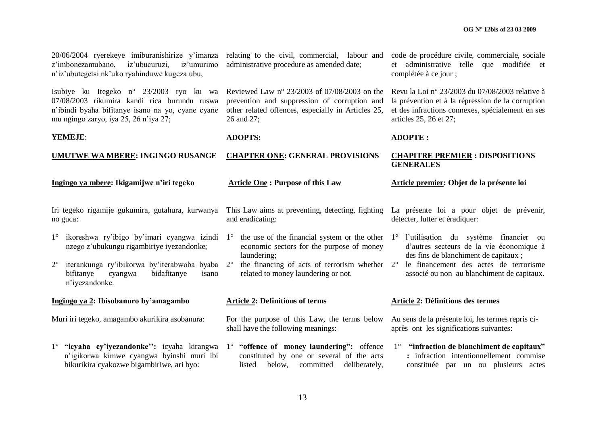constituée par un ou plusieurs actes

| 20/06/2004 ryerekeye imiburanishirize y'imanza relating to the civil, commercial, labour and<br>z'imbonezamubano,<br>iz'ubucuruzi,<br>iz'umurimo<br>n'iz'ubutegetsi nk'uko ryahinduwe kugeza ubu, | administrative procedure as amended date;                                                                                                                        | code de procédure civile, commerciale, sociale<br>et administrative telle que modifiée et<br>complétée à ce jour;                                                                  |  |
|---------------------------------------------------------------------------------------------------------------------------------------------------------------------------------------------------|------------------------------------------------------------------------------------------------------------------------------------------------------------------|------------------------------------------------------------------------------------------------------------------------------------------------------------------------------------|--|
| Isubiye ku Itegeko n° 23/2003 ryo ku wa<br>07/08/2003 rikumira kandi rica burundu ruswa<br>n'ibindi byaha bifitanye isano na yo, cyane cyane<br>mu ngingo zaryo, iya 25, 26 n'iya 27;             | Reviewed Law n° 23/2003 of 07/08/2003 on the<br>prevention and suppression of corruption and<br>other related offences, especially in Articles 25,<br>26 and 27; | Revu la Loi nº 23/2003 du 07/08/2003 relative à<br>la prévention et à la répression de la corruption<br>et des infractions connexes, spécialement en ses<br>articles 25, 26 et 27; |  |
| YEMEJE:                                                                                                                                                                                           | <b>ADOPTS:</b>                                                                                                                                                   | <b>ADOPTE:</b>                                                                                                                                                                     |  |
| <b>UMUTWE WA MBERE: INGINGO RUSANGE</b>                                                                                                                                                           | <b>CHAPTER ONE: GENERAL PROVISIONS</b>                                                                                                                           |                                                                                                                                                                                    |  |
| Ingingo ya mbere: Ikigamijwe n'iri tegeko                                                                                                                                                         | <b>Article One: Purpose of this Law</b>                                                                                                                          | Article premier: Objet de la présente loi                                                                                                                                          |  |
| Iri tegeko rigamije gukumira, gutahura, kurwanya<br>no guca:                                                                                                                                      | This Law aims at preventing, detecting, fighting<br>and eradicating:                                                                                             | La présente loi a pour objet de prévenir,<br>détecter, lutter et éradiquer:                                                                                                        |  |
| ikoreshwa ry'ibigo by'imari cyangwa izindi 1°<br>$1^{\circ}$<br>nzego z'ubukungu rigambiriye iyezandonke;                                                                                         | the use of the financial system or the other<br>economic sectors for the purpose of money<br>laundering;                                                         | 1° l'utilisation du système financier ou<br>d'autres secteurs de la vie économique à<br>des fins de blanchiment de capitaux;                                                       |  |
| iterankunga ry'ibikorwa by'iterabwoba byaba<br>$2^{\circ}$<br>bifitanye<br>bidafitanye<br>cyangwa<br>isano<br>n'iyezandonke.                                                                      | the financing of acts of terrorism whether 2°<br>$2^{\circ}$<br>related to money laundering or not.                                                              | le financement des actes de terrorisme<br>associé ou non au blanchiment de capitaux.                                                                                               |  |
| Ingingo ya 2: Ibisobanuro by'amagambo                                                                                                                                                             | <b>Article 2: Definitions of terms</b>                                                                                                                           | Article 2: Définitions des termes                                                                                                                                                  |  |
| Muri iri tegeko, amagambo akurikira asobanura:                                                                                                                                                    | For the purpose of this Law, the terms below<br>shall have the following meanings:                                                                               | Au sens de la présente loi, les termes repris ci-<br>après ont les significations suivantes:                                                                                       |  |
| 1° "icyaha cy'iyezandonke": icyaha kirangwa<br>n'igikorwa kimwe cyangwa byinshi muri ibi                                                                                                          | 1° "offence of money laundering": offence<br>constituted by one or several of the acts                                                                           | $1^\circ$ "infraction de blanchiment de capitaux"<br>: infraction intentionnellement commise                                                                                       |  |

listed below, committed deliberately,

bikurikira cyakozwe bigambiriwe, ari byo: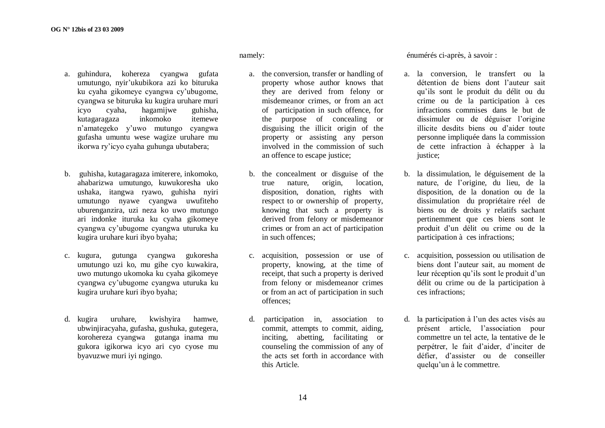- a. guhindura, kohereza cyangwa gufata umutungo, nyir"ukubikora azi ko bituruka ku cyaha gikomeye cyangwa cy"ubugome, cyangwa se bituruka ku kugira uruhare muri icyo cyaha, hagamijwe guhisha, kutagaragaza inkomoko itemewe n"amategeko y"uwo mutungo cyangwa gufasha umuntu wese wagize uruhare mu ikorwa ry"icyo cyaha guhunga ubutabera;
- b. guhisha, kutagaragaza imiterere, inkomoko, ahabarizwa umutungo, kuwukoresha uko ushaka, itangwa ryawo, guhisha nyiri umutungo nyawe cyangwa uwufiteho uburenganzira, uzi neza ko uwo mutungo ari indonke ituruka ku cyaha gikomeye cyangwa cy"ubugome cyangwa uturuka ku kugira uruhare kuri ibyo byaha;
- c. kugura, gutunga cyangwa gukoresha umutungo uzi ko, mu gihe cyo kuwakira, uwo mutungo ukomoka ku cyaha gikomeye cyangwa cy"ubugome cyangwa uturuka ku kugira uruhare kuri ibyo byaha;
- d. kugira uruhare, kwishyira hamwe, ubwinjiracyaha, gufasha, gushuka, gutegera, korohereza cyangwa gutanga inama mu gukora igikorwa icyo ari cyo cyose mu byavuzwe muri iyi ngingo.

#### namely:

- a. the conversion, transfer or handling of property whose author knows that they are derived from felony or misdemeanor crimes, or from an act of participation in such offence, for the purpose of concealing or disguising the illicit origin of the property or assisting any person involved in the commission of such an offence to escape justice;
- b. the concealment or disguise of the true nature, origin, location, disposition, donation, rights with respect to or ownership of property, knowing that such a property is derived from felony or misdemeanor crimes or from an act of participation in such offences;
- c. acquisition, possession or use of property, knowing, at the time of receipt, that such a property is derived from felony or misdemeanor crimes or from an act of participation in such offences;
- d. participation in, association to commit, attempts to commit, aiding, inciting, abetting, facilitating or counseling the commission of any of the acts set forth in accordance with this Article.

énumérés ci-après, à savoir :

- a. la conversion, le transfert ou la détention de biens dont l"auteur sait qu"ils sont le produit du délit ou du crime ou de la participation à ces infractions commises dans le but de dissimuler ou de déguiser l'origine illicite desdits biens ou d"aider toute personne impliquée dans la commission de cette infraction à échapper à la justice:
- b. la dissimulation, le déguisement de la nature, de l"origine, du lieu, de la disposition, de la donation ou de la dissimulation du propriétaire réel de biens ou de droits y relatifs sachant pertinemment que ces biens sont le produit d"un délit ou crime ou de la participation à ces infractions;
- c. acquisition, possession ou utilisation de biens dont l"auteur sait, au moment de leur réception qu'ils sont le produit d'un délit ou crime ou de la participation à ces infractions;
- d. la participation à l"un des actes visés au présent article, l"association pour commettre un tel acte, la tentative de le perpétrer, le fait d"aider, d"inciter de défier, d"assister ou de conseiller quelqu"un à le commettre.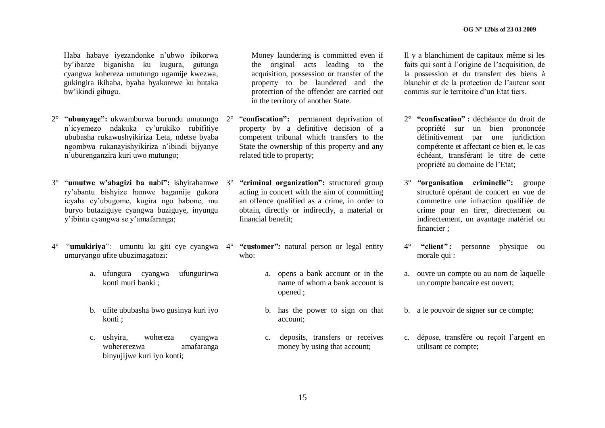Haba habaye iyezandonke n"ubwo ibikorwa by"ibanze biganisha ku kugura, gutunga cyangwa kohereza umutungo ugamije kwezwa, gukingira ikibaba, byaba byakorewe ku butaka bw"ikindi gihugu.

- 2° "**ubunyage":** ukwamburwa burundu umutungo n"icyemezo ndakuka cy"urukiko rubifitiye ububasha rukawushyikiriza Leta, ndetse byaba ngombwa rukanayishyikiriza n"ibindi bijyanye n"uburenganzira kuri uwo mutungo;
- 3° "**umutwe w'abagizi ba na**b**i":** ishyirahamwe ry"abantu bishyize hamwe bagamije gukora icyaha cy"ubugome, kugira ngo babone, mu buryo butaziguye cyangwa buziguye, inyungu y"ibintu cyangwa se y"amafaranga;
- 4° "**umukiriya**": umuntu ku giti cye cyangwa 4° *"***customer"***:* natural person or legal entity umuryango ufite ubuzimagatozi:
	- a. ufungura cyangwa ufungurirwa konti muri banki ;
	- b. ufite ububasha bwo gusinya kuri iyo konti ;
	- c. ushyira, wohereza cyangwa wohererezwa amafaranga binyujijwe kuri iyo konti;

Money laundering is committed even if the original acts leading to the acquisition, possession or transfer of the property to be laundered and the protection of the offender are carried out in the territory of another State.

- 2° "**confiscation":** permanent deprivation of property by a definitive decision of a competent tribunal which transfers to the State the ownership of this property and any related title to property;
	- 3° *"***criminal organization":** structured group acting in concert with the aim of committing an offence qualified as a crime, in order to obtain, directly or indirectly, a material or financial benefit;
	- who:
		- a. opens a bank account or in the name of whom a bank account is opened ;
		- b. has the power to sign on that account;
		- c. deposits, transfers or receives money by using that account;

Il y a blanchiment de capitaux même si les faits qui sont à l"origine de l"acquisition, de la possession et du transfert des biens à blanchir et de la protection de l"auteur sont commis sur le territoire d"un Etat tiers.

- 2° **"confiscation" :** déchéance du droit de propriété sur un bien prononcée définitivement par une juridiction compétente et affectant ce bien et, le cas échéant, transférant le titre de cette propriété au domaine de l"Etat;
- 3° *"***organisation criminelle":** groupe structuré opérant de concert en vue de commettre une infraction qualifiée de crime pour en tirer, directement ou indirectement, un avantage matériel ou financier ;
- 4° **"client***" :* personne physique ou morale qui :
- a. ouvre un compte ou au nom de laquelle un compte bancaire est ouvert;
- b. a le pouvoir de signer sur ce compte;
- c. dépose, transfère ou reçoit l"argent en utilisant ce compte;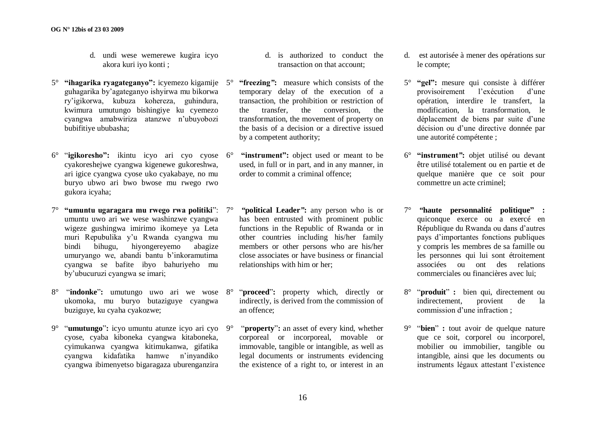- d. undi wese wemerewe kugira icyo akora kuri iyo konti ;
- 5° **"ihagarika ryagateganyo":** icyemezo kigamije guhagarika by"agateganyo ishyirwa mu bikorwa ry"igikorwa, kubuza kohereza, guhindura, kwimura umutungo bishingiye ku cyemezo cyangwa amabwiriza atanzwe n"ubuyobozi bubifitiye ububasha;
- 6° "**igikoresho":** ikintu icyo ari cyo cyose cyakoreshejwe cyangwa kigenewe gukoreshwa, ari igice cyangwa cyose uko cyakabaye, no mu buryo ubwo ari bwo bwose mu rwego rwo gukora icyaha;
- 7° **"umuntu ugaragara mu rwego rwa politiki**": umuntu uwo ari we wese washinzwe cyangwa wigeze gushingwa imirimo ikomeye ya Leta muri Repubulika y"u Rwanda cyangwa mu bindi bihugu, hiyongereyemo abagize umuryango we, abandi bantu b"inkoramutima cyangwa se bafite ibyo bahuriyeho mu by"ubucuruzi cyangwa se imari;
- 8° "**indonke**"**:** umutungo uwo ari we wose ukomoka, mu buryo butaziguye cyangwa buziguye, ku cyaha cyakozwe;
- 9° "**umutungo**"**:** icyo umuntu atunze icyo ari cyo cyose, cyaba kiboneka cyangwa kitaboneka, cyimukanwa cyangwa kitimukanwa, gifatika cyangwa kidafatika hamwe n"inyandiko cyangwa ibimenyetso bigaragaza uburenganzira
- d. is authorized to conduct the transaction on that account;
- 5° **"freezing***"***:** measure which consists of the temporary delay of the execution of a transaction, the prohibition or restriction of the transfer, the conversion, the transformation, the movement of property on the basis of a decision or a directive issued by a competent authority;
	- "instrument": object used or meant to be used, in full or in part, and in any manner, in order to commit a criminal offence;
	- 7° *"***political Leader***"***:** any person who is or has been entrusted with prominent public functions in the Republic of Rwanda or in other countries including his/her family members or other persons who are his/her close associates or have business or financial relationships with him or her;
	- 8° "**proceed**"**:** property which, directly or indirectly, is derived from the commission of an offence;
	- "**property**": an asset of every kind, whether corporeal or incorporeal, movable or immovable, tangible or intangible, as well as legal documents or instruments evidencing the existence of a right to, or interest in an
- d. est autorisée à mener des opérations sur le compte;
- 5° **"gel":** mesure qui consiste à différer provisoirement l"exécution d"une opération, interdire le transfert, la modification, la transformation, le déplacement de biens par suite d"une décision ou d"une directive donnée par une autorité compétente ;
- 6° **"instrument***"***:** objet utilisé ou devant être utilisé totalement ou en partie et de quelque manière que ce soit pour commettre un acte criminel;
- 7° *"***haute personnalité politique" :** quiconque exerce ou a exercé en République du Rwanda ou dans d"autres pays d"importantes fonctions publiques y compris les membres de sa famille ou les personnes qui lui sont étroitement associées ou ont des relations commerciales ou financières avec lui;
- 8° "**produit**" **:** bien qui, directement ou indirectement, provient de la commission d"une infraction ;
- 9° "**bien**" **:** tout avoir de quelque nature que ce soit, corporel ou incorporel, mobilier ou immobilier, tangible ou intangible, ainsi que les documents ou instruments légaux attestant l"existence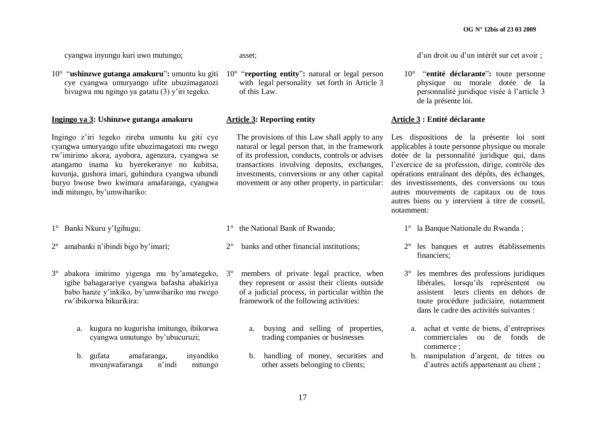cyangwa inyungu kuri uwo mutungo;

10° "**ushinzwe gutanga amakuru**"**:** umuntu ku giti cye cyangwa umuryango ufite ubuzimagatozi bivugwa mu ngingo ya gatatu (3) y"iri tegeko.

#### **Ingingo ya 3: Ushinzwe gutanga amakuru**

Ingingo z"iri tegeko zireba umuntu ku giti cye cyangwa umuryango ufite ubuzimagatozi mu rwego rw"imirimo akora, ayobora, agenzura, cyangwa se atangamo inama ku byerekeranye no kubitsa, kuvunja, gushora imari, guhindura cyangwa ubundi buryo bwose bwo kwimura amafaranga, cyangwa indi mitungo, by"umwihariko:

- 1° Banki Nkuru y"Igihugu;
- 2° amabanki n"ibindi bigo by"imari;
- 3° abakora imirimo yigenga mu by"amategeko, igihe bahagarariye cyangwa bafasha abakiriya babo hanze y"inkiko, by"umwihariko mu rwego rw"ibikorwa bikurikira:
	- a. kugura no kugurisha imitungo, ibikorwa cyangwa umutungo by"ubucuruzi;
	- b. gufata amafaranga, inyandiko mvunjwafaranga n"indi mitungo

asset;

10° "**reporting entity**"**:** natural or legal person with legal personality set forth in Article 3 of this Law.

#### **Article 3: Reporting entity**

The provisions of this Law shall apply to any natural or legal person that, in the framework of its profession, conducts, controls or advises transactions involving deposits, exchanges, investments, conversions or any other capital movement or any other property, in particular:

- 1° the National Bank of Rwanda;
- 2° banks and other financial institutions;
	- members of private legal practice, when they represent or assist their clients outside of a judicial process, in particular within the framework of the following activities:
		- a. buying and selling of properties, trading companies or businesses
		- b. handling of money, securities and other assets belonging to clients;

d"un droit ou d"un intérêt sur cet avoir ;

10° "**entité déclarante**"**:** toute personne physique ou morale dotée de la personnalité juridique visée à l"article 3 de la présente loi.

#### **Article 3 : Entité déclarante**

Les dispositions de la présente loi sont applicables à toute personne physique ou morale dotée de la personnalité juridique qui, dans l"exercice de sa profession, dirige, contrôle des opérations entraînant des dépôts, des échanges, des investissements, des conversions ou tous autres mouvements de capitaux ou de tous autres biens ou y intervient à titre de conseil, notamment:

- 1° la Banque Nationale du Rwanda ;
- 2° les banques et autres établissements financiers;
- 3° les membres des professions juridiques libérales, lorsqu"ils représentent ou assistent leurs clients en dehors de toute procédure judiciaire, notamment dans le cadre des activités suivantes :
	- a. achat et vente de biens, d"entreprises commerciales ou de fonds de commerce ;
	- b. manipulation d"argent, de titres ou d"autres actifs appartenant au client ;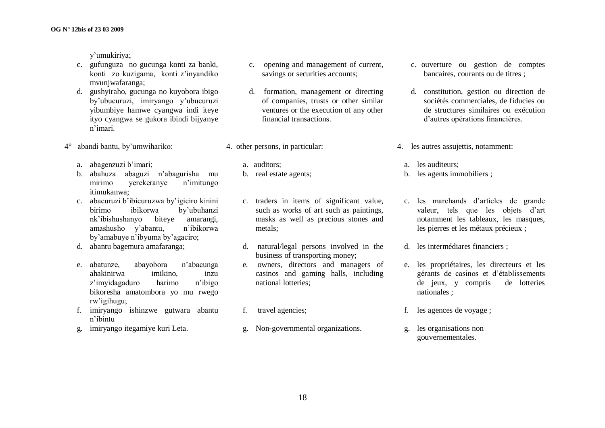y"umukiriya;

- c. gufunguza no gucunga konti za banki, konti zo kuzigama, konti z"inyandiko mvunjwafaranga;
- d. gushyiraho, gucunga no kuyobora ibigo by"ubucuruzi, imiryango y"ubucuruzi yibumbiye hamwe cyangwa indi iteye ityo cyangwa se gukora ibindi bijyanye n"imari.
- 4° abandi bantu, by"umwihariko:
	- a. abagenzuzi b'imari:
	- b. abahuza abaguzi n"abagurisha mu mirimo yerekeranye n"imitungo itimukanwa;
	- c. abacuruzi b"ibicuruzwa by"igiciro kinini birimo ibikorwa by"ubuhanzi nk"ibishushanyo biteye amarangi, amashusho y"abantu, n"ibikorwa by"amabuye n"ibyuma by"agaciro;
	- d. abantu bagemura amafaranga;
	- e. abatunze, abayobora n"abacunga ahakinirwa imikino, inzu z"imyidagaduro harimo n"ibigo bikoresha amatombora yo mu rwego rw"igihugu;
	- f. imiryango ishinzwe gutwara abantu n"ibintu
	- g. imiryango itegamiye kuri Leta.
- c. opening and management of current, savings or securities accounts;
- d. formation, management or directing of companies, trusts or other similar ventures or the execution of any other financial transactions.
- 4. other persons, in particular:
	- a. auditors;
	- b. real estate agents;
	- c. traders in items of significant value, such as works of art such as paintings, masks as well as precious stones and metals;
	- d. natural/legal persons involved in the business of transporting money;
	- e. owners, directors and managers of casinos and gaming halls, including national lotteries;
	- f. travel agencies;
	- g. Non-governmental organizations.
- c. ouverture ou gestion de comptes bancaires, courants ou de titres ;
- d. constitution, gestion ou direction de sociétés commerciales, de fiducies ou de structures similaires ou exécution d"autres opérations financières.
- 4. les autres assujettis, notamment:
	- a. les auditeurs;
	- b. les agents immobiliers ;
	- c. les marchands d"articles de grande valeur, tels que les objets d"art notamment les tableaux, les masques, les pierres et les métaux précieux ;
	- d. les intermédiares financiers ;
	- e. les propriétaires, les directeurs et les gérants de casinos et d"établissements de jeux, y compris de lotteries nationales ;
- f. les agences de voyage ;
- g. les organisations non gouvernementales.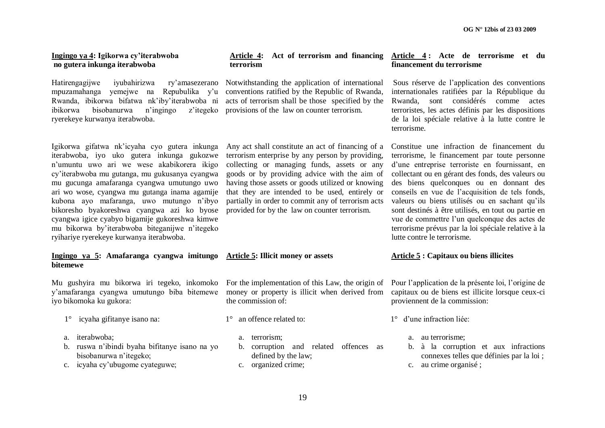#### **Ingingo ya 4: Igikorwa cy'iterabwoba no gutera inkunga iterabwoba**

Hatirengagijwe iyubahirizwa ry"amasezerano Notwithstanding the application of international mpuzamahanga yemejwe na Repubulika y"u conventions ratified by the Republic of Rwanda, Rwanda, ibikorwa bifatwa nk"iby"iterabwoba ni acts of terrorism shall be those specified by the ibikorwa bisobanurwa n'ingingo ryerekeye kurwanya iterabwoba.

Igikorwa gifatwa nk"icyaha cyo gutera inkunga iterabwoba, iyo uko gutera inkunga gukozwe n"umuntu uwo ari we wese akabikorera ikigo cy"iterabwoba mu gutanga, mu gukusanya cyangwa mu gucunga amafaranga cyangwa umutungo uwo ari wo wose, cyangwa mu gutanga inama agamije kubona ayo mafaranga, uwo mutungo n"ibyo bikoresho byakoreshwa cyangwa azi ko byose cyangwa igice cyabyo bigamije gukoreshwa kimwe mu bikorwa by"iterabwoba biteganijwe n"itegeko ryihariye ryerekeye kurwanya iterabwoba.

#### **Ingingo ya 5: Amafaranga cyangwa imitungo Article 5: Illicit money or assets bitemewe**

Mu gushyira mu bikorwa iri tegeko, inkomoko For the implementation of this Law, the origin of Pour l"application de la présente loi, l"origine de y"amafaranga cyangwa umutungo biba bitemewe iyo bikomoka ku gukora:

- 1° icyaha gifitanye isano na:
- a. iterabwoba;
- b. ruswa n"ibindi byaha bifitanye isano na yo bisobanurwa n"itegeko;
- c. icyaha cy"ubugome cyateguwe;

# **terrorism**

z'itegeko provisions of the law on counter terrorism.

Any act shall constitute an act of financing of a terrorism enterprise by any person by providing, collecting or managing funds, assets or any goods or by providing advice with the aim of having those assets or goods utilized or knowing that they are intended to be used, entirely or partially in order to commit any of terrorism acts provided for by the law on counter terrorism.

money or property is illicit when derived from the commission of:

- 1° an offence related to:
	- a. terrorism;
	- b. corruption and related offences as defined by the law;
	- c. organized crime;

#### **Article 4: Act of terrorism and financing Article 4 : Acte de terrorisme et du financement du terrorisme**

Sous réserve de l"application des conventions internationales ratifiées par la République du Rwanda, sont considérés comme actes terroristes, les actes définis par les dispositions de la loi spéciale relative à la lutte contre le terrorisme.

Constitue une infraction de financement du terrorisme, le financement par toute personne d"une entreprise terroriste en fournissant, en collectant ou en gérant des fonds, des valeurs ou des biens quelconques ou en donnant des conseils en vue de l"acquisition de tels fonds, valeurs ou biens utilisés ou en sachant qu"ils sont destinés à être utilisés, en tout ou partie en vue de commettre l"un quelconque des actes de terrorisme prévus par la loi spéciale relative à la lutte contre le terrorisme.

#### **Article 5 : Capitaux ou biens illicites**

capitaux ou de biens est illicite lorsque ceux-ci proviennent de la commission:

- 1° d"une infraction liée:
	- a. au terrorisme;
	- b. à la corruption et aux infractions connexes telles que définies par la loi ;
	- c. au crime organisé ;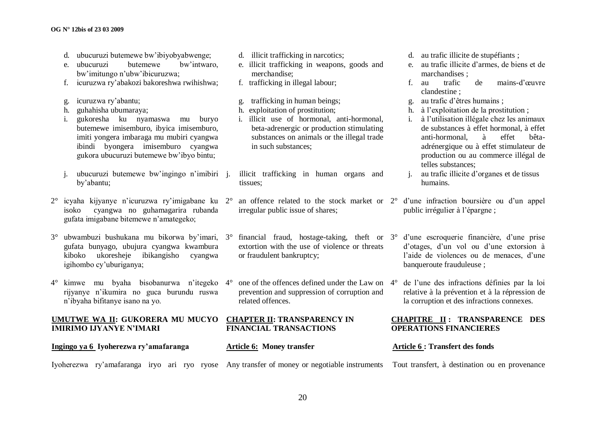- d. ubucuruzi butemewe bw"ibiyobyabwenge;
- e. ubucuruzi butemewe bw"intwaro, bw"imitungo n"ubw"ibicuruzwa;
- f. icuruzwa ry"abakozi bakoreshwa rwihishwa;
- g. icuruzwa ry"abantu;
- h. guhahisha ubumaraya;
- i. gukoresha ku nyamaswa mu buryo butemewe imisemburo, ibyica imisemburo, imiti yongera imbaraga mu mubiri cyangwa ibindi byongera imisemburo cyangwa gukora ubucuruzi butemewe bw"ibyo bintu;
- i. ubucuruzi butemewe bw'ingingo n'imibiri i. by"abantu;
- $2^{\circ}$  icyaha kijyanye n'icuruzwa ry'imigabane ku  $2^{\circ}$  an offence related to the stock market or  $2^{\circ}$  d'une infraction boursière ou d'un appel isoko cyangwa no guhamagarira rubanda gufata imigabane bitemewe n"amategeko;
- 3° ubwambuzi bushukana mu bikorwa by"imari, 3° financial fraud, hostage-taking, theft or gufata bunyago, ubujura cyangwa kwambura kiboko ukoresheje ibikangisho cyangwa igihombo cy"uburiganya;
- 4° kimwe mu byaha bisobanurwa n"itegeko 4° one of the offences defined under the Law on rijyanye n"ikumira no guca burundu ruswa n"ibyaha bifitanye isano na yo.

**UMUTWE WA II: GUKORERA MU MUCYO CHAPTER II: TRANSPARENCY IN IMIRIMO IJYANYE N'IMARI**

**Ingingo ya 6 Iyoherezwa ry'amafaranga**

**Article 6: Money transfer**

Iyoherezwa ry"amafaranga iryo ari ryo ryose Any transfer of money or negotiable instruments Tout transfert, à destination ou en provenance

- d. illicit trafficking in narcotics;
- e. illicit trafficking in weapons, goods and merchandise;
- f. trafficking in illegal labour;
- g. trafficking in human beings;
- h. exploitation of prostitution;
- i. illicit use of hormonal, anti-hormonal, beta-adrenergic or production stimulating substances on animals or the illegal trade in such substances;

illicit trafficking in human organs and tissues;

- irregular public issue of shares;
- extortion with the use of violence or threats or fraudulent bankruptcy;
- prevention and suppression of corruption and related offences.

# **FINANCIAL TRANSACTIONS**

- d. au trafic illicite de stupéfiants ;
- e. au trafic illicite d"armes, de biens et de marchandises ;
- f. au trafic de mains-d"œuvre clandestine ;
- g. au trafic d"êtres humains ;
- h. à l"exploitation de la prostitution ;
- i. à l"utilisation illégale chez les animaux de substances à effet hormonal, à effet anti-hormonal, à effet bêtaadrénergique ou à effet stimulateur de production ou au commerce illégal de telles substances;
- j. au trafic illicite d"organes et de tissus humains.
- public irrégulier à l"épargne ;
- 3° d"une escroquerie financière, d"une prise d"otages, d"un vol ou d"une extorsion à l'aide de violences ou de menaces, d'une banqueroute frauduleuse ;
- 4° de l"une des infractions définies par la loi relative à la prévention et à la répression de la corruption et des infractions connexes.

#### **CHAPITRE II : TRANSPARENCE DES OPERATIONS FINANCIERES**

#### **Article 6 : Transfert des fonds**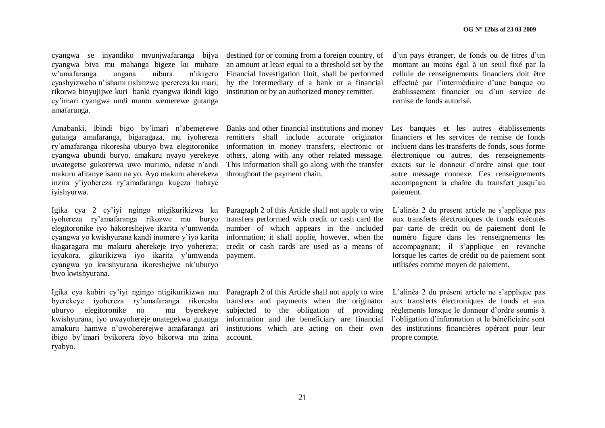cyangwa se inyandiko mvunjwafaranga bijya cyangwa biva mu mahanga bigeze ku mubare w"amafaranga ungana nibura n"ikigero cyashyizweho n"ishami rishinzwe iperereza ku mari, rikorwa binyujijwe kuri banki cyangwa ikindi kigo cy"imari cyangwa undi muntu wemerewe gutanga amafaranga.

Amabanki, ibindi bigo by"imari n"abemerewe gutanga amafaranga, bigaragaza, mu iyohereza ry"amafaranga rikoresha uburyo bwa elegitoronike cyangwa ubundi buryo, amakuru nyayo yerekeye uwategetse gukorerwa uwo murimo, ndetse n"andi makuru afitanye isano na yo. Ayo makuru aherekeza inzira y"iyohereza ry"amafaranga kugeza habaye iyishyurwa.

Igika cya 2 cy"iyi ngingo ntigikurikizwa ku iyohereza ry"amafaranga rikozwe mu buryo elegitoronike iyo hakoreshejwe ikarita y"umwenda cyangwa yo kwishyurana kandi inomero y"iyo karita ikagaragara mu makuru aherekeje iryo yohereza; icyakora, gikurikizwa iyo ikarita y"umwenda cyangwa yo kwishyurana ikoreshejwe nk"uburyo bwo kwishyurana.

Igika cya kabiri cy"iyi ngingo ntigikurikizwa mu byerekeye iyohereza ry"amafaranga rikoresha uburyo elegitoronike no mu byerekeye kwishyurana, iyo uwayohereje unategekwa gutanga amakuru hamwe n"uwohererejwe amafaranga ari ibigo by"imari byikorera ibyo bikorwa mu izina account. ryabyo.

destined for or coming from a foreign country, of an amount at least equal to a threshold set by the Financial Investigation Unit, shall be performed by the intermediary of a bank or a financial institution or by an authorized money remitter.

Banks and other financial institutions and money remitters shall include accurate originator information in money transfers, electronic or others, along with any other related message. This information shall go along with the transfer throughout the payment chain.

Paragraph 2 of this Article shall not apply to wire transfers performed with credit or cash card the number of which appears in the included information; it shall applie, however, when the credit or cash cards are used as a means of payment.

Paragraph 2 of this Article shall not apply to wire transfers and payments when the originator subjected to the obligation of providing information and the beneficiary are financial institutions which are acting on their own

d"un pays étranger, de fonds ou de titres d"un montant au moins égal à un seuil fixé par la cellule de renseignements financiers doit être effectué par l"intermédiaire d"une banque ou établissement financier ou d"un service de remise de fonds autorisé.

Les banques et les autres établissements financiers et les services de remise de fonds incluent dans les transferts de fonds, sous forme électronique ou autres, des renseignements exacts sur le donneur d"ordre ainsi que tout autre message connexe. Ces renseignements accompagnent la chaîne du transfert jusqu"au paiement.

L"alinéa 2 du present article ne s"applique pas aux transferts électroniques de fonds exécutés par carte de crédit ou de paiement dont le numéro figure dans les renseignements les accompagnant; il s"applique en revanche lorsque les cartes de crédit ou de paiement sont utilisées comme moyen de paiement.

L"alinéa 2 du présent article ne s"applique pas aux transferts électroniques de fonds et aux règlements lorsque le donneur d"ordre soumis à l"obligation d"information et le bénéficiaire sont des institutions financières opérant pour leur propre compte.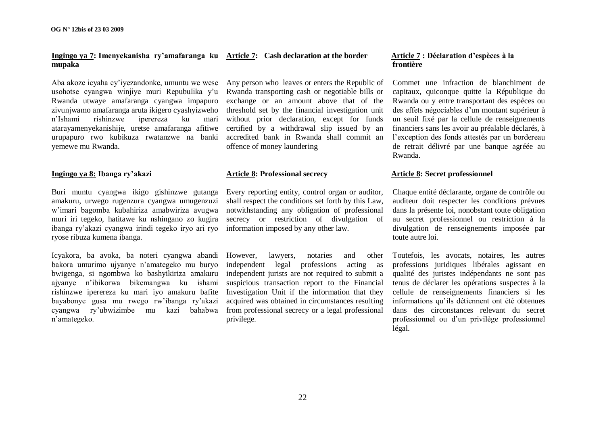#### **Ingingo ya 7: Imenyekanisha ry'amafaranga ku Article 7: Cash declaration at the border mupaka**

Aba akoze icyaha cy"iyezandonke, umuntu we wese usohotse cyangwa winjiye muri Repubulika y"u Rwanda utwaye amafaranga cyangwa impapuro zivunjwamo amafaranga aruta ikigero cyashyizweho n"Ishami rishinzwe iperereza ku mari atarayamenyekanishije, uretse amafaranga afitiwe urupapuro rwo kubikuza rwatanzwe na banki yemewe mu Rwanda.

#### **Ingingo ya 8: Ibanga ry'akazi**

Buri muntu cyangwa ikigo gishinzwe gutanga amakuru, urwego rugenzura cyangwa umugenzuzi w"imari bagomba kubahiriza amabwiriza avugwa muri iri tegeko, hatitawe ku nshingano zo kugira ibanga ry"akazi cyangwa irindi tegeko iryo ari ryo ryose ribuza kumena ibanga.

Icyakora, ba avoka, ba noteri cyangwa abandi However, lawyers, notaries and other bakora umurimo ujyanye n"amategeko mu buryo bwigenga, si ngombwa ko bashyikiriza amakuru ajyanye n"ibikorwa bikemangwa ku ishami rishinzwe iperereza ku mari iyo amakuru bafite bayabonye gusa mu rwego rw"ibanga ry"akazi cyangwa ry"ubwizimbe mu kazi bahabwa n"amategeko.

Any person who leaves or enters the Republic of Rwanda transporting cash or negotiable bills or exchange or an amount above that of the threshold set by the financial investigation unit without prior declaration, except for funds certified by a withdrawal slip issued by an accredited bank in Rwanda shall commit an offence of money laundering

#### **Article 8: Professional secrecy**

Every reporting entity, control organ or auditor, shall respect the conditions set forth by this Law, notwithstanding any obligation of professional secrecy or restriction of divulgation of information imposed by any other law.

independent legal professions acting as independent jurists are not required to submit a suspicious transaction report to the Financial Investigation Unit if the information that they acquired was obtained in circumstances resulting from professional secrecy or a legal professional privilege.

#### **Article 7 : Déclaration d'espèces à la frontière**

Commet une infraction de blanchiment de capitaux, quiconque quitte la République du Rwanda ou y entre transportant des espèces ou des effets négociables d"un montant supérieur à un seuil fixé par la cellule de renseignements financiers sans les avoir au préalable déclarés, à l"exception des fonds attestés par un bordereau de retrait délivré par une banque agréée au Rwanda.

#### **Article 8: Secret professionnel**

Chaque entité déclarante, organe de contrôle ou auditeur doit respecter les conditions prévues dans la présente loi, nonobstant toute obligation au secret professionnel ou restriction à la divulgation de renseignements imposée par toute autre loi.

Toutefois, les avocats, notaires, les autres professions juridiques libérales agissant en qualité des juristes indépendants ne sont pas tenus de déclarer les opérations suspectes à la cellule de renseignements financiers si les informations qu"ils détiennent ont été obtenues dans des circonstances relevant du secret professionnel ou d"un privilège professionnel légal.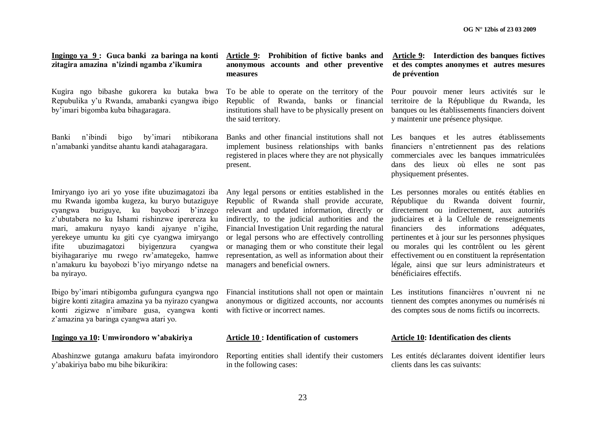| zitagira amazina n'izindi ngamba z'ikumira                                                                                                                                                                                                                                                                                                                                                                                                                           | anonymous accounts and other preventive<br>measures                                                                                                                                                                                                                                                                                                                                                                                                     | et des comptes anonymes et autres mesures<br>de prévention                                                                                                                                                                                                                                                                                                                                                                                                                      |
|----------------------------------------------------------------------------------------------------------------------------------------------------------------------------------------------------------------------------------------------------------------------------------------------------------------------------------------------------------------------------------------------------------------------------------------------------------------------|---------------------------------------------------------------------------------------------------------------------------------------------------------------------------------------------------------------------------------------------------------------------------------------------------------------------------------------------------------------------------------------------------------------------------------------------------------|---------------------------------------------------------------------------------------------------------------------------------------------------------------------------------------------------------------------------------------------------------------------------------------------------------------------------------------------------------------------------------------------------------------------------------------------------------------------------------|
| Kugira ngo bibashe gukorera ku butaka bwa<br>Repubulika y'u Rwanda, amabanki cyangwa ibigo<br>by'imari bigomba kuba bihagaragara.                                                                                                                                                                                                                                                                                                                                    | To be able to operate on the territory of the<br>Republic of Rwanda, banks or financial<br>institutions shall have to be physically present on<br>the said territory.                                                                                                                                                                                                                                                                                   | Pour pouvoir mener leurs activités sur le<br>territoire de la République du Rwanda, les<br>banques ou les établissements financiers doivent<br>y maintenir une présence physique.                                                                                                                                                                                                                                                                                               |
| Banki<br>n'ibindi<br>by'imari<br>ntibikorana<br>bigo<br>n'amabanki yanditse ahantu kandi atahagaragara.                                                                                                                                                                                                                                                                                                                                                              | Banks and other financial institutions shall not<br>implement business relationships with banks<br>registered in places where they are not physically<br>present.                                                                                                                                                                                                                                                                                       | Les banques et les autres établissements<br>financiers n'entretiennent pas des relations<br>commerciales avec les banques immatriculées<br>dans des lieux où elles ne sont pas<br>physiquement présentes.                                                                                                                                                                                                                                                                       |
| Imiryango iyo ari yo yose ifite ubuzimagatozi iba<br>mu Rwanda igomba kugeza, ku buryo butaziguye<br>buziguye, ku bayobozi b'inzego<br>cyangwa<br>z'ubutabera no ku Ishami rishinzwe iperereza ku<br>mari, amakuru nyayo kandi ajyanye n'igihe,<br>yerekeye umuntu ku giti cye cyangwa imiryango<br>ubuzimagatozi<br>biyigenzura<br>ifite<br>cyangwa<br>biyihagarariye mu rwego rw'amategeko, hamwe<br>n'amakuru ku bayobozi b'iyo miryango ndetse na<br>ba nyirayo. | Any legal persons or entities established in the<br>Republic of Rwanda shall provide accurate,<br>relevant and updated information, directly or<br>indirectly, to the judicial authorities and the<br>Financial Investigation Unit regarding the natural<br>or legal persons who are effectively controlling<br>or managing them or who constitute their legal<br>representation, as well as information about their<br>managers and beneficial owners. | Les personnes morales ou entités établies en<br>République du Rwanda doivent fournir,<br>directement ou indirectement, aux autorités<br>judiciaires et à la Cellule de renseignements<br>financiers<br>informations<br>des<br>adéquates,<br>pertinentes et à jour sur les personnes physiques<br>ou morales qui les contrôlent ou les gèrent<br>effectivement ou en constituent la représentation<br>légale, ainsi que sur leurs administrateurs et<br>bénéficiaires effectifs. |
| Ibigo by'imari ntibigomba gufungura cyangwa ngo<br>bigire konti zitagira amazina ya ba nyirazo cyangwa<br>konti zigizwe n'imibare gusa, cyangwa konti<br>z'amazina ya baringa cyangwa atari yo.                                                                                                                                                                                                                                                                      | Financial institutions shall not open or maintain<br>anonymous or digitized accounts, nor accounts<br>with fictive or incorrect names.                                                                                                                                                                                                                                                                                                                  | Les institutions financières n'ouvrent ni ne<br>tiennent des comptes anonymes ou numérisés ni<br>des comptes sous de noms fictifs ou incorrects.                                                                                                                                                                                                                                                                                                                                |
| Ingingo ya 10: Umwirondoro w'abakiriya                                                                                                                                                                                                                                                                                                                                                                                                                               | <b>Article 10: Identification of customers</b>                                                                                                                                                                                                                                                                                                                                                                                                          | <b>Article 10: Identification des clients</b>                                                                                                                                                                                                                                                                                                                                                                                                                                   |
| Abashinzwe gutanga amakuru bafata imyirondoro<br>y'abakiriya babo mu bihe bikurikira:                                                                                                                                                                                                                                                                                                                                                                                | Reporting entities shall identify their customers<br>in the following cases:                                                                                                                                                                                                                                                                                                                                                                            | Les entités déclarantes doivent identifier leurs<br>clients dans les cas suivants:                                                                                                                                                                                                                                                                                                                                                                                              |

**Ingingo ya 9 : Guca banki za baringa na konti Article 9: Prohibition of fictive banks and Article 9: Interdiction des banques fictives**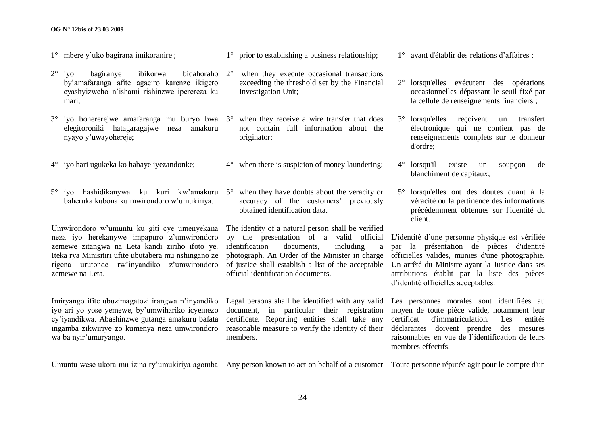#### **OG N° 12bis of 23 03 2009**

- 1° mbere y"uko bagirana imikoranire ;
- 2° iyo bagiranye ibikorwa bidahoraho by"amafaranga afite agaciro karenze ikigero cyashyizweho n"ishami rishinzwe iperereza ku mari;
- 3° iyo bohererejwe amafaranga mu buryo bwa 3° when they receive a wire transfer that does elegitoroniki hatagaragajwe neza amakuru nyayo y"uwayohereje;
- 4° iyo hari ugukeka ko habaye iyezandonke;
- 5° iyo hashidikanywa ku kuri kw"amakuru 5° when they have doubts about the veracity or baheruka kubona ku mwirondoro w"umukiriya.

Umwirondoro w"umuntu ku giti cye umenyekana neza iyo herekanywe impapuro z'umwirondoro zemewe zitangwa na Leta kandi ziriho ifoto ye. Iteka rya Minisitiri ufite ubutabera mu nshingano ze rigena urutonde rw'invandiko z'umwirondoro zemewe na Leta.

Imiryango ifite ubuzimagatozi irangwa n"inyandiko iyo ari yo yose yemewe, by"umwihariko icyemezo cy"iyandikwa. Abashinzwe gutanga amakuru bafata ingamba zikwiriye zo kumenya neza umwirondoro wa ba nyir"umuryango.

1° prior to establishing a business relationship;

- when they execute occasional transactions exceeding the threshold set by the Financial Investigation Unit;
- not contain full information about the originator;
- 4° when there is suspicion of money laundering;
- accuracy of the customers' previously obtained identification data.

The identity of a natural person shall be verified identification documents, including a official identification documents.

Legal persons shall be identified with any valid Les personnes morales sont identifiées au document, in particular their registration moyen de toute pièce valide, notamment leur certificate. Reporting entities shall take any reasonable measure to verify the identity of their déclarantes doivent prendre des mesures members.

1° avant d'établir des relations d"affaires ;

- 2° lorsqu'elles exécutent des opérations occasionnelles dépassant le seuil fixé par la cellule de renseignements financiers ;
- 3° lorsqu'elles reçoivent un transfert électronique qui ne contient pas de renseignements complets sur le donneur d'ordre;
- 4° lorsqu'il existe un soupçon de blanchiment de capitaux;
- 5° lorsqu'elles ont des doutes quant à la véracité ou la pertinence des informations précédemment obtenues sur l'identité du client.

by the presentation of a valid official L'identité d'une personne physique est vérifiée photograph. An Order of the Minister in charge officielles valides, munies d'une photographie. of justice shall establish a list of the acceptable Un arrêté du Ministre ayant la Justice dans ses par la présentation de pièces d'identité attributions établit par la liste des pièces d"identité officielles acceptables.

> certificat d'immatriculation. Les entités raisonnables en vue de l"identification de leurs membres effectifs.

Umuntu wese ukora mu izina ry'umukiriya agomba Any person known to act on behalf of a customer Toute personne réputée agir pour le compte d'un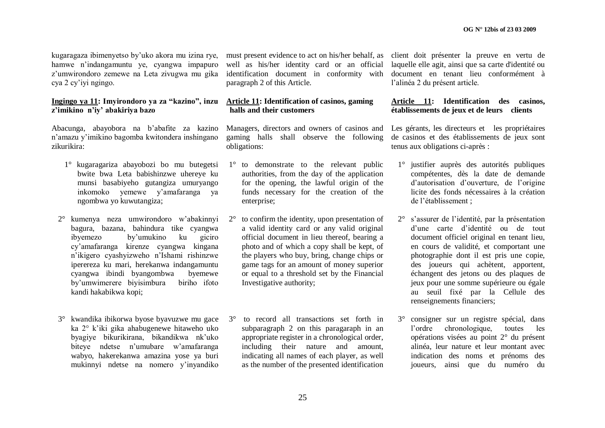kugaragaza ibimenyetso by"uko akora mu izina rye, hamwe n"indangamuntu ye, cyangwa impapuro z"umwirondoro zemewe na Leta zivugwa mu gika cya 2 cy"iyi ngingo.

#### **Ingingo ya 11: Imyirondoro ya za "kazino", inzu z'imikino n'iy' abakiriya bazo**

Abacunga, abayobora na b"abafite za kazino n"amazu y"imikino bagomba kwitondera inshingano zikurikira:

- 1° kugaragariza abayobozi bo mu butegetsi bwite bwa Leta babishinzwe uhereye ku munsi basabiyeho gutangiza umuryango inkomoko yemewe y"amafaranga ya ngombwa yo kuwutangiza;
- 2° kumenya neza umwirondoro w"abakinnyi bagura, bazana, bahindura tike cyangwa ibyemezo by"umukino ku giciro cy"amafaranga kirenze cyangwa kingana n"ikigero cyashyizweho n"Ishami rishinzwe iperereza ku mari, herekanwa indangamuntu cyangwa ibindi byangombwa byemewe by"umwimerere biyisimbura biriho ifoto kandi hakabikwa kopi;
- 3° kwandika ibikorwa byose byavuzwe mu gace ka 2° k"iki gika ahabugenewe hitaweho uko byagiye bikurikirana, bikandikwa nk"uko biteye ndetse n"umubare w"amafaranga wabyo, hakerekanwa amazina yose ya buri mukinnyi ndetse na nomero y"inyandiko

well as his/her identity card or an official identification document in conformity with document en tenant lieu conformément à paragraph 2 of this Article.

#### **Article 11: Identification of casinos, gaming halls and their customers**

Managers, directors and owners of casinos and gaming halls shall observe the following obligations:

- 1° to demonstrate to the relevant public authorities, from the day of the application for the opening, the lawful origin of the funds necessary for the creation of the enterprise;
- 2° to confirm the identity, upon presentation of a valid identity card or any valid original official document in lieu thereof, bearing a photo and of which a copy shall be kept, of the players who buy, bring, change chips or game tags for an amount of money superior or equal to a threshold set by the Financial Investigative authority;
- 3° to record all transactions set forth in subparagraph 2 on this paragaraph in an appropriate register in a chronological order, including their nature and amount, indicating all names of each player, as well as the number of the presented identification

must present evidence to act on his/her behalf, as client doit présenter la preuve en vertu de laquelle elle agit, ainsi que sa carte d'identité ou l"alinéa 2 du présent article.

#### **Article 11: Identification des casinos, établissements de jeux et de leurs clients**

Les gérants, les directeurs et les propriétaires de casinos et des établissements de jeux sont tenus aux obligations ci-après :

- 1° justifier auprès des autorités publiques compétentes, dès la date de demande d"autorisation d"ouverture, de l"origine licite des fonds nécessaires à la création de l"établissement ;
- 2° s"assurer de l"identité, par la présentation d"une carte d"identité ou de tout document officiel original en tenant lieu, en cours de validité, et comportant une photographie dont il est pris une copie, des joueurs qui achètent, apportent, échangent des jetons ou des plaques de jeux pour une somme supérieure ou égale au seuil fixé par la Cellule des renseignements financiers;
- 3° consigner sur un registre spécial, dans l"ordre chronologique, toutes les opérations visées au point 2° du présent alinéa, leur nature et leur montant avec indication des noms et prénoms des joueurs, ainsi que du numéro du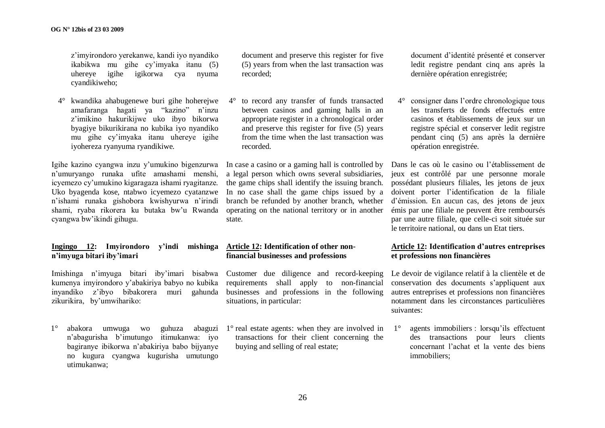z"imyirondoro yerekanwe, kandi iyo nyandiko ikabikwa mu gihe cy"imyaka itanu (5) uhereye igihe igikorwa cya nyuma cyandikiweho;

4° kwandika ahabugenewe buri gihe hoherejwe amafaranga hagati ya "kazino" n"inzu z"imikino hakurikijwe uko ibyo bikorwa byagiye bikurikirana no kubika iyo nyandiko mu gihe cy"imyaka itanu uhereye igihe iyohereza ryanyuma ryandikiwe.

Igihe kazino cyangwa inzu y"umukino bigenzurwa n"umuryango runaka ufite amashami menshi, icyemezo cy"umukino kigaragaza ishami ryagitanze. Uko byagenda kose, ntabwo icyemezo cyatanzwe n"ishami runaka gishobora kwishyurwa n"irindi shami, ryaba rikorera ku butaka bw'u Rwanda cyangwa bw"ikindi gihugu.

#### **Ingingo 12: Imyirondoro y'indi mishinga n'imyuga bitari iby'imari**

Imishinga n"imyuga bitari iby"imari bisabwa kumenya imyirondoro y"abakiriya babyo no kubika inyandiko z"ibyo bibakorera muri gahunda zikurikira, by"umwihariko:

 $1^\circ$  abakora umwuga wo n"abagurisha b"imutungo itimukanwa: iyo bagiranye ibikorwa n"abakiriya babo bijyanye no kugura cyangwa kugurisha umutungo utimukanwa;

document and preserve this register for five (5) years from when the last transaction was recorded;

4° to record any transfer of funds transacted between casinos and gaming halls in an appropriate register in a chronological order and preserve this register for five (5) years from the time when the last transaction was recorded.

In case a casino or a gaming hall is controlled by a legal person which owns several subsidiaries, the game chips shall identify the issuing branch. In no case shall the game chips issued by a doivent porter l"identification de la filiale branch be refunded by another branch, whether operating on the national territory or in another state.

#### **Article 12: Identification of other nonfinancial businesses and professions**

Customer due diligence and record-keeping requirements shall apply to non-financial businesses and professions in the following situations, in particular:

guhuza abaguzi  $1^\circ$  real estate agents: when they are involved in transactions for their client concerning the buying and selling of real estate;

document d"identité présenté et conserver ledit registre pendant cinq ans après la dernière opération enregistrée;

4° consigner dans l"ordre chronologique tous les transferts de fonds effectués entre casinos et établissements de jeux sur un registre spécial et conserver ledit registre pendant cinq (5) ans après la dernière opération enregistrée.

Dans le cas où le casino ou l"établissement de jeux est contrôlé par une personne morale possédant plusieurs filiales, les jetons de jeux d"émission. En aucun cas, des jetons de jeux émis par une filiale ne peuvent être remboursés par une autre filiale, que celle-ci soit située sur le territoire national, ou dans un Etat tiers.

#### **Article 12: Identification d'autres entreprises et professions non financières**

Le devoir de vigilance relatif à la clientèle et de conservation des documents s"appliquent aux autres entreprises et professions non financières notamment dans les circonstances particulières suivantes:

1° agents immobiliers : lorsqu"ils effectuent des transactions pour leurs clients concernant l"achat et la vente des biens immobiliers;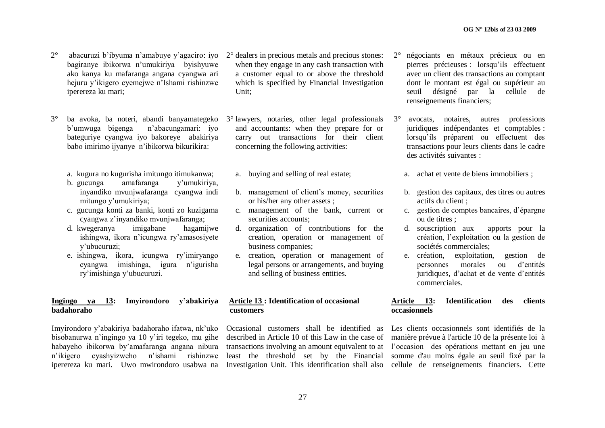- 2° abacuruzi b"ibyuma n"amabuye y"agaciro: iyo bagiranye ibikorwa n"umukiriya byishyuwe ako kanya ku mafaranga angana cyangwa ari hejuru y"ikigero cyemejwe n"Ishami rishinzwe iperereza ku mari;
- 3° ba avoka, ba noteri, abandi banyamategeko b"umwuga bigenga n"abacungamari: iyo bateguriye cyangwa iyo bakoreye abakiriya babo imirimo ijyanye n"ibikorwa bikurikira:
	- a. kugura no kugurisha imitungo itimukanwa;
	- b. gucunga amafaranga y"umukiriya, inyandiko mvunjwafaranga cyangwa indi mitungo y"umukiriya;
	- c. gucunga konti za banki, konti zo kuzigama cyangwa z"inyandiko mvunjwafaranga;
	- d. kwegeranya imigabane hagamijwe ishingwa, ikora n"icungwa ry"amasosiyete y"ubucuruzi;
	- e. ishingwa, ikora, icungwa ry"imiryango cyangwa imishinga, igura n"igurisha ry"imishinga y"ubucuruzi.

#### **Ingingo ya 13: Imyirondoro y'abakiriya badahoraho**

Imyirondoro y"abakiriya badahoraho ifatwa, nk"uko bisobanurwa n"ingingo ya 10 y"iri tegeko, mu gihe habayeho ibikorwa by"amafaranga angana nibura n"ikigero cyashyizweho n"ishami rishinzwe iperereza ku mari. Uwo mwirondoro usabwa na

- 2° dealers in precious metals and precious stones: when they engage in any cash transaction with a customer equal to or above the threshold which is specified by Financial Investigation Unit;
- 3° lawyers, notaries, other legal professionals and accountants: when they prepare for or carry out transactions for their client concerning the following activities:
	- a. buying and selling of real estate;
	- b. management of client"s money, securities or his/her any other assets ;
	- c. management of the bank, current or securities accounts;
	- d. organization of contributions for the creation, operation or management of business companies;
	- e. creation, operation or management of legal persons or arrangements, and buying and selling of business entities.

#### **Article 13 : Identification of occasional customers**

described in Article 10 of this Law in the case of manière prévue à l'article 10 de la présente loi à transactions involving an amount equivalent to at l"occasion des opérations mettant en jeu une least the threshold set by the Financial somme d'au moins égale au seuil fixé par la

- 2° négociants en métaux précieux ou en pierres précieuses : lorsqu"ils effectuent avec un client des transactions au comptant dont le montant est égal ou supérieur au seuil désigné par la cellule de renseignements financiers;
- 3° avocats, notaires, autres professions juridiques indépendantes et comptables : lorsqu"ils préparent ou effectuent des transactions pour leurs clients dans le cadre des activités suivantes :
	- a. achat et vente de biens immobiliers ;
- b. gestion des capitaux, des titres ou autres actifs du client ;
- c. gestion de comptes bancaires, d"épargne ou de titres ;
- d. souscription aux apports pour la création, l"exploitation ou la gestion de sociétés commerciales;
- e. création, exploitation, gestion de personnes morales ou d"entités juridiques, d"achat et de vente d"entités commerciales.

#### **Article 13: Identification des clients occasionnels**

Occasional customers shall be identified as Les clients occasionnels sont identifiés de la Investigation Unit. This identification shall also cellule de renseignements financiers. Cette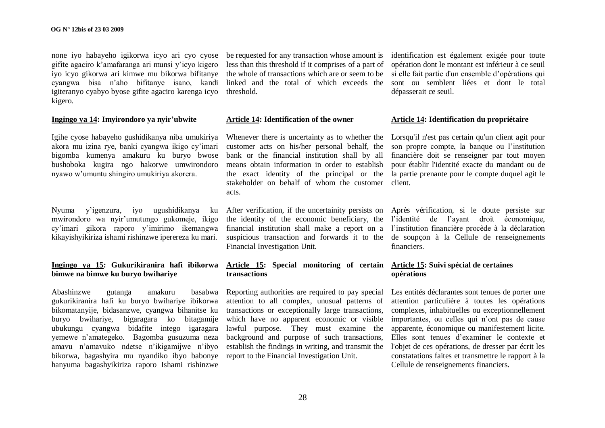none iyo habayeho igikorwa icyo ari cyo cyose gifite agaciro k"amafaranga ari munsi y"icyo kigero iyo icyo gikorwa ari kimwe mu bikorwa bifitanye cyangwa bisa n"aho bifitanye isano, kandi igiteranyo cyabyo byose gifite agaciro karenga icyo kigero.

#### **Ingingo ya 14: Imyirondoro ya nyir'ubwite**

Igihe cyose habayeho gushidikanya niba umukiriya akora mu izina rye, banki cyangwa ikigo cy"imari bigomba kumenya amakuru ku buryo bwose bushoboka kugira ngo hakorwe umwirondoro nyawo w"umuntu shingiro umukiriya akorera.

Nyuma y"igenzura, iyo ugushidikanya ku mwirondoro wa nyir"umutungo gukomeje, ikigo cy"imari gikora raporo y"imirimo ikemangwa kikayishyikiriza ishami rishinzwe iperereza ku mari.

#### **Ingingo ya 15: Gukurikiranira hafi ibikorwa bimwe na bimwe ku buryo bwihariye**

Abashinzwe gutanga amakuru basabwa gukurikiranira hafi ku buryo bwihariye ibikorwa bikomatanyije, bidasanzwe, cyangwa bihanitse ku buryo bwihariye, bigaragara ko bitagamije ubukungu cyangwa bidafite intego igaragara yemewe n"amategeko. Bagomba gusuzuma neza amavu n"amavuko ndetse n"ikigamijwe n"ibyo bikorwa, bagashyira mu nyandiko ibyo babonye hanyuma bagashyikiriza raporo Ishami rishinzwe

be requested for any transaction whose amount is identification est également exigée pour toute less than this threshold if it comprises of a part of the whole of transactions which are or seem to be linked and the total of which exceeds the threshold.

#### **Article 14: Identification of the owner**

Whenever there is uncertainty as to whether the Lorsqu'il n'est pas certain qu'un client agit pour customer acts on his/her personal behalf, the bank or the financial institution shall by all means obtain information in order to establish the exact identity of the principal or the stakeholder on behalf of whom the customer acts.

After verification, if the uncertainity persists on Après vérification, si le doute persiste sur the identity of the economic beneficiary, the l"identité de l"ayant droit économique, financial institution shall make a report on a l"institution financière procède à la déclaration suspicious transaction and forwards it to the de soupçon à la Cellule de renseignements Financial Investigation Unit.

#### **Article 15: Special monitoring of certain Article 15: Suivi spécial de certaines transactions**

Reporting authorities are required to pay special attention to all complex, unusual patterns of transactions or exceptionally large transactions, which have no apparent economic or visible lawful purpose. They must examine the background and purpose of such transactions, establish the findings in writing, and transmit the report to the Financial Investigation Unit.

opération dont le montant est inférieur à ce seuil si elle fait partie d'un ensemble d"opérations qui sont ou semblent liées et dont le total dépasserait ce seuil.

#### **Article 14: Identification du propriétaire**

son propre compte, la banque ou l"institution financière doit se renseigner par tout moyen pour établir l'identité exacte du mandant ou de la partie prenante pour le compte duquel agit le client.

financiers.

# **opérations**

Les entités déclarantes sont tenues de porter une attention particulière à toutes les opérations complexes, inhabituelles ou exceptionnellement importantes, ou celles qui n'ont pas de cause apparente, économique ou manifestement licite. Elles sont tenues d"examiner le contexte et l'objet de ces opérations, de dresser par écrit les constatations faites et transmettre le rapport à la Cellule de renseignements financiers.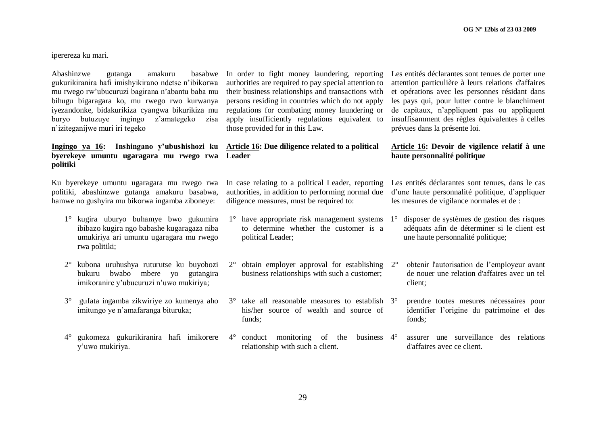iperereza ku mari.

Abashinzwe gutanga amakuru gukurikiranira hafi imishyikirano ndetse n"ibikorwa mu rwego rw"ubucuruzi bagirana n"abantu baba mu bihugu bigaragara ko, mu rwego rwo kurwanya iyezandonke, bidakurikiza cyangwa bikurikiza mu buryo butuzuye ingingo z"amategeko zisa n"iziteganijwe muri iri tegeko

#### **Ingingo ya 16: Inshingano y'ubushishozi ku byerekeye umuntu ugaragara mu rwego rwa politiki**

Ku byerekeye umuntu ugaragara mu rwego rwa politiki, abashinzwe gutanga amakuru basabwa, hamwe no gushyira mu bikorwa ingamba ziboneye:

- 1° kugira uburyo buhamye bwo gukumira ibibazo kugira ngo babashe kugaragaza niba umukiriya ari umuntu ugaragara mu rwego rwa politiki;
- 2° kubona uruhushya ruturutse ku buyobozi bukuru bwabo mbere yo gutangira imikoranire y"ubucuruzi n"uwo mukiriya;
- 3° gufata ingamba zikwiriye zo kumenya aho imitungo ye n"amafaranga bituruka;
- 4° gukomeza gukurikiranira hafi imikorere 4° conduct monitoring of the business y"uwo mukiriya.

basabwe In order to fight money laundering, reporting authorities are required to pay special attention to their business relationships and transactions with persons residing in countries which do not apply regulations for combating money laundering or apply insufficiently regulations equivalent to those provided for in this Law.

#### **Article 16: Due diligence related to a political Leader**

In case relating to a political Leader, reporting authorities, in addition to performing normal due d"une haute personnalité politique, d"appliquer diligence measures, must be required to:

- $1^\circ$  have appropriate risk management systems  $1^\circ$ to determine whether the customer is a political Leader;
- $2^{\circ}$  obtain employer approval for establishing  $2^{\circ}$ business relationships with such a customer;
- 3<sup>°</sup> take all reasonable measures to establish 3<sup>°</sup> his/her source of wealth and source of funds;
	- relationship with such a client.

Les entités déclarantes sont tenues de porter une attention particulière à leurs relations d'affaires et opérations avec les personnes résidant dans les pays qui, pour lutter contre le blanchiment de capitaux, n"appliquent pas ou appliquent insuffisamment des règles équivalentes à celles prévues dans la présente loi.

#### **Article 16: Devoir de vigilence relatif à une haute personnalité politique**

Les entités déclarantes sont tenues, dans le cas les mesures de vigilance normales et de :

- disposer de systèmes de gestion des risques adéquats afin de déterminer si le client est une haute personnalité politique;
- 2° obtenir l'autorisation de l"employeur avant de nouer une relation d'affaires avec un tel client;
	- 3° prendre toutes mesures nécessaires pour identifier l"origine du patrimoine et des fonds;
- assurer une surveillance des relations d'affaires avec ce client.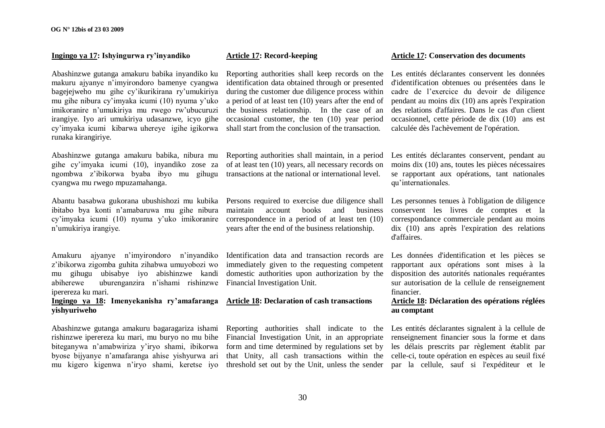#### **Ingingo ya 17: Ishyingurwa ry'inyandiko**

Abashinzwe gutanga amakuru babika inyandiko ku makuru ajyanye n"imyirondoro bamenye cyangwa bagejejweho mu gihe cy"ikurikirana ry"umukiriya mu gihe nibura cy"imyaka icumi (10) nyuma y"uko imikoranire n"umukiriya mu rwego rw"ubucuruzi irangiye. Iyo ari umukiriya udasanzwe, icyo gihe cy"imyaka icumi kibarwa uhereye igihe igikorwa runaka kirangiriye.

Abashinzwe gutanga amakuru babika, nibura mu gihe cy"imyaka icumi (10), inyandiko zose za ngombwa z"ibikorwa byaba ibyo mu gihugu cyangwa mu rwego mpuzamahanga.

Abantu basabwa gukorana ubushishozi mu kubika ibitabo bya konti n"amabaruwa mu gihe nibura cy"imyaka icumi (10) nyuma y"uko imikoranire n"umukiriya irangiye.

Amakuru ajyanye n"imyirondoro n"inyandiko z"ibikorwa zigomba guhita zihabwa umuyobozi wo mu gihugu ubisabye iyo abishinzwe kandi abiherewe uburenganzira n"ishami rishinzwe iperereza ku mari.

#### **Ingingo ya 18: Imenyekanisha ry'amafaranga Article 18: Declaration of cash transactions yishyuriweho**

Abashinzwe gutanga amakuru bagaragariza ishami rishinzwe iperereza ku mari, mu buryo no mu bihe biteganywa n"amabwiriza y"iryo shami, ibikorwa byose bijyanye n"amafaranga ahise yishyurwa ari mu kigero kigenwa n"iryo shami, keretse iyo

#### **Article 17: Record-keeping**

Reporting authorities shall keep records on the identification data obtained through or presented during the customer due diligence process within a period of at least ten (10) years after the end of the business relationship. In the case of an occasional customer, the ten (10) year period shall start from the conclusion of the transaction.

Reporting authorities shall maintain, in a period of at least ten (10) years, all necessary records on transactions at the national or international level.

Persons required to exercise due diligence shall maintain account books and business correspondence in a period of at least ten (10) years after the end of the business relationship.

Identification data and transaction records are immediately given to the requesting competent domestic authorities upon authorization by the Financial Investigation Unit.

Financial Investigation Unit, in an appropriate renseignement financier sous la forme et dans form and time determined by regulations set by les délais prescrits par règlement établit par that Unity, all cash transactions within the celle-ci, toute opération en espèces au seuil fixé

#### **Article 17: Conservation des documents**

Les entités déclarantes conservent les données d'identification obtenues ou présentées dans le cadre de l"exercice du devoir de diligence pendant au moins dix (10) ans après l'expiration des relations d'affaires. Dans le cas d'un client occasionnel, cette période de dix (10) ans est calculée dès l'achèvement de l'opération.

Les entités déclarantes conservent, pendant au moins dix (10) ans, toutes les pièces nécessaires se rapportant aux opérations, tant nationales qu"internationales.

Les personnes tenues à l'obligation de diligence conservent les livres de comptes et la correspondance commerciale pendant au moins dix (10) ans après l'expiration des relations d'affaires.

Les données d'identification et les pièces se rapportant aux opérations sont mises à la disposition des autorités nationales requérantes sur autorisation de la cellule de renseignement financier.

#### **Article 18: Déclaration des opérations réglées au comptant**

Reporting authorities shall indicate to the Les entités déclarantes signalent à la cellule de threshold set out by the Unit, unless the sender par la cellule, sauf si l'expéditeur et le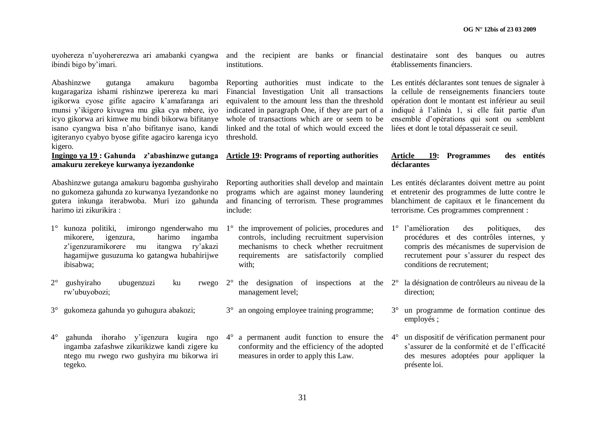uyohereza n'uyohererezwa ari amabanki cyangwa and the recipient are banks or financial destinataire sont des banques ou autres ibindi bigo by"imari.

Abashinzwe gutanga amakuru bagomba kugaragariza ishami rishinzwe iperereza ku mari igikorwa cyose gifite agaciro k"amafaranga ari munsi y"ikigero kivugwa mu gika cya mbere, iyo icyo gikorwa ari kimwe mu bindi bikorwa bifitanye isano cyangwa bisa n"aho bifitanye isano, kandi igiteranyo cyabyo byose gifite agaciro karenga icyo kigero.

**Ingingo ya 19 : Gahunda z'abashinzwe gutanga amakuru zerekeye kurwanya iyezandonke**

Abashinzwe gutanga amakuru bagomba gushyiraho no gukomeza gahunda zo kurwanya Iyezandonke no gutera inkunga iterabwoba. Muri izo gahunda harimo izi zikurikira :

- 1° kunoza politiki, imirongo ngenderwaho mu mikorere, igenzura, harimo ingamba z"igenzuramikorere mu itangwa ry"akazi hagamijwe gusuzuma ko gatangwa hubahirijwe ibisabwa;
- $2^{\circ}$  gushyiraho ubugenzuzi ku rw"ubuyobozi;
- 3° gukomeza gahunda yo guhugura abakozi;
- 4° gahunda ihoraho y"igenzura kugira ngo 4° a permanent audit function to ensure the ingamba zafashwe zikurikizwe kandi zigere ku ntego mu rwego rwo gushyira mu bikorwa iri tegeko.

institutions.

Reporting authorities must indicate to the Les entités déclarantes sont tenues de signaler à Financial Investigation Unit all transactions la cellule de renseignements financiers toute equivalent to the amount less than the threshold opération dont le montant est inférieur au seuil indicated in paragraph One, if they are part of a indiqué à l"alinéa 1, si elle fait partie d'un whole of transactions which are or seem to be ensemble d'opérations qui sont ou semblent linked and the total of which would exceed the liées et dont le total dépasserait ce seuil. threshold.

## **Article 19: Programs of reporting authorities**

Reporting authorities shall develop and maintain programs which are against money laundering and financing of terrorism. These programmes include:

- 1° the improvement of policies, procedures and controls, including recruitment supervision mechanisms to check whether recruitment requirements are satisfactorily complied with;
- $2^{\circ}$  the designation of inspections at the  $2^{\circ}$  la désignation de contrôleurs au niveau de la management level;
- 3° an ongoing employee training programme;

conformity and the efficiency of the adopted measures in order to apply this Law.

établissements financiers.

#### **Article 19: Programmes des entités déclarantes**

Les entités déclarantes doivent mettre au point et entretenir des programmes de lutte contre le blanchiment de capitaux et le financement du terrorisme. Ces programmes comprennent :

- 1° l"amélioration des politiques, des procédures et des contrôles internes, y compris des mécanismes de supervision de recrutement pour s"assurer du respect des conditions de recrutement;
- direction;
- 3° un programme de formation continue des employés ;
- 4° un dispositif de vérification permanent pour s"assurer de la conformité et de l"efficacité des mesures adoptées pour appliquer la présente loi.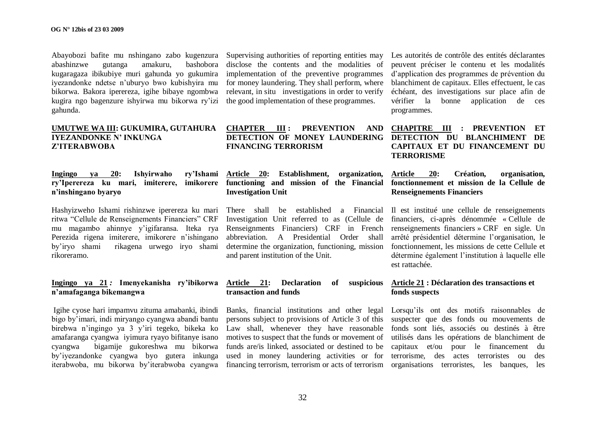Abayobozi bafite mu nshingano zabo kugenzura abashinzwe gutanga amakuru, bashobora kugaragaza ibikubiye muri gahunda yo gukumira iyezandonke ndetse n"uburyo bwo kubishyira mu bikorwa. Bakora iperereza, igihe bibaye ngombwa kugira ngo bagenzure ishyirwa mu bikorwa ry"izi gahunda.

#### **UMUTWE WA III: GUKUMIRA, GUTAHURA IYEZANDONKE N' INKUNGA Z'ITERABWOBA**

**Ingingo ya 20: Ishyirwaho ry'Ishami ry'Iperereza ku mari, imiterere, imikorere functioning and mission of the Financial fonctionnement et mission de la Cellule de n'inshingano byaryo**

Hashyizweho Ishami rishinzwe iperereza ku mari ritwa "Cellule de Renseignements Financiers" CRF mu magambo ahinnye y"igifaransa. Iteka rya Perezida rigena imiterere, imikorere n"ishingano by"iryo shami rikagena urwego iryo shami rikoreramo.

#### **Ingingo ya 21** *:* **Imenyekanisha ry'ibikorwa n'amafaganga bikemangwa**

Igihe cyose hari impamvu zituma amabanki, ibindi bigo by"imari, indi miryango cyangwa abandi bantu birebwa n"ingingo ya 3 y"iri tegeko, bikeka ko amafaranga cyangwa iyimura ryayo bifitanye isano cyangwa bigamije gukoreshwa mu bikorwa by"iyezandonke cyangwa byo gutera inkunga iterabwoba, mu bikorwa by"iterabwoba cyangwa Supervising authorities of reporting entities may disclose the contents and the modalities of implementation of the preventive programmes for money laundering. They shall perform, where relevant, in situ investigations in order to verify the good implementation of these programmes.

#### **CHAPTER III : PREVENTION AND DETECTION OF MONEY LAUNDERING DETECTION DU BLANCHIMENT DE FINANCING TERRORISM**

**Article 20: Establishment, organization, Investigation Unit**

Investigation Unit referred to as (Cellule de abbreviation. A Presidential Order shall and parent institution of the Unit.

#### **Article 21: Declaration of suspicious transaction and funds**

Banks, financial institutions and other legal Lorsqu"ils ont des motifs raisonnables de persons subject to provisions of Article 3 of this suspecter que des fonds ou mouvements de Law shall, whenever they have reasonable fonds sont liés, associés ou destinés à être motives to suspect that the funds or movement of utilisés dans les opérations de blanchiment de funds are/is linked, associated or destined to be capitaux et/ou pour le financement du used in money laundering activities or for terrorisme, des actes terroristes ou des

Les autorités de contrôle des entités déclarantes peuvent préciser le contenu et les modalités d"application des programmes de prévention du blanchiment de capitaux. Elles effectuent, le cas échéant, des investigations sur place afin de vérifier la bonne application de ces programmes.

**CHAPITRE III : PREVENTION ET CAPITAUX ET DU FINANCEMENT DU TERRORISME**

## **Article 20: Création, organisation, Renseignements Financiers**

There shall be established a Financial Il est institué une cellule de renseignements Renseignments Financiers) CRF in French renseignements financiers » CRF en sigle. Un determine the organization, functioning, mission fonctionnement, les missions de cette Cellule et financiers, ci-après dénommée « Cellule de arrêté présidentiel détermine l"organisation, le détermine également l"institution à laquelle elle est rattachée.

#### **Article 21 : Déclaration des transactions et fonds suspects**

financing terrorism, terrorism or acts of terrorism organisations terroristes, les banques, les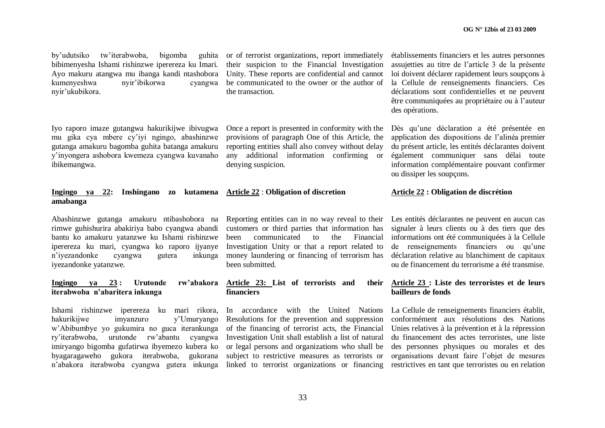by"udutsiko tw"iterabwoba, bigomba guhita bibimenyesha Ishami rishinzwe iperereza ku Imari. Ayo makuru atangwa mu ibanga kandi ntashobora kumenyeshwa nyir"ibikorwa cyangwa nyir"ukubikora.

Iyo raporo imaze gutangwa hakurikijwe ibivugwa mu gika cya mbere cy"iyi ngingo, abashinzwe gutanga amakuru bagomba guhita batanga amakuru y"inyongera ashobora kwemeza cyangwa kuvanaho ibikemangwa.

#### **Ingingo va 22: Ins amabanga**

Abashinzwe gutanga amakuru ntibashobora na rimwe guhishurira abakiriya babo cyangwa abandi bantu ko amakuru yatanzwe ku Ishami rishinzwe iperereza ku mari, cyangwa ko raporo ijyanye n"iyezandonke cyangwa gutera inkunga iyezandonke yatanzwe.

#### **Ingingo ya 23 : Urutonde rw'abakora iterabwoba n'abaritera inkunga**

Ishami rishinzwe iperereza ku mari rikora, hakurikijwe imyanzuro y"Umuryango w"Abibumbye yo gukumira no guca iterankunga ry"iterabwoba, urutonde rw"abantu cyangwa imiryango bigomba gufatirwa ibyemezo kubera ko byagaragaweho gukora iterabwoba, gukorana n'abakora iterabwoba cyangwa gutera inkunga linked to terrorist organizations or financing restrictives en tant que terroristes ou en relation

or of terrorist organizations, report immediately their suspicion to the Financial Investigation Unity. These reports are confidential and cannot be communicated to the owner or the author of the transaction.

Once a report is presented in conformity with the provisions of paragraph One of this Article, the reporting entities shall also convey without delay any additional information confirming or denying suspicion.

|  | shingano zo kutamena Article 22 : Obligation of discretion |  |
|--|------------------------------------------------------------|--|
|  |                                                            |  |

Reporting entities can in no way reveal to their customers or third parties that information has been communicated to the Financial Investigation Unity or that a report related to money laundering or financing of terrorism has been submitted.

#### **Article 23: List of terrorists and their financiers**

In accordance with the United Nations Resolutions for the prevention and suppression of the financing of terrorist acts, the Financial Investigation Unit shall establish a list of natural or legal persons and organizations who shall be subject to restrictive measures as terrorists or

établissements financiers et les autres personnes assujetties au titre de l"article 3 de la présente loi doivent déclarer rapidement leurs soupçons à la Cellule de renseignements financiers. Ces déclarations sont confidentielles et ne peuvent être communiquées au propriétaire ou à l"auteur des opérations.

Dès qu"une déclaration a été présentée en application des dispositions de l"alinéa premier du présent article, les entités déclarantes doivent également communiquer sans délai toute information complémentaire pouvant confirmer ou dissiper les soupçons.

#### **Article 22 : Obligation de discrétion**

Les entités déclarantes ne peuvent en aucun cas signaler à leurs clients ou à des tiers que des informations ont été communiquées à la Cellule de renseignements financiers ou qu'une déclaration relative au blanchiment de capitaux ou de financement du terrorisme a été transmise.

#### **Article 23 : Liste des terroristes et de leurs bailleurs de fonds**

La Cellule de renseignements financiers établit, conformément aux résolutions des Nations Unies relatives à la prévention et à la répression du financement des actes terroristes, une liste des personnes physiques ou morales et des organisations devant faire l"objet de mesures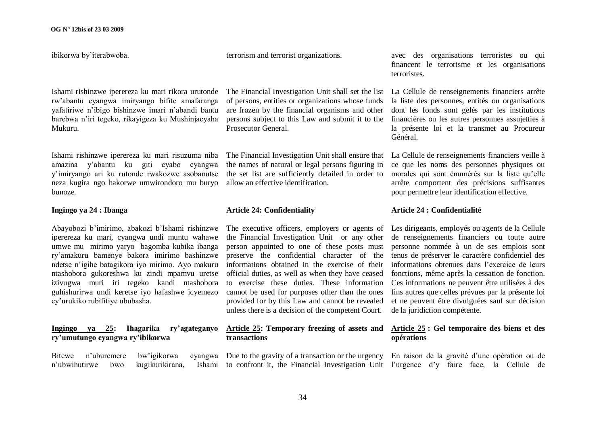ibikorwa by"iterabwoba.

Ishami rishinzwe iperereza ku mari rikora urutonde rw"abantu cyangwa imiryango bifite amafaranga yafatiriwe n"ibigo bishinzwe imari n"abandi bantu barebwa n"iri tegeko, rikayigeza ku Mushinjacyaha Mukuru.

Ishami rishinzwe iperereza ku mari risuzuma niba amazina y"abantu ku giti cyabo cyangwa y"imiryango ari ku rutonde rwakozwe asobanutse neza kugira ngo hakorwe umwirondoro mu buryo bunoze.

#### **Ingingo ya 24 : Ibanga**

Abayobozi b"imirimo, abakozi b"Ishami rishinzwe iperereza ku mari, cyangwa undi muntu wahawe umwe mu mirimo yaryo bagomba kubika ibanga ry"amakuru bamenye bakora imirimo bashinzwe ndetse n"igihe batagikora iyo mirimo. Ayo makuru ntashobora gukoreshwa ku zindi mpamvu uretse izivugwa muri iri tegeko kandi ntashobora guhishurirwa undi keretse iyo hafashwe icyemezo cy"urukiko rubifitiye ububasha.

#### **Ingingo ya 25: Ihagarika ry'agateganyo ry'umutungo cyangwa ry'ibikorwa**

Bitewe n"uburemere bw"igikorwa cyangwa n'ubwihutirwe bwo kugikurikirana,

terrorism and terrorist organizations.

The Financial Investigation Unit shall set the list of persons, entities or organizations whose funds are frozen by the financial organisms and other persons subject to this Law and submit it to the Prosecutor General.

The Financial Investigation Unit shall ensure that the names of natural or legal persons figuring in the set list are sufficiently detailed in order to allow an effective identification.

#### **Article 24: Confidentiality**

The executive officers, employers or agents of the Financial Investigation Unit or any other person appointed to one of these posts must preserve the confidential character of the informations obtained in the exercise of their official duties, as well as when they have ceased to exercise these duties. These information cannot be used for purposes other than the ones provided for by this Law and cannot be revealed unless there is a decision of the competent Court.

#### **Article 25: Temporary freezing of assets and transactions**

avec des organisations terroristes ou qui financent le terrorisme et les organisations terroristes.

La Cellule de renseignements financiers arrête la liste des personnes, entités ou organisations dont les fonds sont gelés par les institutions financières ou les autres personnes assujetties à la présente loi et la transmet au Procureur Général.

La Cellule de renseignements financiers veille à ce que les noms des personnes physiques ou morales qui sont énumérés sur la liste qu"elle arrête comportent des précisions suffisantes pour permettre leur identification effective.

#### **Article 24 : Confidentialité**

Les dirigeants, employés ou agents de la Cellule de renseignements financiers ou toute autre personne nommée à un de ses emplois sont tenus de préserver le caractère confidentiel des informations obtenues dans l"exercice de leurs fonctions, même après la cessation de fonction. Ces informations ne peuvent être utilisées à des fins autres que celles prévues par la présente loi et ne peuvent être divulguées sauf sur décision de la juridiction compétente.

#### **Article 25 : Gel temporaire des biens et des opérations**

Due to the gravity of a transaction or the urgency En raison de la gravité d'une opération ou de to confront it, the Financial Investigation Unit l"urgence d"y faire face, la Cellule de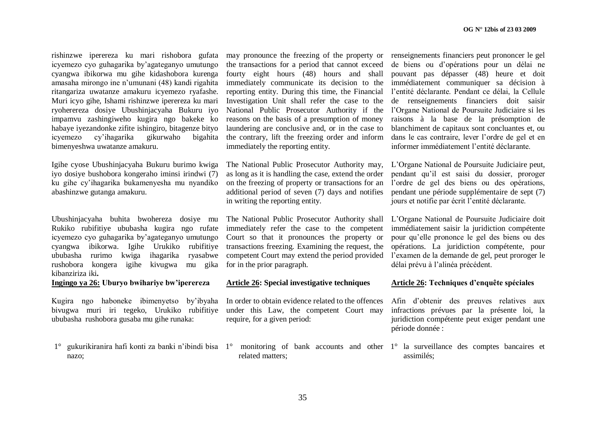rishinzwe iperereza ku mari rishobora gufata icyemezo cyo guhagarika by"agateganyo umutungo cyangwa ibikorwa mu gihe kidashobora kurenga amasaha mirongo ine n"umunani (48) kandi rigahita ritangariza uwatanze amakuru icyemezo ryafashe. Muri icyo gihe, Ishami rishinzwe iperereza ku mari ryoherereza dosiye Ubushinjacyaha Bukuru iyo impamvu zashingiweho kugira ngo bakeke ko habaye iyezandonke zifite ishingiro, bitagenze bityo icyemezo cy"ihagarika gikurwaho bigahita bimenyeshwa uwatanze amakuru.

Igihe cyose Ubushinjacyaha Bukuru burimo kwiga iyo dosiye bushobora kongeraho iminsi irindwi (7) ku gihe cy"ihagarika bukamenyesha mu nyandiko abashinzwe gutanga amakuru.

Ubushinjacyaha buhita bwohereza dosiye mu Rukiko rubifitiye ububasha kugira ngo rufate immediately refer the case to the competent icyemezo cyo guhagarika by"agateganyo umutungo cyangwa ibikorwa. Igihe Urukiko rubifitiye ububasha rurimo kwiga ihagarika ryasabwe competent Court may extend the period provided rushobora kongera igihe kivugwa mu gika for in the prior paragraph. kibanziriza iki**.**

#### **Ingingo ya 26: Uburyo bwihariye bw'iperereza**

Kugira ngo haboneke ibimenyetso by"ibyaha bivugwa muri iri tegeko, Urukiko rubifitiye ububasha rushobora gusaba mu gihe runaka:

1° gukurikiranira hafi konti za banki n'ibindi bisa 1° monitoring of bank accounts and other 1° la surveillance des comptes bancaires et nazo;

may pronounce the freezing of the property or renseignements financiers peut prononcer le gel the transactions for a period that cannot exceed de biens ou d"opérations pour un délai ne fourty eight hours (48) hours and shall immediately communicate its decision to the immédiatement communiquer sa décision à reporting entity. During this time, the Financial Investigation Unit shall refer the case to the National Public Prosecutor Authority if the l"Organe National de Poursuite Judiciaire si les reasons on the basis of a presumption of money laundering are conclusive and, or in the case to the contrary, lift the freezing order and inform dans le cas contraire, lever l"ordre de gel et en immediately the reporting entity.

The National Public Prosecutor Authority may, as long as it is handling the case, extend the order on the freezing of property or transactions for an additional period of seven (7) days and notifies in writing the reporting entity.

The National Public Prosecutor Authority shall Court so that it pronounces the property or transactions freezing. Examining the request, the

#### **Article 26: Special investigative techniques**

In order to obtain evidence related to the offences under this Law, the competent Court may require, for a given period:

related matters;

pouvant pas dépasser (48) heure et doit l"entité déclarante. Pendant ce délai, la Cellule de renseignements financiers doit saisir raisons à la base de la présomption de blanchiment de capitaux sont concluantes et, ou informer immédiatement l"entité déclarante.

L"Organe National de Poursuite Judiciaire peut, pendant qu"il est saisi du dossier, proroger l"ordre de gel des biens ou des opérations, pendant une période supplémentaire de sept (7) jours et notifie par écrit l"entité déclarante.

L"Organe National de Poursuite Judiciaire doit immédiatement saisir la juridiction compétente pour qu"elle prononce le gel des biens ou des opérations. La juridiction compétente, pour l"examen de la demande de gel, peut proroger le délai prévu à l"alinéa précédent.

#### **Article 26: Techniques d'enquête spéciales**

Afin d"obtenir des preuves relatives aux infractions prévues par la présente loi, la juridiction compétente peut exiger pendant une période donnée :

assimilés;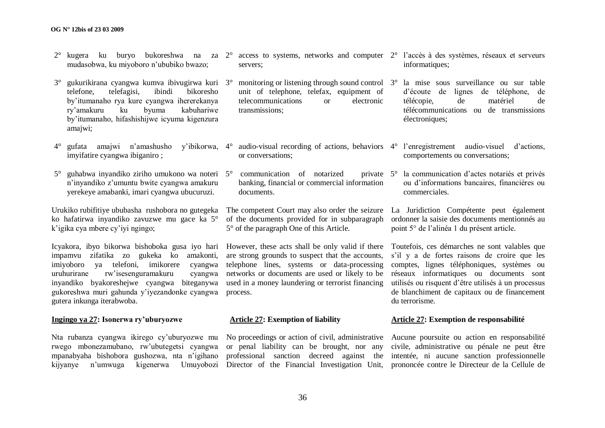- 2° kugera ku buryo bukoreshwa na za 2° access to systems, networks and computer 2° l"accès à des systèmes, réseaux et serveurs mudasobwa, ku miyoboro n"ububiko bwazo;
- 3° gukurikirana cyangwa kumva ibivugirwa kuri 3° telefone, telefagisi, ibindi bikoresho telefone, telefagisi, ibindi bikoresho by"itumanaho rya kure cyangwa ihererekanya ry"amakuru ku byuma kabuhariwe by"itumanaho, hifashishijwe icyuma kigenzura amajwi;
- 4° gufata amajwi n"amashusho y"ibikorwa, imyifatire cyangwa ibiganiro ;
- 5° guhabwa inyandiko ziriho umukono wa noteri n"inyandiko z"umuntu bwite cyangwa amakuru yerekeye amabanki, imari cyangwa ubucuruzi.

Urukiko rubifitiye ububasha rushobora no gutegeka ko hafatirwa inyandiko zavuzwe mu gace ka 5° k"igika cya mbere cy"iyi ngingo;

Icyakora, ibyo bikorwa bishoboka gusa iyo hari However, these acts shall be only valid if there Toutefois, ces démarches ne sont valables que impamvu zifatika zo gukeka ko amakonti, imiyoboro ya telefoni, imikorere cyangwa uruhurirane rw"isesenguramakuru cyangwa inyandiko byakoreshejwe cyangwa biteganywa gukoreshwa muri gahunda y"iyezandonke cyangwa gutera inkunga iterabwoba.

#### **Ingingo ya 27: Isonerwa ry'uburyozwe**

Nta rubanza cyangwa ikirego cy"uburyozwe mu rwego mbonezamubano, rw"ubutegetsi cyangwa mpanabyaha bishobora gushozwa, nta n"igihano kijyanye n'umwuga kigenerwa Umuyobozi Director of the Financial Investigation Unit,

servers;

3° monitoring or listening through sound control 3° la mise sous surveillance ou sur table unit of telephone, telefax, equipment of telecommunications or electronic transmissions;

- 4° audio-visual recording of actions, behaviors 4° l"enregistrement audio-visuel d"actions, or conversations;
- $commutation$  of notarized private  $5^\circ$ banking, financial or commercial information documents.

of the documents provided for in subparagraph 5° of the paragraph One of this Article.

are strong grounds to suspect that the accounts, telephone lines, systems or data-processing networks or documents are used or likely to be réseaux informatiques ou documents sont used in a money laundering or terrorist financing process.

#### **Article 27: Exemption of liability**

or penal liability can be brought, nor any professional sanction decreed against the intentée, ni aucune sanction professionnelle

- informatiques;
- d"écoute de lignes de téléphone, de télécopie, de matériel de télécommunications ou de transmissions électroniques;
- comportements ou conversations;
- la communication d'actes notariés et privés ou d"informations bancaires, financières ou commerciales.

The competent Court may also order the seizure La Juridiction Compétente peut également ordonner la saisie des documents mentionnés au point 5° de l"alinéa 1 du présent article.

> s'il y a de fortes raisons de croire que les comptes, lignes téléphoniques, systèmes ou utilisés ou risquent d"être utilisés à un processus de blanchiment de capitaux ou de financement du terrorisme.

#### **Article 27: Exemption de responsabilité**

No proceedings or action of civil, administrative Aucune poursuite ou action en responsabilité civile, administrative ou pénale ne peut être prononcée contre le Directeur de la Cellule de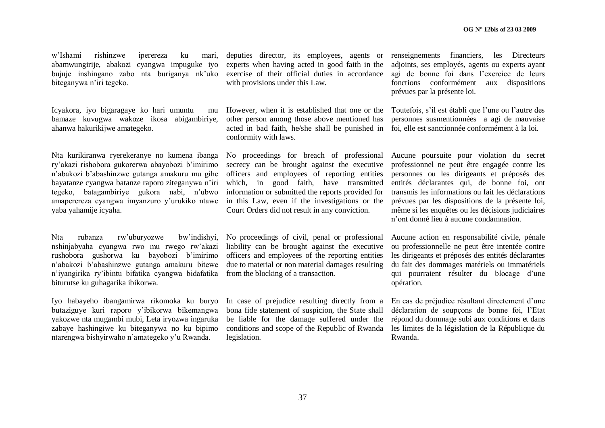w"Ishami rishinzwe iperereza ku mari, abamwungirije, abakozi cyangwa impuguke iyo bujuje inshingano zabo nta buriganya nk"uko biteganywa n"iri tegeko.

Icyakora, iyo bigaragaye ko hari umuntu mu bamaze kuvugwa wakoze ikosa abigambiriye, ahanwa hakurikijwe amategeko.

Nta kurikiranwa ryerekeranye no kumena ibanga ry"akazi rishobora gukorerwa abayobozi b"imirimo n"abakozi b"abashinzwe gutanga amakuru mu gihe bayatanze cyangwa batanze raporo ziteganywa n"iri tegeko, batagambiriye gukora nabi, n"ubwo amaperereza cyangwa imyanzuro y"urukiko ntawe yaba yahamije icyaha.

Nta rubanza rw"uburyozwe bw"indishyi, nshinjabyaha cyangwa rwo mu rwego rw"akazi rushobora gushorwa ku bayobozi b"imirimo n"abakozi b"abashinzwe gutanga amakuru bitewe n"iyangirika ry"ibintu bifatika cyangwa bidafatika biturutse ku guhagarika ibikorwa.

Iyo habayeho ibangamirwa rikomoka ku buryo butaziguye kuri raporo y"ibikorwa bikemangwa yakozwe nta mugambi mubi, Leta iryozwa ingaruka zabaye hashingiwe ku biteganywa no ku bipimo ntarengwa bishyirwaho n"amategeko y"u Rwanda.

experts when having acted in good faith in the exercise of their official duties in accordance with provisions under this Law.

However, when it is established that one or the Toutefois, s'il est établi que l'une ou l'autre des other person among those above mentioned has acted in bad faith, he/she shall be punished in foi, elle est sanctionnée conformément à la loi. conformity with laws.

No proceedings for breach of professional secrecy can be brought against the executive officers and employees of reporting entities which, in good faith, have transmitted information or submitted the reports provided for in this Law, even if the investigations or the Court Orders did not result in any conviction.

No proceedings of civil, penal or professional liability can be brought against the executive officers and employees of the reporting entities due to material or non material damages resulting from the blocking of a transaction.

In case of prejudice resulting directly from a bona fide statement of suspicion, the State shall be liable for the damage suffered under the conditions and scope of the Republic of Rwanda legislation.

deputies director, its employees, agents or renseignements financiers, les Directeurs adjoints, ses employés, agents ou experts ayant agi de bonne foi dans l"exercice de leurs fonctions conformément aux dispositions prévues par la présente loi.

personnes susmentionnées a agi de mauvaise

Aucune poursuite pour violation du secret professionnel ne peut être engagée contre les personnes ou les dirigeants et préposés des entités déclarantes qui, de bonne foi, ont transmis les informations ou fait les déclarations prévues par les dispositions de la présente loi, même si les enquêtes ou les décisions judiciaires n"ont donné lieu à aucune condamnation.

Aucune action en responsabilité civile, pénale ou professionnelle ne peut être intentée contre les dirigeants et préposés des entités déclarantes du fait des dommages matériels ou immatériels qui pourraient résulter du blocage d"une opération.

En cas de préjudice résultant directement d"une déclaration de soupcons de bonne foi, l'Etat répond du dommage subi aux conditions et dans les limites de la législation de la République du Rwanda.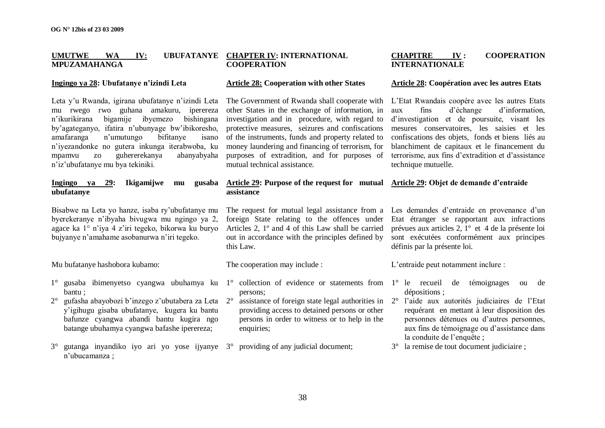#### **UMUTWE WA IV: UBUFATANYE CHAPTER IV: INTERNATIONAL MPUZAMAHANGA COOPERATION**

### **Ingingo ya 28: Ubufatanye n'izindi Leta**

Leta y"u Rwanda, igirana ubufatanye n"izindi Leta mu rwego rwo guhana amakuru, iperereza n"ikurikirana bigamije ibyemezo bishingana by"agateganyo, ifatira n"ubunyage bw"ibikoresho, amafaranga n"umutungo bifitanye isano n"iyezandonke no gutera inkunga iterabwoba, ku mpamvu zo guhererekanya abanyabyaha n"iz"ubufatanye mu bya tekiniki.

# **Ingingo ya 29: Ikigamijwe mu gusaba ubufatanye**

Bisabwe na Leta yo hanze, isaba ry"ubufatanye mu byerekeranye n"ibyaha bivugwa mu ngingo ya 2, agace ka 1° n"iya 4 z"iri tegeko, bikorwa ku buryo bujyanye n"amahame asobanurwa n"iri tegeko.

Mu bufatanye hashobora kubamo:

- 1° gusaba ibimenyetso cyangwa ubuhamya ku 1° collection of evidence or statements from 1° le recueil de témoignages ou de bantu ;
- 2° gufasha abayobozi b"inzego z"ubutabera za Leta y"igihugu gisaba ubufatanye, kugera ku bantu bafunze cyangwa abandi bantu kugira ngo batange ubuhamya cyangwa bafashe iperereza;
- 3° gutanga inyandiko iyo ari yo yose ijyanye 3° providing of any judicial document; n"ubucamanza ;

# **Article 28: Cooperation with other States**

The Government of Rwanda shall cooperate with L"Etat Rwandais coopère avec les autres Etats other States in the exchange of information, in investigation and in procedure, with regard to protective measures, seizures and confiscations of the instruments, funds and property related to money laundering and financing of terrorism, for purposes of extradition, and for purposes of mutual technical assistance.

# **Article 29: Purpose of the request for mutual Article 29: Objet de demande d'entraide assistance**

# foreign State relating to the offences under Articles 2, 1º and 4 of this Law shall be carried out in accordance with the principles defined by this Law.

The cooperation may include :

- persons;
- 2° assistance of foreign state legal authorities in 2° l"aide aux autorités judiciaires de l"Etat providing access to detained persons or other persons in order to witness or to help in the enquiries:
- 

# **CHAPITRE IV : COOPERATION INTERNATIONALE**

#### **Article 28: Coopération avec les autres Etats**

aux fins d"échange d"information, d"investigation et de poursuite, visant les mesures conservatoires, les saisies et les confiscations des objets, fonds et biens liés au blanchiment de capitaux et le financement du terrorisme, aux fins d"extradition et d"assistance technique mutuelle.

The request for mutual legal assistance from a Les demandes d'entraide en provenance d'un Etat étranger se rapportant aux infractions prévues aux articles 2, 1º et 4 de la présente loi sont exécutées conformément aux principes définis par la présente loi.

L"entraide peut notamment inclure :

- dépositions ;
- requérant en mettant à leur disposition des personnes détenues ou d"autres personnes, aux fins de témoignage ou d"assistance dans la conduite de l'enquête :
- 3° la remise de tout document judiciaire ;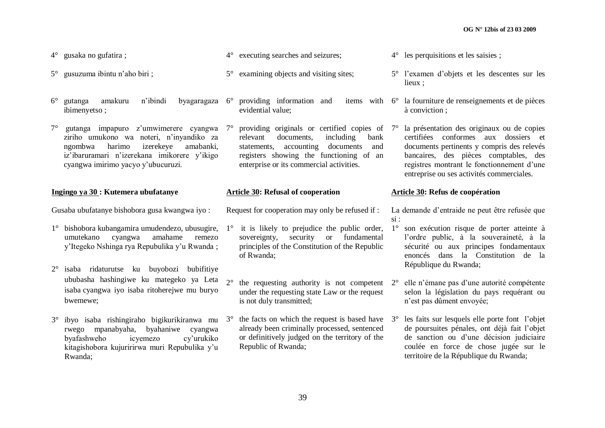- 4° gusaka no gufatira ;
- 5° gusuzuma ibintu n"aho biri ;
- 6° gutanga amakuru n"ibindi byagaragaza ibimenyetso ;
- $7^\circ$  gutanga impapuro z'umwimerere cyangwa  $7^\circ$ ziriho umukono wa noteri, n"inyandiko za ngombwa harimo izerekeye amabanki, iz"ibaruramari n"izerekana imikorere y"ikigo cyangwa imirimo yacyo y"ubucuruzi.

#### **Ingingo ya 30 : Kutemera ubufatanye**

Gusaba ubufatanye bishobora gusa kwangwa iyo :

- 1° bishobora kubangamira umudendezo, ubusugire, umutekano cyangwa amahame remezo y"Itegeko Nshinga rya Repubulika y"u Rwanda ;
- 2° isaba ridaturutse ku buyobozi bubifitiye ububasha hashingiwe ku mategeko ya Leta isaba cyangwa iyo isaba ritoherejwe mu buryo bwemewe;
- $3^\circ$  ibyo isaba rishingiraho bigikurikiranwa mu  $3^\circ$  the facts on which the request is based have rwego mpanabyaha, byahaniwe cyangwa byafashweho icyemezo cy"urukiko kitagishobora kujuririrwa muri Repubulika y"u Rwanda;
- 4° executing searches and seizures;
- 5° examining objects and visiting sites;
	- providing information and evidential value;
	- providing originals or certified copies of 7° relevant documents, including bank statements, accounting documents and registers showing the functioning of an enterprise or its commercial activities.

#### **Article 30: Refusal of cooperation**

Request for cooperation may only be refused if :

- $1^\circ$  it is likely to prejudice the public order,  $1^\circ$ sovereignty, security or fundamental principles of the Constitution of the Republic of Rwanda;
- $2^{\circ}$  the requesting authority is not competent  $2^{\circ}$ under the requesting state Law or the request is not duly transmitted;
	- already been criminally processed, sentenced or definitively judged on the territory of the Republic of Rwanda;
- 4° les perquisitions et les saisies ;
- 5° l"examen d"objets et les descentes sur les lieux ;
- 6° la fourniture de renseignements et de pièces à conviction ;
	- la présentation des originaux ou de copies certifiées conformes aux dossiers et documents pertinents y compris des relevés bancaires, des pièces comptables, des registres montrant le fonctionnement d"une entreprise ou ses activités commerciales.

#### **Article 30: Refus de coopération**

La demande d"entraide ne peut être refusée que si :

- 1° son exécution risque de porter atteinte à l"ordre public, à la souveraineté, à la sécurité ou aux principes fondamentaux enoncés dans la Constitution de la République du Rwanda;
- 2° elle n"émane pas d"une autorité compétente selon la législation du pays requérant ou n"est pas dûment envoyée;
- les faits sur lesquels elle porte font l'objet de poursuites pénales, ont déjà fait l"objet de sanction ou d"une décision judiciaire coulée en force de chose jugée sur le territoire de la République du Rwanda;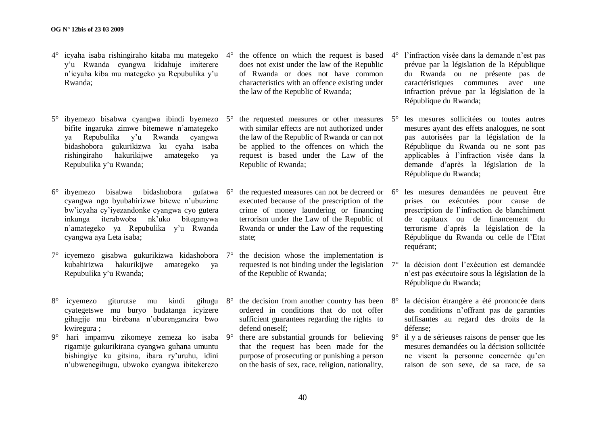- 4° icyaha isaba rishingiraho kitaba mu mategeko y"u Rwanda cyangwa kidahuje imiterere n"icyaha kiba mu mategeko ya Repubulika y"u Rwanda;
- 5° ibyemezo bisabwa cyangwa ibindi byemezo bifite ingaruka zimwe bitemewe n"amategeko ya Repubulika y"u Rwanda cyangwa bidashobora gukurikizwa ku cyaha isaba rishingiraho hakurikijwe amategeko ya Repubulika y"u Rwanda;
- 6° ibyemezo bisabwa bidashobora gufatwa cyangwa ngo byubahirizwe bitewe n"ubuzime bw"icyaha cy"iyezandonke cyangwa cyo gutera inkunga iterabwoba nk"uko biteganywa n"amategeko ya Repubulika y"u Rwanda cyangwa aya Leta isaba;
- 7° icyemezo gisabwa gukurikizwa kidashobora kubahirizwa hakurikijwe amategeko ya Repubulika y"u Rwanda;
- 8° icyemezo giturutse mu kindi gihugu cyategetswe mu buryo budatanga icyizere gihagije mu birebana n"uburenganzira bwo kwiregura ;
- 9° hari impamvu zikomeye zemeza ko isaba rigamije gukurikirana cyangwa guhana umuntu bishingiye ku gitsina, ibara ry"uruhu, idini n"ubwenegihugu, ubwoko cyangwa ibitekerezo
- does not exist under the law of the Republic of Rwanda or does not have common characteristics with an offence existing under the law of the Republic of Rwanda;
- the requested measures or other measures  $5^\circ$ with similar effects are not authorized under the law of the Republic of Rwanda or can not be applied to the offences on which the request is based under the Law of the Republic of Rwanda;
- the requested measures can not be decreed or  $6^{\circ}$ executed because of the prescription of the crime of money laundering or financing terrorism under the Law of the Republic of Rwanda or under the Law of the requesting state;
- 7° the decision whose the implementation is requested is not binding under the legislation  $7^\circ$ of the Republic of Rwanda;
- the decision from another country has been  $8^\circ$ ordered in conditions that do not offer sufficient guarantees regarding the rights to defend oneself;
- 9° there are substantial grounds for believing that the request has been made for the purpose of prosecuting or punishing a person on the basis of sex, race, religion, nationality,
- $4^{\circ}$  the offence on which the request is based  $4^{\circ}$  l'infraction visée dans la demande n'est pas prévue par la législation de la République du Rwanda ou ne présente pas de caractéristiques communes avec une infraction prévue par la législation de la République du Rwanda;
	- 5° les mesures sollicitées ou toutes autres mesures ayant des effets analogues, ne sont pas autorisées par la législation de la République du Rwanda ou ne sont pas applicables à l"infraction visée dans la demande d"après la législation de la République du Rwanda;
	- les mesures demandées ne peuvent être prises ou exécutées pour cause de prescription de l"infraction de blanchiment de capitaux ou de financement du terrorisme d"après la législation de la République du Rwanda ou celle de l"Etat requérant;
	- la décision dont l'exécution est demandée n"est pas exécutoire sous la législation de la République du Rwanda;
	- la décision étrangère a été prononcée dans des conditions n"offrant pas de garanties suffisantes au regard des droits de la défense;
	- 9° il y a de sérieuses raisons de penser que les mesures demandées ou la décision sollicitée ne visent la personne concernée qu"en raison de son sexe, de sa race, de sa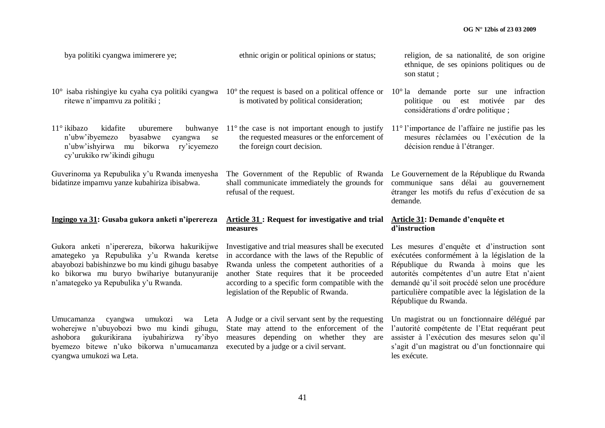| bya politiki cyangwa imimerere ye;                                                                                                                                                                                                       | ethnic origin or political opinions or status;                                                                                                                                                                                                                                                    | religion, de sa nationalité, de son origine<br>ethnique, de ses opinions politiques ou de<br>son statut;                                                                                                                                                                                                              |
|------------------------------------------------------------------------------------------------------------------------------------------------------------------------------------------------------------------------------------------|---------------------------------------------------------------------------------------------------------------------------------------------------------------------------------------------------------------------------------------------------------------------------------------------------|-----------------------------------------------------------------------------------------------------------------------------------------------------------------------------------------------------------------------------------------------------------------------------------------------------------------------|
| 10° isaba rishingiye ku cyaha cya politiki cyangwa<br>ritewe n'impamvu za politiki;                                                                                                                                                      | $10o$ the request is based on a political offence or<br>is motivated by political consideration;                                                                                                                                                                                                  | $10^{\circ}$ la demande porte<br>infraction<br>sur une<br>politique<br>ou est<br>motivée<br>des<br>par<br>considérations d'ordre politique ;                                                                                                                                                                          |
| 11° ikibazo<br>kidafite<br>uburemere<br>buhwanye<br>n'ubw'ibyemezo<br>byasabwe<br>cyangwa<br>se<br>n'ubw'ishyirwa<br>mu bikorwa<br>ry'icyemezo<br>cy'urukiko rw'ikindi gihugu                                                            | $11^{\circ}$ the case is not important enough to justify<br>the requested measures or the enforcement of<br>the foreign court decision.                                                                                                                                                           | $11^{\circ}$ l'importance de l'affaire ne justifie pas les<br>mesures réclamées ou l'exécution de la<br>décision rendue à l'étranger.                                                                                                                                                                                 |
| Guverinoma ya Repubulika y'u Rwanda imenyesha<br>bidatinze impamvu yanze kubahiriza ibisabwa.                                                                                                                                            | The Government of the Republic of Rwanda<br>shall communicate immediately the grounds for<br>refusal of the request.                                                                                                                                                                              | Le Gouvernement de la République du Rwanda<br>communique sans délai au gouvernement<br>étranger les motifs du refus d'exécution de sa<br>demande.                                                                                                                                                                     |
|                                                                                                                                                                                                                                          |                                                                                                                                                                                                                                                                                                   |                                                                                                                                                                                                                                                                                                                       |
| Ingingo ya 31: Gusaba gukora anketi n'iperereza                                                                                                                                                                                          | Article 31 : Request for investigative and trial<br>measures                                                                                                                                                                                                                                      | Article 31: Demande d'enquête et<br>d'instruction                                                                                                                                                                                                                                                                     |
| Gukora anketi n'iperereza, bikorwa hakurikijwe<br>amategeko ya Repubulika y'u Rwanda keretse<br>abayobozi babishinzwe bo mu kindi gihugu basabye<br>ko bikorwa mu buryo bwihariye butanyuranije<br>n'amategeko ya Repubulika y'u Rwanda. | Investigative and trial measures shall be executed<br>in accordance with the laws of the Republic of<br>Rwanda unless the competent authorities of a<br>another State requires that it be proceeded<br>according to a specific form compatible with the<br>legislation of the Republic of Rwanda. | Les mesures d'enquête et d'instruction sont<br>exécutées conformément à la législation de la<br>République du Rwanda à moins que les<br>autorités compétentes d'un autre Etat n'aient<br>demandé qu'il soit procédé selon une procédure<br>particulière compatible avec la législation de la<br>République du Rwanda. |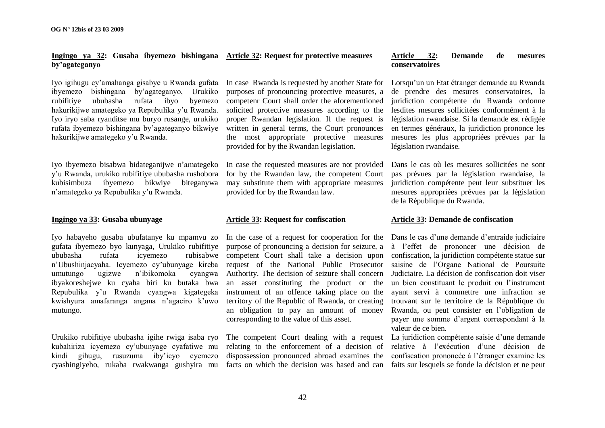### **Ingingo ya 32: Gusaba ibyemezo bishingana Article 32: Request for protective measures by'agateganyo**

Iyo igihugu cy"amahanga gisabye u Rwanda gufata ibyemezo bishingana by"agateganyo, Urukiko rubifitiye ububasha rufata ibyo byemezo hakurikijwe amategeko ya Repubulika y'u Rwanda. Iyo iryo saba ryanditse mu buryo rusange, urukiko rufata ibyemezo bishingana by"agateganyo bikwiye hakurikijwe amategeko y"u Rwanda.

Iyo ibyemezo bisabwa bidateganijwe n"amategeko y"u Rwanda, urukiko rubifitiye ububasha rushobora kubisimbuza ibyemezo bikwiye biteganywa n"amategeko ya Repubulika y"u Rwanda.

# **Ingingo ya 33: Gusaba ubunyage**

Iyo habayeho gusaba ubufatanye ku mpamvu zo gufata ibyemezo byo kunyaga, Urukiko rubifitiye ububasha rufata icyemezo rubisabwe n"Ubushinjacyaha. Icyemezo cy"ubunyage kireba umutungo ugizwe n"ibikomoka cyangwa ibyakoreshejwe ku cyaha biri ku butaka bwa Repubulika y"u Rwanda cyangwa kigategeka kwishyura amafaranga angana n"agaciro k"uwo mutungo.

Urukiko rubifitiye ububasha igihe rwiga isaba ryo kubahiriza icyemezo cy"ubunyage cyafatiwe mu kindi gihugu, rusuzuma iby"icyo cyemezo cyashingiyeho, rukaba rwakwanga gushyira mu In case Rwanda is requested by another State for purposes of pronouncing protective measures, a competenr Court shall order the aforementioned solicited protective measures according to the proper Rwandan legislation. If the request is written in general terms, the Court pronounces the most appropriate protective measures provided for by the Rwandan legislation.

In case the requested measures are not provided for by the Rwandan law, the competent Court may substitute them with appropriate measures provided for by the Rwandan law.

# **Article 33: Request for confiscation**

In the case of a request for cooperation for the purpose of pronouncing a decision for seizure, a competent Court shall take a decision upon request of the National Public Prosecutor Authority. The decision of seizure shall concern an asset constituting the product or the instrument of an offence taking place on the territory of the Republic of Rwanda, or creating an obligation to pay an amount of money corresponding to the value of this asset.

The competent Court dealing with a request relating to the enforcement of a decision of dispossession pronounced abroad examines the

#### **Article 32: Demande de mesures conservatoires**

Lorsqu"un un Etat étranger demande au Rwanda de prendre des mesures conservatoires, la juridiction compétente du Rwanda ordonne lesdites mesures sollicitées conformément à la législation rwandaise. Si la demande est rédigée en termes généraux, la juridiction prononce les mesures les plus appropriées prévues par la législation rwandaise.

Dans le cas où les mesures sollicitées ne sont pas prévues par la législation rwandaise, la juridiction compétente peut leur substituer les mesures appropriées prévues par la législation de la République du Rwanda.

# **Article 33: Demande de confiscation**

Dans le cas d'une demande d'entraide judiciaire à l"effet de prononcer une décision de confiscation, la juridiction compétente statue sur saisine de l"Organe National de Poursuite Judiciaire. La décision de confiscation doit viser un bien constituant le produit ou l"instrument ayant servi à commettre une infraction se trouvant sur le territoire de la République du Rwanda, ou peut consister en l"obligation de payer une somme d"argent correspondant à la valeur de ce bien.

facts on which the decision was based and can faits sur lesquels se fonde la décision et ne peut La juridiction compétente saisie d'une demande relative à l"exécution d"une décision de confiscation prononcée à l"étranger examine les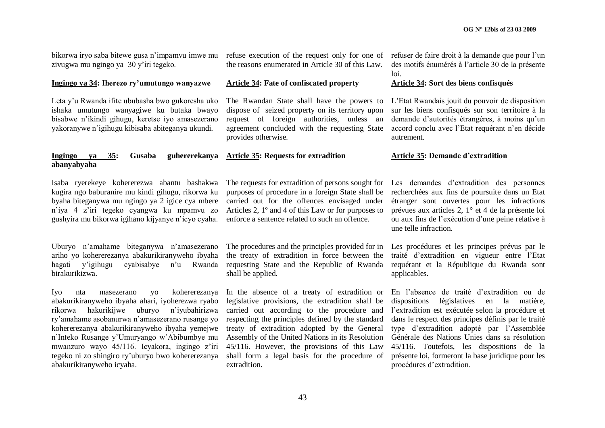bikorwa iryo saba bitewe gusa n"impamvu imwe mu zivugwa mu ngingo ya 30 y"iri tegeko.

#### **Ingingo ya 34: Iherezo ry'umutungo wanyazwe**

Leta y"u Rwanda ifite ububasha bwo gukoresha uko ishaka umutungo wanyagiwe ku butaka bwayo bisabwe n"ikindi gihugu, keretse iyo amasezerano yakoranywe n"igihugu kibisaba abiteganya ukundi.

**Ingingo** ya 35: Gusaba

**abanyabyaha**

refuse execution of the request only for one of the reasons enumerated in Article 30 of this Law.

# **Article 34: Fate of confiscated property**

The Rwandan State shall have the powers to dispose of seized property on its territory upon request of foreign authorities, unless an agreement concluded with the requesting State provides otherwise.

#### **Article 35: Requests for extradition**

Isaba ryerekeye kohererezwa abantu bashakwa kugira ngo baburanire mu kindi gihugu, rikorwa ku byaha biteganywa mu ngingo ya 2 igice cya mbere n"iya 4 z"iri tegeko cyangwa ku mpamvu zo gushyira mu bikorwa igihano kijyanye n"icyo cyaha.

Uburyo n"amahame biteganywa n"amasezerano ariho yo kohererezanya abakurikiranyweho ibyaha hagati y'igihugu cyabisabye n'u Rwanda birakurikizwa.

Iyo nta masezerano yo kohererezanya abakurikiranyweho ibyaha ahari, iyoherezwa ryabo rikorwa hakurikijwe uburyo n"iyubahirizwa ry"amahame asobanurwa n"amasezerano rusange yo kohererezanya abakurikiranyweho ibyaha yemejwe n"Inteko Rusange y"Umuryango w"Abibumbye mu mwanzuro wayo 45/116. Icyakora, ingingo z'iri tegeko ni zo shingiro ry"uburyo bwo kohererezanya abakurikiranyweho icyaha.

purposes of procedure in a foreign State shall be recherchées aux fins de poursuite dans un Etat carried out for the offences envisaged under Articles 2, 1º and 4 of this Law or for purposes to enforce a sentence related to such an offence.

the treaty of extradition in force between the requesting State and the Republic of Rwanda shall be applied.

In the absence of a treaty of extradition or legislative provisions, the extradition shall be carried out according to the procedure and respecting the principles defined by the standard treaty of extradition adopted by the General Assembly of the United Nations in its Resolution 45/116. However, the provisions of this Law shall form a legal basis for the procedure of extradition.

refuser de faire droit à la demande que pour l"un des motifs énumérés à l"article 30 de la présente loi.

#### **Article 34: Sort des biens confisqués**

L"Etat Rwandais jouit du pouvoir de disposition sur les biens confisqués sur son territoire à la demande d'autorités étrangères, à moins qu'un accord conclu avec l"Etat requérant n"en décide autrement.

#### **Article 35: Demande d'extradition**

The requests for extradition of persons sought for Les demandes d'extradition des personnes étranger sont ouvertes pour les infractions prévues aux articles 2, 1° et 4 de la présente loi ou aux fins de l"exécution d"une peine relative à une telle infraction.

The procedures and the principles provided for in Les procédures et les principes prévus par le traité d"extradition en vigueur entre l"Etat requérant et la République du Rwanda sont applicables.

> En l"absence de traité d"extradition ou de dispositions législatives en la matière, l"extradition est exécutée selon la procédure et dans le respect des principes définis par le traité type d"extradition adopté par l"Assemblée Générale des Nations Unies dans sa résolution 45/116. Toutefois, les dispositions de la présente loi, formeront la base juridique pour les procédures d"extradition.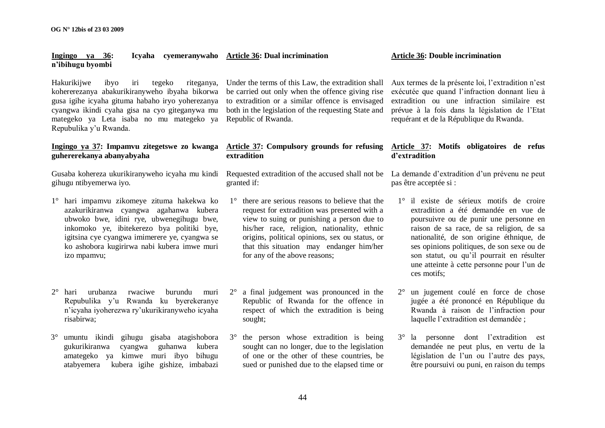# **Ingingo ya 36: Icyaha cyemeranywaho Article 36: Dual incrimination n'ibihugu byombi**

Hakurikijwe ibyo iri tegeko riteganya, kohererezanya abakurikiranyweho ibyaha bikorwa gusa igihe icyaha gituma habaho iryo yoherezanya cyangwa ikindi cyaha gisa na cyo giteganywa mu mategeko ya Leta isaba no mu mategeko ya Repubulika y"u Rwanda.

# **Ingingo ya 37: Impamvu zitegetswe zo kwanga guhererekanya abanyabyaha**

Gusaba kohereza ukurikiranyweho icyaha mu kindi gihugu ntibyemerwa iyo.

- 1° hari impamvu zikomeye zituma hakekwa ko azakurikiranwa cyangwa agahanwa kubera ubwoko bwe, idini rye, ubwenegihugu bwe, inkomoko ye, ibitekerezo bya politiki bye, igitsina cye cyangwa imimerere ye, cyangwa se ko ashobora kugirirwa nabi kubera imwe muri izo mpamvu;
- 2° hari urubanza rwaciwe burundu muri Repubulika y"u Rwanda ku byerekeranye n"icyaha iyoherezwa ry"ukurikiranyweho icyaha risabirwa;
- 3° umuntu ikindi gihugu gisaba atagishobora gukurikiranwa cyangwa guhanwa kubera amategeko ya kimwe muri ibyo bihugu atabyemera kubera igihe gishize, imbabazi

Under the terms of this Law, the extradition shall be carried out only when the offence giving rise to extradition or a similar offence is envisaged both in the legislation of the requesting State and Republic of Rwanda.

# **Article 37: Compulsory grounds for refusing Article 37: Motifs obligatoires de refus extradition**

Requested extradition of the accused shall not be La demande d'extradition d'un prévenu ne peut granted if:

- 1° there are serious reasons to believe that the request for extradition was presented with a view to suing or punishing a person due to his/her race, religion, nationality, ethnic origins, political opinions, sex ou status, or that this situation may endanger him/her for any of the above reasons;
- 2° a final judgement was pronounced in the Republic of Rwanda for the offence in respect of which the extradition is being sought;
- 3° the person whose extradition is being sought can no longer, due to the legislation of one or the other of these countries, be sued or punished due to the elapsed time or

**Article 36: Double incrimination**

Aux termes de la présente loi, l"extradition n"est exécutée que quand l"infraction donnant lieu à extradition ou une infraction similaire est prévue à la fois dans la législation de l"Etat requérant et de la République du Rwanda.

# **d'extradition**

pas être acceptée si :

- 1° il existe de sérieux motifs de croire extradition a été demandée en vue de poursuivre ou de punir une personne en raison de sa race, de sa religion, de sa nationalité, de son origine éthnique, de ses opinions politiques, de son sexe ou de son statut, ou qu"il pourrait en résulter une atteinte à cette personne pour l"un de ces motifs;
- 2° un jugement coulé en force de chose jugée a été prononcé en République du Rwanda à raison de l"infraction pour laquelle l"extradition est demandée ;
- 3° la personne dont l"extradition est demandée ne peut plus, en vertu de la législation de l'un ou l'autre des pays, être poursuivi ou puni, en raison du temps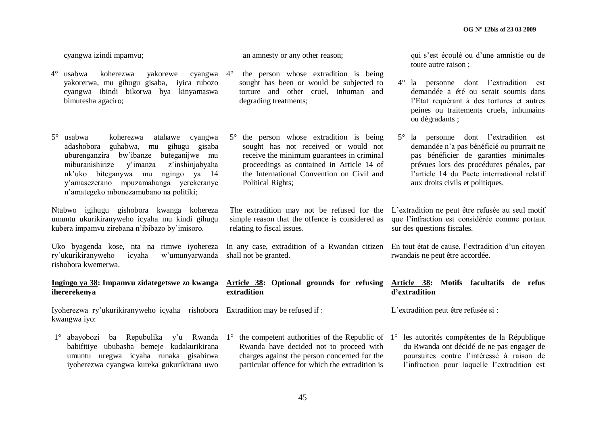cyangwa izindi mpamvu;

- 4° usabwa koherezwa yakorewe cyangwa yakorerwa, mu gihugu gisaba, iyica rubozo cyangwa ibindi bikorwa bya kinyamaswa bimutesha agaciro;
- 5° usabwa koherezwa atahawe cyangwa adashobora guhabwa, mu gihugu gisaba uburenganzira bw"ibanze buteganijwe mu miburanishirize y"imanza z"inshinjabyaha nk"uko biteganywa mu ngingo ya 14 y"amasezerano mpuzamahanga yerekeranye n"amategeko mbonezamubano na politiki;

Ntabwo igihugu gishobora kwanga kohereza umuntu ukurikiranyweho icyaha mu kindi gihugu kubera impamvu zirebana n"ibibazo by"imisoro.

Uko byagenda kose, nta na rimwe iyohereza ry"ukurikiranyweho icyaha w"umunyarwanda shall not be granted. rishobora kwemerwa.

# **Ingingo ya 38: Impamvu zidategetswe zo kwanga Article 38: Optional grounds for refusing ihererekenya**

Iyoherezwa ry"ukurikiranyweho icyaha rishobora Extradition may be refused if : kwangwa iyo:

1° abayobozi ba Repubulika y'u Rwanda 1° the competent authorities of the Republic of 1° les autorités compétentes de la République babifitiye ububasha bemeje kudakurikirana umuntu uregwa icyaha runaka gisabirwa iyoherezwa cyangwa kureka gukurikirana uwo

an amnesty or any other reason;

- the person whose extradition is being sought has been or would be subjected to torture and other cruel, inhuman and degrading treatments;
- 5° the person whose extradition is being sought has not received or would not receive the minimum guarantees in criminal proceedings as contained in Article 14 of the International Convention on Civil and Political Rights;

simple reason that the offence is considered as relating to fiscal issues.

In any case, extradition of a Rwandan citizen En tout état de cause, l'extradition d'un citoyen

# **extradition**

Rwanda have decided not to proceed with charges against the person concerned for the particular offence for which the extradition is qui s"est écoulé ou d"une amnistie ou de toute autre raison ;

- 4° la personne dont l"extradition est demandée a été ou serait soumis dans l"Etat requérant à des tortures et autres peines ou traitements cruels, inhumains ou dégradants ;
- 5° la personne dont l"extradition est demandée n"a pas bénéficié ou pourrait ne pas bénéficier de garanties minimales prévues lors des procédures pénales, par l"article 14 du Pacte international relatif aux droits civils et politiques.

The extradition may not be refused for the L'extradition ne peut être refusée au seul motif que l"infraction est considérée comme portant sur des questions fiscales.

rwandais ne peut être accordée.

# **Article 38: Motifs facultatifs de refus d'extradition**

L'extradition peut être refusée si :

du Rwanda ont décidé de ne pas engager de poursuites contre l"intéressé à raison de l'infraction pour laquelle l'extradition est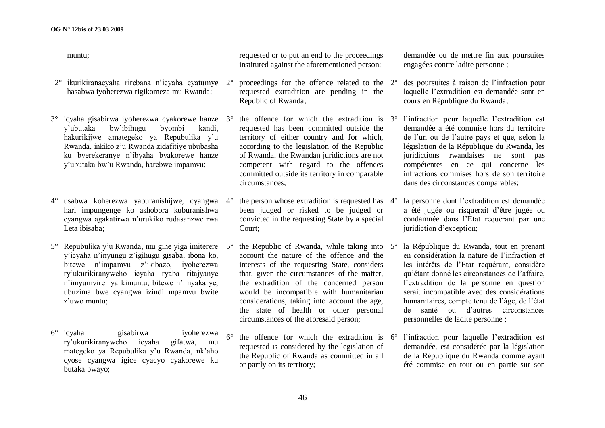muntu;

- 2° ikurikiranacyaha rirebana n"icyaha cyatumye hasabwa iyoherezwa rigikomeza mu Rwanda;
- $3^\circ$  icyaha gisabirwa iyoherezwa cyakorewe hanze  $3^\circ$ y"ubutaka bw"ibihugu byombi kandi, hakurikijwe amategeko ya Repubulika y'u Rwanda, inkiko z"u Rwanda zidafitiye ububasha ku byerekeranye n"ibyaha byakorewe hanze y"ubutaka bw"u Rwanda, harebwe impamvu;
- 4° usabwa koherezwa yaburanishijwe, cyangwa hari impungenge ko ashobora kuburanishwa cyangwa agakatirwa n"urukiko rudasanzwe rwa Leta ibisaba;
- $5^\circ$  Repubulika y'u Rwanda, mu gihe yiga imiterere  $5^\circ$ y"icyaha n"inyungu z"igihugu gisaba, ibona ko, bitewe n"impamvu z"ikibazo, iyoherezwa ry"ukurikiranyweho icyaha ryaba ritajyanye n"imyumvire ya kimuntu, bitewe n"imyaka ye, ubuzima bwe cyangwa izindi mpamvu bwite z"uwo muntu;
- 6° icyaha gisabirwa iyoherezwa ry"ukurikiranyweho icyaha gifatwa, mu mategeko ya Repubulika y"u Rwanda, nk"aho cyose cyangwa igice cyacyo cyakorewe ku butaka bwayo;

requested or to put an end to the proceedings instituted against the aforementioned person;

- 2° proceedings for the offence related to the requested extradition are pending in the Republic of Rwanda;
- the offence for which the extradition is  $3^\circ$ requested has been committed outside the territory of either country and for which, according to the legislation of the Republic of Rwanda, the Rwandan juridictions are not competent with regard to the offences committed outside its territory in comparable circumstances;
- the person whose extradition is requested has  $4^\circ$ been judged or risked to be judged or convicted in the requesting State by a special Court;
- the Republic of Rwanda, while taking into  $5^\circ$ account the nature of the offence and the interests of the requesting State, considers that, given the circumstances of the matter, the extradition of the concerned person would be incompatible with humanitarian considerations, taking into account the age, the state of health or other personal circumstances of the aforesaid person;
- the offence for which the extradition is  $6^\circ$ requested is considered by the legislation of the Republic of Rwanda as committed in all or partly on its territory;

demandée ou de mettre fin aux poursuites engagées contre ladite personne ;

- 2° des poursuites à raison de l"infraction pour laquelle l"extradition est demandée sont en cours en République du Rwanda;
- l'infraction pour laquelle l'extradition est demandée a été commise hors du territoire de l"un ou de l"autre pays et que, selon la législation de la République du Rwanda, les juridictions rwandaises ne sont pas compétentes en ce qui concerne les infractions commises hors de son territoire dans des circonstances comparables;
- la personne dont l'extradition est demandée a été jugée ou risquerait d"être jugée ou condamnée dans l"Etat requérant par une juridiction d"exception;
- la République du Rwanda, tout en prenant en considération la nature de l"infraction et les intérêts de l"Etat requérant, considère qu"étant donné les circonstances de l"affaire, l"extradition de la personne en question serait incompatible avec des considérations humanitaires, compte tenu de l"âge, de l"état de santé ou d"autres circonstances personnelles de ladite personne ;
- l'infraction pour laquelle l'extradition est demandée, est considérée par la législation de la République du Rwanda comme ayant été commise en tout ou en partie sur son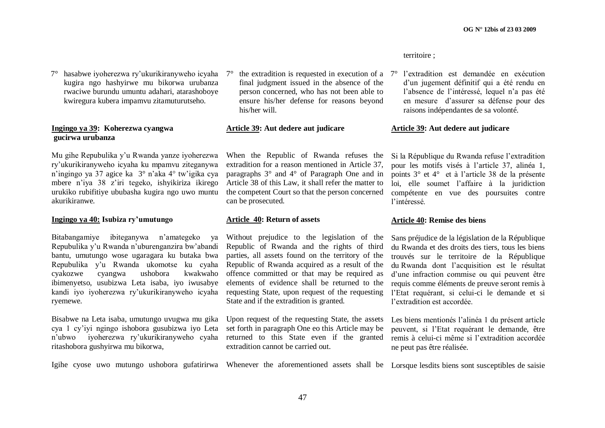territoire ;

 $7^\circ$  the extradition is requested in execution of a  $7^\circ$ final judgment issued in the absence of the person concerned, who has not been able to ensure his/her defense for reasons beyond

#### **Article 39: Aut dedere aut judicare**

his/her will.

When the Republic of Rwanda refuses the extradition for a reason mentioned in Article 37, paragraphs 3° and 4° of Paragraph One and in Article 38 of this Law, it shall refer the matter to the competent Court so that the person concerned can be prosecuted.

# **Article 40: Return of assets**

Without prejudice to the legislation of the Republic of Rwanda and the rights of third parties, all assets found on the territory of the Republic of Rwanda acquired as a result of the offence committed or that may be required as elements of evidence shall be returned to the requesting State, upon request of the requesting State and if the extradition is granted.

Upon request of the requesting State, the assets set forth in paragraph One eo this Article may be returned to this State even if the granted extradition cannot be carried out.

l'extradition est demandée en exécution d"un jugement définitif qui a été rendu en l"absence de l"intéressé, lequel n"a pas été en mesure d"assurer sa défense pour des raisons indépendantes de sa volonté.

#### **Article 39: Aut dedere aut judicare**

Si la République du Rwanda refuse l"extradition pour les motifs visés à l"article 37, alinéa 1, points 3° et 4° et à l"article 38 de la présente loi, elle soumet l"affaire à la juridiction compétente en vue des poursuites contre l"intéressé.

#### **Article 40: Remise des biens**

Sans préjudice de la législation de la République du Rwanda et des droits des tiers, tous les biens trouvés sur le territoire de la République du Rwanda dont l"acquisition est le résultat d"une infraction commise ou qui peuvent être requis comme éléments de preuve seront remis à l"Etat requérant, si celui-ci le demande et si l'extradition est accordée.

Les biens mentionés l"alinéa 1 du présent article peuvent, si l"Etat requérant le demande, être remis à celui-ci même si l"extradition accordée ne peut pas être réalisée.

Igihe cyose uwo mutungo ushobora gufatirirwa Whenever the aforementioned assets shall be Lorsque lesdits biens sont susceptibles de saisie

7° hasabwe iyoherezwa ry"ukurikiranyweho icyaha kugira ngo hashyirwe mu bikorwa urubanza rwaciwe burundu umuntu adahari, atarashoboye kwiregura kubera impamvu zitamuturutseho.

#### **Ingingo ya 39: Koherezwa cyangwa gucirwa urubanza**

Mu gihe Repubulika y"u Rwanda yanze iyoherezwa ry"ukurikiranyweho icyaha ku mpamvu ziteganywa n"ingingo ya 37 agice ka 3° n"aka 4° tw"igika cya mbere n"iya 38 z"iri tegeko, ishyikiriza ikirego urukiko rubifitiye ububasha kugira ngo uwo muntu akurikiranwe.

# **Ingingo ya 40: Isubiza ry'umutungo**

Bitabangamiye ibiteganywa n"amategeko ya Repubulika y"u Rwanda n"uburenganzira bw"abandi bantu, umutungo wose ugaragara ku butaka bwa Repubulika y"u Rwanda ukomotse ku cyaha cyakozwe cyangwa ushobora kwakwaho ibimenyetso, usubizwa Leta isaba, iyo iwusabye kandi iyo iyoherezwa ry"ukurikiranyweho icyaha ryemewe.

Bisabwe na Leta isaba, umutungo uvugwa mu gika cya 1 cy"iyi ngingo ishobora gusubizwa iyo Leta n"ubwo iyoherezwa ry"ukurikiranyweho cyaha ritashobora gushyirwa mu bikorwa,

47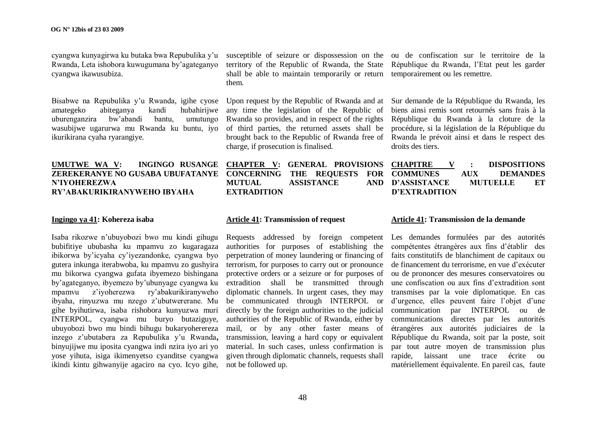cyangwa kunyagirwa ku butaka bwa Repubulika y"u Rwanda, Leta ishobora kuwugumana by"agateganyo cyangwa ikawusubiza.

Bisabwe na Repubulika y"u Rwanda, igihe cyose amategeko abiteganya kandi hubahirijwe uburenganzira bw"abandi bantu, umutungo wasubijwe ugarurwa mu Rwanda ku buntu, iyo ikurikirana cyaha ryarangiye.

# **UMUTWE WA V: INGINGO RUSANGE ZEREKERANYE NO GUSABA UBUFATANYE N'IYOHEREZWA RY'ABAKURIKIRANYWEHO IBYAHA**

# **Ingingo ya 41: Kohereza isaba**

Isaba rikozwe n"ubuyobozi bwo mu kindi gihugu bubifitiye ububasha ku mpamvu zo kugaragaza ibikorwa by"icyaha cy"iyezandonke, cyangwa byo gutera inkunga iterabwoba, ku mpamvu zo gushyira mu bikorwa cyangwa gufata ibyemezo bishingana by"agateganyo, ibyemezo by"ubunyage cyangwa ku mpamvu z"iyoherezwa ry"abakurikiranyweho ibyaha, rinyuzwa mu nzego z"ubutwererane. Mu gihe byihutirwa, isaba rishobora kunyuzwa muri INTERPOL, cyangwa mu buryo butaziguye, ubuyobozi bwo mu bindi bihugu bukaryoherereza inzego z"ubutabera za Repubulika y"u Rwanda**,**  binyujijwe mu iposita cyangwa indi nzira iyo ari yo yose yihuta, isiga ikimenyetso cyanditse cyangwa ikindi kintu gihwanyije agaciro na cyo. Icyo gihe,

territory of the Republic of Rwanda, the State République du Rwanda, l"Etat peut les garder shall be able to maintain temporarily or return temporairement ou les remettre. them.

Upon request by the Republic of Rwanda and at any time the legislation of the Republic of Rwanda so provides, and in respect of the rights of third parties, the returned assets shall be brought back to the Republic of Rwanda free of Rwanda le prévoit ainsi et dans le respect des charge, if prosecution is finalised.

**CHAPTER V: GENERAL PROVISIONS CONCERNING THE REQUESTS FOR COMMUNES AUX DEMANDES MUTUAL ASSISTANCE EXTRADITION**

susceptible of seizure or dispossession on the ou de confiscation sur le territoire de la

Sur demande de la République du Rwanda, les biens ainsi remis sont retournés sans frais à la République du Rwanda à la cloture de la procédure, si la législation de la République du droits des tiers.

# **CHAPITRE V : DISPOSITIONS D'ASSISTANCE MUTUELLE ET D'EXTRADITION**

# **Article 41: Transmission of request**

Requests addressed by foreign competent Les demandes formulées par des autorités authorities for purposes of establishing the perpetration of money laundering or financing of terrorism, for purposes to carry out or pronounce protective orders or a seizure or for purposes of extradition shall be transmitted through diplomatic channels. In urgent cases, they may be communicated through INTERPOL or directly by the foreign authorities to the judicial authorities of the Republic of Rwanda, either by mail, or by any other faster means of transmission, leaving a hard copy or equivalent material. In such cases, unless confirmation is given through diplomatic channels, requests shall not be followed up.

#### **Article 41: Transmission de la demande**

compétentes étrangères aux fins d"établir des faits constitutifs de blanchiment de capitaux ou de financement du terrorisme, en vue d"exécuter ou de prononcer des mesures conservatoires ou une confiscation ou aux fins d"extradition sont transmises par la voie diplomatique. En cas d'urgence, elles peuvent faire l'objet d'une communication par INTERPOL ou de communications directes par les autorités étrangères aux autorités judiciaires de la République du Rwanda, soit par la poste, soit par tout autre moyen de transmission plus rapide, laissant une trace écrite ou matériellement équivalente. En pareil cas, faute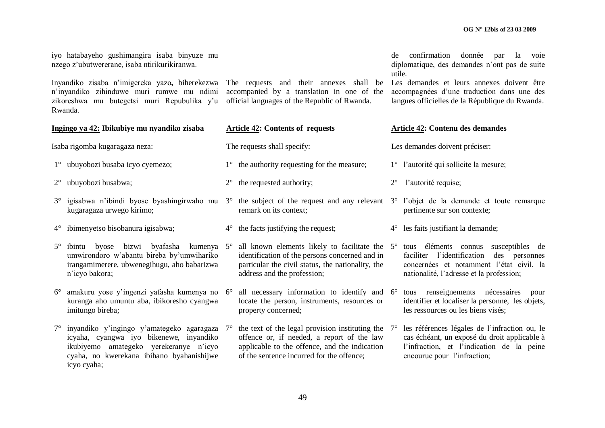|                                                                                                                                                                                                                                          | iyo hatabayeho gushimangira isaba binyuze mu<br>nzego z'ubutwererane, isaba ntirikurikiranwa.                                                                                                    | confirmation donnée par<br>la<br>de<br>voie<br>diplomatique, des demandes n'ont pas de suite<br>utile. |                                                                                                                                                                                                                           |                                                                                                                                             |                                                                                                                                                                           |  |  |  |
|------------------------------------------------------------------------------------------------------------------------------------------------------------------------------------------------------------------------------------------|--------------------------------------------------------------------------------------------------------------------------------------------------------------------------------------------------|--------------------------------------------------------------------------------------------------------|---------------------------------------------------------------------------------------------------------------------------------------------------------------------------------------------------------------------------|---------------------------------------------------------------------------------------------------------------------------------------------|---------------------------------------------------------------------------------------------------------------------------------------------------------------------------|--|--|--|
| Inyandiko zisaba n'imigereka yazo, biherekezwa The requests and their annexes shall be<br>n'inyandiko zihinduwe muri rumwe mu ndimi accompanied by a translation in one of the<br>zikoreshwa mu butegetsi muri Repubulika y'u<br>Rwanda. |                                                                                                                                                                                                  |                                                                                                        | official languages of the Republic of Rwanda.                                                                                                                                                                             | Les demandes et leurs annexes doivent être<br>accompagnées d'une traduction dans une des<br>langues officielles de la République du Rwanda. |                                                                                                                                                                           |  |  |  |
| Ingingo ya 42: Ibikubiye mu nyandiko zisaba                                                                                                                                                                                              |                                                                                                                                                                                                  | <b>Article 42: Contents of requests</b>                                                                |                                                                                                                                                                                                                           | <b>Article 42: Contenu des demandes</b>                                                                                                     |                                                                                                                                                                           |  |  |  |
|                                                                                                                                                                                                                                          | Isaba rigomba kugaragaza neza:                                                                                                                                                                   |                                                                                                        | The requests shall specify:                                                                                                                                                                                               |                                                                                                                                             | Les demandes doivent préciser:                                                                                                                                            |  |  |  |
|                                                                                                                                                                                                                                          | 1° ubuyobozi busaba icyo cyemezo;                                                                                                                                                                |                                                                                                        | 1° the authority requesting for the measure;                                                                                                                                                                              |                                                                                                                                             | 1° l'autorité qui sollicite la mesure;                                                                                                                                    |  |  |  |
| $2^{\circ}$                                                                                                                                                                                                                              | ubuyobozi busabwa;                                                                                                                                                                               | $2^{\circ}$                                                                                            | the requested authority;                                                                                                                                                                                                  | $2^{\circ}$                                                                                                                                 | l'autorité requise;                                                                                                                                                       |  |  |  |
| $3^{\circ}$                                                                                                                                                                                                                              | igisabwa n'ibindi byose byashingirwaho mu<br>kugaragaza urwego kirimo;                                                                                                                           | $3^\circ$                                                                                              | the subject of the request and any relevant $3^{\circ}$ l'objet de la demande et toute remarque<br>remark on its context;                                                                                                 |                                                                                                                                             | pertinente sur son contexte;                                                                                                                                              |  |  |  |
|                                                                                                                                                                                                                                          | 4° ibimenyetso bisobanura igisabwa;                                                                                                                                                              | $4^{\circ}$                                                                                            | the facts justifying the request;                                                                                                                                                                                         | $4^\circ$                                                                                                                                   | les faits justifiant la demande;                                                                                                                                          |  |  |  |
|                                                                                                                                                                                                                                          | byose bizwi byafasha kumenya 5°<br>$5^\circ$ ibintu<br>umwirondoro w'abantu bireba by'umwihariko<br>irangamimerere, ubwenegihugu, aho babarizwa<br>n'icyo bakora;                                |                                                                                                        | all known elements likely to facilitate the 5° tous elements connus susceptibles de<br>identification of the persons concerned and in<br>particular the civil status, the nationality, the<br>address and the profession; |                                                                                                                                             | faciliter l'identification des personnes<br>concernées et notamment l'état civil, la<br>nationalité, l'adresse et la profession;                                          |  |  |  |
| $6^{\circ}$                                                                                                                                                                                                                              | amakuru yose y'ingenzi yafasha kumenya no 6°<br>kuranga aho umuntu aba, ibikoresho cyangwa<br>imitungo bireba;                                                                                   |                                                                                                        | all necessary information to identify and 6°<br>locate the person, instruments, resources or<br>property concerned;                                                                                                       |                                                                                                                                             | tous renseignements nécessaires<br>pour<br>identifier et localiser la personne, les objets,<br>les ressources ou les biens visés;                                         |  |  |  |
|                                                                                                                                                                                                                                          | 7° inyandiko y'ingingo y'amategeko agaragaza 7°<br>icyaha, cyangwa iyo bikenewe, inyandiko<br>ikubiyemo amategeko yerekeranye n'icyo<br>cyaha, no kwerekana ibihano byahanishijwe<br>icyo cyaha; |                                                                                                        | the text of the legal provision instituting the $7^{\circ}$<br>offence or, if needed, a report of the law<br>applicable to the offence, and the indication<br>of the sentence incurred for the offence;                   |                                                                                                                                             | les références légales de l'infraction ou, le<br>cas échéant, un exposé du droit applicable à<br>l'infraction, et l'indication de la peine<br>encourue pour l'infraction; |  |  |  |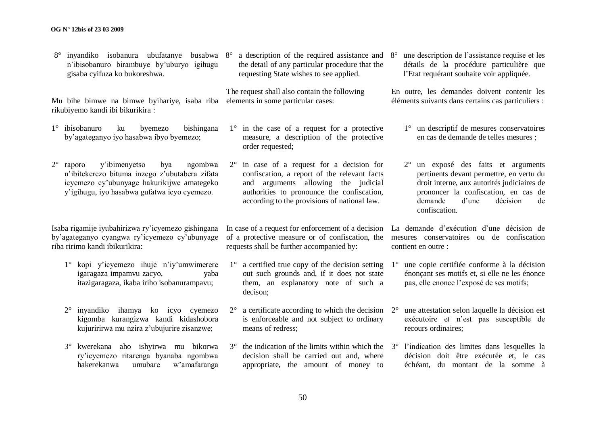Isaba rigamije iyubahirizwa ry"icyemezo gishingana by"agateganyo cyangwa ry"icyemezo cy"ubunyage riba ririmo kandi ibikurikira:

n"ibisobanuro birambuye by"uburyo igihugu

1° ibisobanuro ku byemezo bishingana by"agateganyo iyo hasabwa ibyo byemezo;

2° raporo y"ibimenyetso bya ngombwa n"ibitekerezo bituma inzego z"ubutabera zifata

gisaba cyifuza ko bukoreshwa.

rikubiyemo kandi ibi bikurikira :

- 1° kopi y"icyemezo ihuje n"iy"umwimerere igaragaza impamvu zacyo, yaba itazigaragaza, ikaba iriho isobanurampavu;
- 2° inyandiko ihamya ko icyo cyemezo kigomba kurangizwa kandi kidashobora kujuririrwa mu nzira z"ubujurire zisanzwe;
- 3° kwerekana aho ishyirwa mu bikorwa ry"icyemezo ritarenga byanaba ngombwa hakerekanwa umubare w"amafaranga

8° inyandiko isobanura ubufatanye busabwa 8° a description of the required assistance and the detail of any particular procedure that the requesting State wishes to see applied.

Mu bihe bimwe na bimwe byihariye, isaba riba elements in some particular cases: The request shall also contain the following

> 1° in the case of a request for a protective measure, a description of the protective order requested;

2° in case of a request for a decision for confiscation, a report of the relevant facts and arguments allowing the judicial authorities to pronounce the confiscation, according to the provisions of national law.

In case of a request for enforcement of a decision of a protective measure or of confiscation, the requests shall be further accompanied by:

- 1° a certified true copy of the decision setting out such grounds and, if it does not state them, an explanatory note of such a decison;
- $2^{\circ}$  a certificate according to which the decision  $2^{\circ}$ is enforceable and not subject to ordinary means of redress;
- decision shall be carried out and, where appropriate, the amount of money to

8° une description de l"assistance requise et les détails de la procédure particulière que l"Etat requérant souhaite voir appliquée.

En outre, les demandes doivent contenir les éléments suivants dans certains cas particuliers :

- 1° un descriptif de mesures conservatoires en cas de demande de telles mesures ;
- 2° un exposé des faits et arguments pertinents devant permettre, en vertu du droit interne, aux autorités judiciaires de prononcer la confiscation, en cas de demande d"une décision de confiscation.

La demande d"exécution d"une décision de mesures conservatoires ou de confiscation contient en outre :

- 1° une copie certifiée conforme à la décision énonçant ses motifs et, si elle ne les énonce pas, elle enonce l"exposé de ses motifs;
- 2° une attestation selon laquelle la décision est exécutoire et n"est pas susceptible de recours ordinaires;
- $3^\circ$  the indication of the limits within which the  $3^\circ$  l'indication des limites dans lesquelles la décision doit être exécutée et, le cas échéant, du montant de la somme à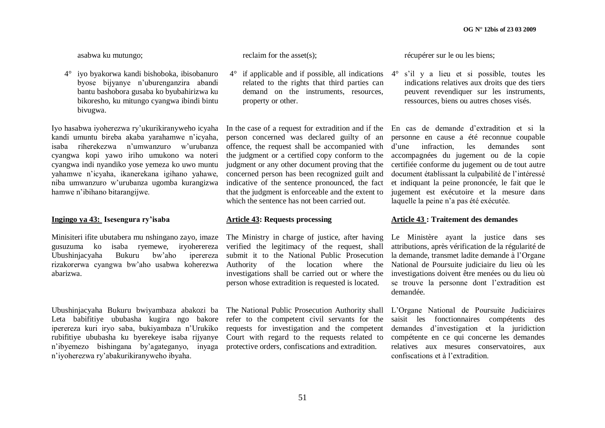asabwa ku mutungo;

4° iyo byakorwa kandi bishoboka, ibisobanuro byose bijyanye n"uburenganzira abandi bantu bashobora gusaba ko byubahirizwa ku bikoresho, ku mitungo cyangwa ibindi bintu bivugwa.

Iyo hasabwa iyoherezwa ry"ukurikiranyweho icyaha kandi umuntu bireba akaba yarahamwe n"icyaha, isaba riherekezwa n"umwanzuro w"urubanza cyangwa kopi yawo iriho umukono wa noteri cyangwa indi nyandiko yose yemeza ko uwo muntu yahamwe n"icyaha, ikanerekana igihano yahawe, niba umwanzuro w"urubanza ugomba kurangizwa hamwe n"ibihano bitarangijwe.

# **Ingingo ya 43: Isesengura ry'isaba**

Minisiteri ifite ubutabera mu nshingano zayo, imaze The Ministry in charge of justice, after having gusuzuma ko isaba ryemewe, iryoherereza Ubushinjacyaha Bukuru bw"aho iperereza rizakorerwa cyangwa bw"aho usabwa koherezwa abarizwa.

Ubushinjacyaha Bukuru bwiyambaza abakozi ba The National Public Prosecution Authority shall L"Organe National de Poursuite Judiciaires Leta babifitiye ububasha kugira ngo bakore refer to the competent civil servants for the saisit les fonctionnaires compétents des iperereza kuri iryo saba, bukiyambaza n"Urukiko rubifitiye ububasha ku byerekeye isaba rijyanye n"ibyemezo bishingana by"agateganyo, inyaga protective orders, confiscations and extradition. n"iyoherezwa ry"abakurikiranyweho ibyaha.

reclaim for the asset(s);

 $4^\circ$  if applicable and if possible, all indications  $4^\circ$  s'il y a lieu et si possible, toutes les related to the rights that third parties can demand on the instruments, resources, property or other.

person concerned was declared guilty of an offence, the request shall be accompanied with the judgment or a certified copy conform to the judgment or any other document proving that the concerned person has been recognized guilt and indicative of the sentence pronounced, the fact that the judgment is enforceable and the extent to which the sentence has not been carried out.

# **Article 43: Requests processing**

verified the legitimacy of the request, shall submit it to the National Public Prosecution Authority of the location where the investigations shall be carried out or where the person whose extradition is requested is located.

requests for investigation and the competent Court with regard to the requests related to récupérer sur le ou les biens;

indications relatives aux droits que des tiers peuvent revendiquer sur les instruments, ressources, biens ou autres choses visés.

In the case of a request for extradition and if the En cas de demande d"extradition et si la personne en cause a été reconnue coupable d"une infraction, les demandes sont accompagnées du jugement ou de la copie certifiée conforme du jugement ou de tout autre document établissant la culpabilité de l"intéressé et indiquant la peine prononcée, le fait que le jugement est exécutoire et la mesure dans laquelle la peine n"a pas été exécutée.

# **Article 43 : Traitement des demandes**

Le Ministère ayant la justice dans ses attributions, après vérification de la régularité de la demande, transmet ladite demande à l"Organe National de Poursuite judiciaire du lieu où les investigations doivent être menées ou du lieu où se trouve la personne dont l"extradition est demandée.

demandes d"investigation et la juridiction compétente en ce qui concerne les demandes relatives aux mesures conservatoires, aux confiscations et à l"extradition.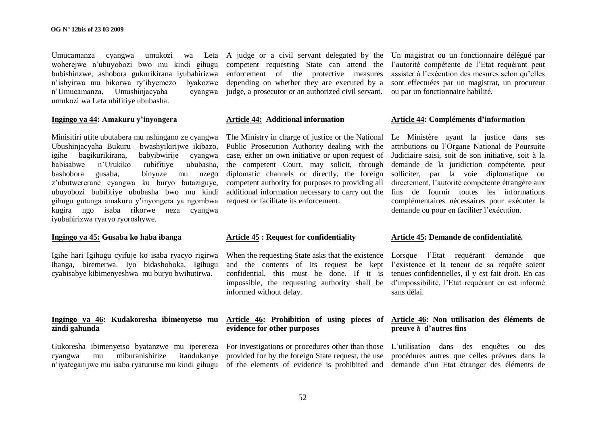Umucamanza cyangwa umukozi wa Leta A judge or a civil servant delegated by the Un magistrat ou un fonctionnaire délégué par woherejwe n"ubuyobozi bwo mu kindi gihugu bubishinzwe, ashobora gukurikirana iyubahirizwa enforcement of the protective measures assister à l'exécution des mesures selon qu'elles n"ishyirwa mu bikorwa ry"ibyemezo byakozwe n'Umucamanza, Umushinjacyaha umukozi wa Leta ubifitiye ububasha.

#### **Ingingo ya 44: Amakuru y'inyongera**

Minisitiri ufite ubutabera mu nshingano ze cyangwa Ubushinjacyaha Bukuru bwashyikirijwe ikibazo, igihe bagikurikirana, babyibwirije cyangwa babisabwe n"Urukiko rubifitiye ububasha, bashobora gusaba, binyuze mu nzego z"ubutwererane cyangwa ku buryo butaziguye, ubuyobozi bubifitiye ububasha bwo mu kindi gihugu gutanga amakuru y"inyongera ya ngombwa kugira ngo isaba rikorwe neza cyangwa iyubahirizwa ryaryo ryoroshywe.

# **Ingingo ya 45: Gusaba ko haba ibanga**

Igihe hari Igihugu cyifuje ko isaba ryacyo rigirwa ibanga, biremerwa. Iyo bidashoboka, Igihugu cyabisabye kibimenyeshwa mu buryo bwihutirwa.

# **Ingingo ya 46: Kudakoresha ibimenyetso mu zindi gahunda**

Gukoresha ibimenyetso byatanzwe mu iperereza cyangwa mu miburanishirize itandukanye n'iyateganijwe mu isaba ryaturutse mu kindi gihugu of the elements of evidence is prohibited and demande d'un Etat étranger des éléments de

competent requesting State can attend the l"autorité compétente de l"Etat requérant peut depending on whether they are executed by a sont effectuées par un magistrat, un procureur judge, a prosecutor or an authorized civil servant. ou par un fonctionnaire habilité.

#### **Article 44: Additional information**

The Ministry in charge of justice or the National Le Ministère ayant la justice dans ses Public Prosecution Authority dealing with the case, either on own initiative or upon request of the competent Court, may solicit, through demande de la juridiction compétente, peut diplomatic channels or directly, the foreign solliciter, par la voie diplomatique ou competent authority for purposes to providing all additional information necessary to carry out the fins de fournir toutes les informations request or facilitate its enforcement.

#### **Article 45 : Request for confidentiality**

and the contents of its request be kept l"existence et la teneur de sa requête soient confidential, this must be done. If it is tenues confidentielles, il y est fait droit. En cas impossible, the requesting authority shall be d"impossibilité, l"Etat requérant en est informé informed without delay.

# **evidence for other purposes**

provided for by the foreign State request, the use procédures autres que celles prévues dans la

#### **Article 44: Compléments d'information**

attributions ou l"Organe National de Poursuite Judiciaire saisi, soit de son initiative, soit à la directement, l"autorité compétente étrangère aux complémentaires nécessaires pour exécuter la demande ou pour en faciliter l"exécution.

#### **Article 45: Demande de confidentialité.**

When the requesting State asks that the existence Lorsque l'Etat requérant demande que sans délai.

# **Article 46: Prohibition of using pieces of Article 46: Non utilisation des éléments de preuve à d'autres fins**

For investigations or procedures other than those L'utilisation dans des enquêtes ou des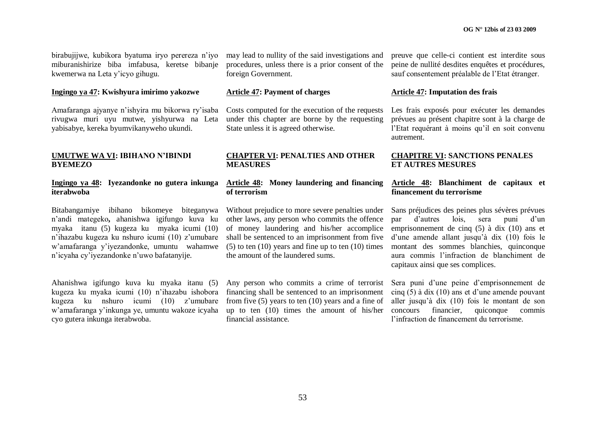birabujijwe, kubikora byatuma iryo perereza n"iyo may lead to nullity of the said investigations and miburanishirize biba imfabusa, keretse bibanje kwemerwa na Leta y"icyo gihugu.

# **Ingingo ya 47: Kwishyura imirimo yakozwe**

Amafaranga ajyanye n"ishyira mu bikorwa ry"isaba rivugwa muri uyu mutwe, yishyurwa na Leta yabisabye, kereka byumvikanyweho ukundi.

# **UMUTWE WA VI: IBIHANO N'IBINDI BYEMEZO**

#### **Ingingo ya 48: Iyezandonke no gutera inkunga iterabwoba**

Bitabangamiye ibihano bikomeye biteganywa n"andi mategeko**,** ahanishwa igifungo kuva ku myaka itanu (5) kugeza ku myaka icumi (10) n"ihazabu kugeza ku nshuro icumi (10) z"umubare w"amafaranga y"iyezandonke, umuntu wahamwe n"icyaha cy"iyezandonke n"uwo bafatanyije.

Ahanishwa igifungo kuva ku myaka itanu (5) kugeza ku myaka icumi (10) n"ihazabu ishobora kugeza ku nshuro icumi (10) z"umubare w"amafaranga y"inkunga ye, umuntu wakoze icyaha cyo gutera inkunga iterabwoba.

procedures, unless there is a prior consent of the foreign Government.

# **Article 47: Payment of charges**

Costs computed for the execution of the requests under this chapter are borne by the requesting State unless it is agreed otherwise.

# **CHAPTER VI: PENALTIES AND OTHER MEASURES**

# **Article 48: Money laundering and financing of terrorism**

Without prejudice to more severe penalties under other laws, any person who commits the offence of money laundering and his/her accomplice shall be sentenced to an imprisonment from five  $(5)$  to ten  $(10)$  years and fine up to ten  $(10)$  times the amount of the laundered sums.

financing shall be sentenced to an imprisonment from five (5) years to ten (10) years and a fine of up to ten (10) times the amount of his/her concours financier, quiconque commis financial assistance.

preuve que celle-ci contient est interdite sous peine de nullité desdites enquêtes et procédures, sauf consentement préalable de l"Etat étranger.

# **Article 47: Imputation des frais**

Les frais exposés pour exécuter les demandes prévues au présent chapitre sont à la charge de l'Etat requérant à moins qu'il en soit convenu autrement.

# **CHAPITRE VI: SANCTIONS PENALES ET AUTRES MESURES**

# **Article 48: Blanchiment de capitaux et financement du terrorisme**

Sans préjudices des peines plus sévères prévues par d"autres lois, sera puni d"un emprisonnement de cinq (5) à dix (10) ans et d"une amende allant jusqu"à dix (10) fois le montant des sommes blanchies, quinconque aura commis l"infraction de blanchiment de capitaux ainsi que ses complices.

Any person who commits a crime of terrorist Sera puni d"une peine d"emprisonnement de cinq  $(5)$  à dix  $(10)$  ans et d'une amende pouvant aller jusqu"à dix (10) fois le montant de son l"infraction de financement du terrorisme.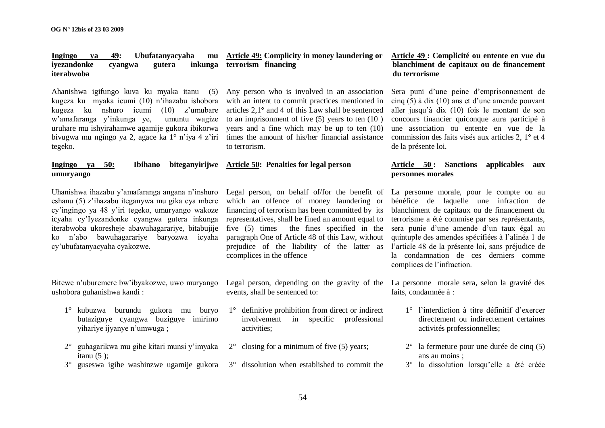#### Ingingo va 49: Ubufatanyacyaha **iyezandonke cyangwa gutera iterabwoba inkunga terrorism financing**

Ahanishwa igifungo kuva ku myaka itanu (5) kugeza ku myaka icumi (10) n"ihazabu ishobora kugeza ku nshuro icumi (10) z"umubare w"amafaranga y"inkunga ye, umuntu wagize uruhare mu ishyirahamwe agamije gukora ibikorwa bivugwa mu ngingo ya 2, agace ka 1° n'iya 4 z'iri tegeko.

# **Ingingo** ya 50: **Ibihano umuryango**

Uhanishwa ihazabu y"amafaranga angana n"inshuro eshanu (5) z"ihazabu iteganywa mu gika cya mbere cy"ingingo ya 48 y"iri tegeko, umuryango wakoze icyaha cy"Iyezandonke cyangwa gutera inkunga iterabwoba ukoresheje abawuhagarariye, bitabujije ko n"abo bawuhagarariye baryozwa icyaha cy"ubufatanyacyaha cyakozwe**.**

Bitewe n"uburemere bw"ibyakozwe, uwo muryango ushobora guhanishwa kandi :

- 1° kubuzwa burundu gukora mu buryo butaziguye cyangwa buziguye imirimo yihariye ijyanye n"umwuga ;
- 2° guhagarikwa mu gihe kitari munsi y"imyaka itanu  $(5)$ :
- 

Any person who is involved in an association with an intent to commit practices mentioned in articles 2,1° and 4 of this Law shall be sentenced to an imprisonment of five (5) years to ten (10 ) years and a fine which may be up to ten (10) times the amount of his/her financial assistance to terrorism.

#### **Article 50: Penalties for legal person**

Legal person, on behalf of/for the benefit of which an offence of money laundering or financing of terrorism has been committed by its representatives, shall be fined an amount equal to five (5) times the fines specified in the paragraph One of Article 48 of this Law, without prejudice of the liability of the latter as ccomplices in the offence

Legal person, depending on the gravity of the La personne morale sera, selon la gravité des events, shall be sentenced to:

- 1° definitive prohibition from direct or indirect involvement in specific professional activities;
- $2^{\circ}$  closing for a minimum of five (5) years;
- 3° guseswa igihe washinzwe ugamije gukora 3° dissolution when established to commit the

# **Article 49: Complicity in money laundering or Article 49 : Complicité ou entente en vue du blanchiment de capitaux ou de financement du terrorisme**

Sera puni d"une peine d"emprisonnement de cinq  $(5)$  à dix  $(10)$  ans et d'une amende pouvant aller jusqu"à dix (10) fois le montant de son concours financier quiconque aura participé à une association ou entente en vue de la commission des faits visés aux articles 2, 1° et 4 de la présente loi.

# **Article 50 : Sanctions applicables aux personnes morales**

La personne morale, pour le compte ou au bénéfice de laquelle une infraction de blanchiment de capitaux ou de financement du terrorisme a été commise par ses représentants, sera punie d"une amende d"un taux égal au quintuple des amendes spécifiées à l"alinéa 1 de l"article 48 de la présente loi, sans préjudice de la condamnation de ces derniers comme complices de l"infraction.

faits, condamnée à :

- 1° l"interdiction à titre définitif d"exercer directement ou indirectement certaines activités professionnelles;
- 2° la fermeture pour une durée de cinq (5) ans au moins ;
- 3° la dissolution lorsqu"elle a été créée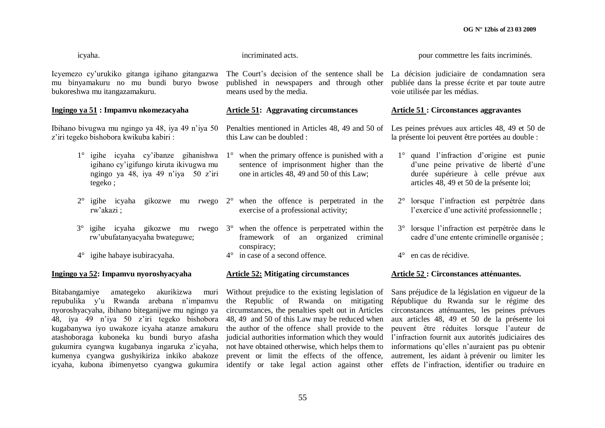| icyaha.                                                                                                                                             | incriminated acts.                                                                                                                                                 | pour commettre les faits incriminés.                                                                                                                                    |  |  |  |
|-----------------------------------------------------------------------------------------------------------------------------------------------------|--------------------------------------------------------------------------------------------------------------------------------------------------------------------|-------------------------------------------------------------------------------------------------------------------------------------------------------------------------|--|--|--|
| Icyemezo cy'urukiko gitanga igihano gitangazwa<br>mu binyamakuru no mu bundi buryo bwose<br>bukoreshwa mu itangazamakuru.                           | The Court's decision of the sentence shall be La décision judiciaire de condamnation sera<br>published in newspapers and through other<br>means used by the media. | publiée dans la presse écrite et par toute autre<br>voie utilisée par les médias.                                                                                       |  |  |  |
| Ingingo ya 51: Impamvu nkomezacyaha                                                                                                                 | <b>Article 51:</b> Aggravating circumstances                                                                                                                       | <b>Article 51: Circonstances aggravantes</b>                                                                                                                            |  |  |  |
| Ibihano bivugwa mu ngingo ya 48, iya 49 n'iya 50<br>z'iri tegeko bishobora kwikuba kabiri:                                                          | Penalties mentioned in Articles 48, 49 and 50 of Les peines prévues aux articles 48, 49 et 50 de<br>this Law can be doubled :                                      | la présente loi peuvent être portées au double :                                                                                                                        |  |  |  |
| $1^\circ$ igihe icyaha cy'ibanze gihanishwa<br>igihano cy'igifungo kiruta ikivugwa mu<br>ngingo ya 48, iya 49 n'iya 50 z'iri<br>tegeko;             | when the primary offence is punished with a<br>$1^{\circ}$<br>sentence of imprisonment higher than the<br>one in articles 48, 49 and 50 of this Law;               | 1° quand l'infraction d'origine est punie<br>d'une peine privative de liberté d'une<br>durée supérieure à celle prévue aux<br>articles 48, 49 et 50 de la présente loi; |  |  |  |
| gikozwe<br>$2^{\circ}$<br>igihe icyaha<br>mu rwego<br>rw'akazi;                                                                                     | $2^{\circ}$ when the offence is perpetrated in the<br>exercise of a professional activity;                                                                         | 2° lorsque l'infraction est perpétrée dans<br>l'exercice d'une activité professionnelle;                                                                                |  |  |  |
| igihe icyaha gikozwe mu rwego<br>$3^{\circ}$<br>rw'ubufatanyacyaha bwateguwe;                                                                       | $3^\circ$ when the offence is perpetrated within the<br>framework of an organized<br>criminal<br>conspiracy;                                                       | 3° lorsque l'infraction est perpétrée dans le<br>cadre d'une entente criminelle organisée ;                                                                             |  |  |  |
| $4^{\circ}$ igihe habaye isubiracyaha.                                                                                                              | $4^\circ$ in case of a second offence.                                                                                                                             | en cas de récidive.<br>$4^{\circ}$                                                                                                                                      |  |  |  |
| Ingingo ya 52: Impamvu nyoroshyacyaha                                                                                                               | <b>Article 52: Mitigating circumstances</b>                                                                                                                        | Article 52 : Circonstances atténuantes.                                                                                                                                 |  |  |  |
| akurikizwa<br>muri Without prejudice to the existing legislation of Sans préjudice de la législation en vigueur de la<br>Bitabangamiye<br>amategeko |                                                                                                                                                                    |                                                                                                                                                                         |  |  |  |

repubulika y"u Rwanda arebana n"impamvu nyoroshyacyaha, ibihano biteganijwe mu ngingo ya 48, iya 49 n"iya 50 z"iri tegeko bishobora kugabanywa iyo uwakoze icyaha atanze amakuru atashoboraga kuboneka ku bundi buryo afasha gukumira cyangwa kugabanya ingaruka z"icyaha, kumenya cyangwa gushyikiriza inkiko abakoze icyaha, kubona ibimenyetso cyangwa gukumira identify or take legal action against other effets de l'infraction, identifier ou traduire en

Without prejudice to the existing legislation of the Republic of Rwanda on mitigating circumstances, the penalties spelt out in Articles 48, 49 and 50 of this Law may be reduced when aux articles 48, 49 et 50 de la présente loi the author of the offence shall provide to the judicial authorities information which they would l"infraction fournit aux autorités judiciaires des not have obtained otherwise, which helps them to prevent or limit the effects of the offence,

Sans préjudice de la législation en vigueur de la République du Rwanda sur le régime des circonstances atténuantes, les peines prévues peuvent être réduites lorsque l"auteur de informations qu"elles n"auraient pas pu obtenir autrement, les aidant à prévenir ou limiter les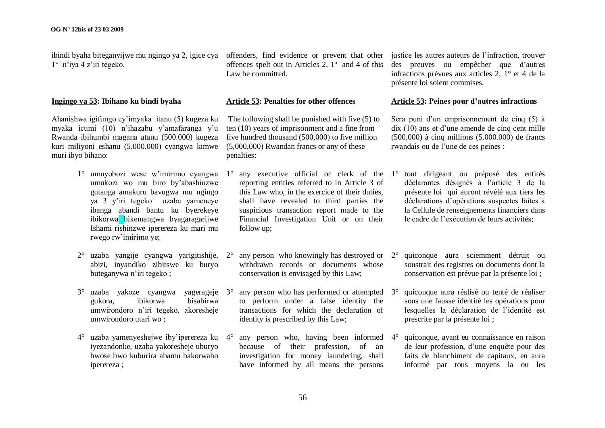ibindi byaha biteganyijwe mu ngingo ya 2, igice cya offenders, find evidence or prevent that other justice les autres auteurs de l"infraction, trouver 1° n"iya 4 z"iri tegeko.

#### **Ingingo ya 53: Ibihano ku bindi byaha**

Ahanishwa igifungo cy"imyaka itanu (5) kugeza ku myaka icumi (10) n"ihazabu y"amafaranga y"u Rwanda ibihumbi magana atanu (500.000) kugeza kuri miliyoni eshanu (5.000.000) cyangwa kimwe muri ibyo bihano:

- 1° umuyobozi wese w"imirimo cyangwa umukozi wo mu biro by"abashinzwe gutanga amakuru bavugwa mu ngingo ya 3 y"iri tegeko uzaba yameneye ibanga abandi bantu ku byerekeye ibikorwa bikemangwa byagaragarijwe Ishami rishinzwe iperereza ku mari mu rwego rw"imirimo ye;
- 2° uzaba yangije cyangwa yarigitishije, abizi, inyandiko zibitswe ku buryo buteganywa n"iri tegeko ;
- 3° uzaba yakoze cyangwa yagerageje gukora, ibikorwa bisabirwa umwirondoro n"iri tegeko, akoresheje umwirondoro utari wo ;
- 4° uzaba yamenyeshejwe iby"iperereza ku iyezandonke, uzaba yakoresheje uburyo bwose bwo kuburira abantu bakorwaho iperereza ;

offences spelt out in Articles 2, 1º and 4 of this des preuves ou empêcher que d"autres Law be committed.

#### **Article 53: Penalties for other offences**

The following shall be punished with five (5) to ten (10) years of imprisonment and a fine from five hundred thousand (500,000) to five million (5,000,000) Rwandan francs or any of these penalties:

- reporting entities referred to in Article 3 of this Law who, in the exercice of their duties, shall have revealed to third parties the suspicious transaction report made to the Financial Investigation Unit or on their follow up;
- any person who knowingly has destroyed or  $2^{\circ}$ withdrawn records or documents whose conservation is envisaged by this Law;
- any person who has performed or attempted  $3^\circ$ to perform under a false identity the transactions for which the declaration of identity is prescribed by this Law;
- any person who, having been informed  $4^\circ$ because of their profession, of an investigation for money laundering, shall have informed by all means the persons

infractions prévues aux articles 2, 1° et 4 de la présente loi soient commises.

# **Article 53: Peines pour d'autres infractions**

Sera puni d'un emprisonnement de cinq (5) à dix (10) ans et d"une amende de cinq cent mille (500.000) à cinq millions (5.000.000) de francs rwandais ou de l"une de ces peines :

- 1° any executive official or clerk of the 1° tout dirigeant ou préposé des entités déclarantes désignés à l"article 3 de la présente loi qui auront révélé aux tiers les déclarations d"opérations suspectes faites à la Cellule de renseignements financiers dans le cadre de l"exécution de leurs activités;
	- 2° quiconque aura sciemment détruit ou soustrait des registres ou documents dont la conservation est prévue par la présente loi ;
	- 3° quiconque aura réalisé ou tenté de réaliser sous une fausse identité les opérations pour lesquelles la déclaration de l"identité est prescrite par la présente loi ;
	- 4° quiconque, ayant eu connaissance en raison de leur profession, d"une enquête pour des faits de blanchiment de capitaux, en aura informé par tous moyens la ou les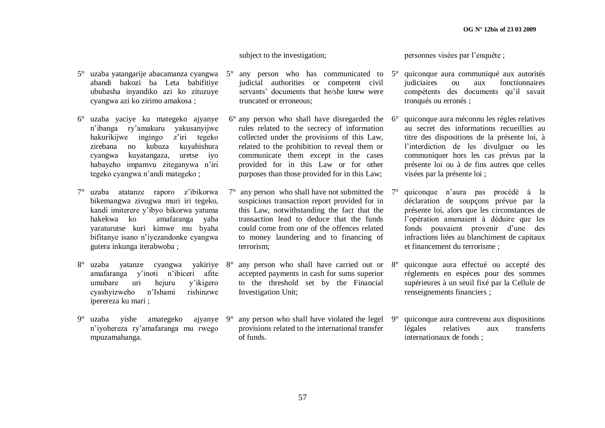# subject to the investigation;

- 5° uzaba yatangarije abacamanza cyangwa abandi bakozi ba Leta babifitiye ububasha inyandiko azi ko zituzuye cyangwa azi ko zirimo amakosa ;
- 6° uzaba yaciye ku mategeko ajyanye n"ibanga ry"amakuru yakusanyijwe hakurikijwe ingingo z"iri tegeko zirebana no kubuza kuyahishura cyangwa kuyatangaza, uretse iyo habayeho impamvu ziteganywa n"iri tegeko cyangwa n"andi mategeko ;
- 7° uzaba atatanze raporo z"ibikorwa bikemangwa zivugwa muri iri tegeko, kandi imiterere y"ibyo bikorwa yatuma hakekwa ko amafaranga yaba yaraturutse kuri kimwe mu byaha bifitanye isano n"iyezandonke cyangwa gutera inkunga iterabwoba ;
- 8° uzaba yatanze cyangwa yakiriye amafaranga y"inoti n"ibiceri afite umubare uri hejuru y"ikigero cyashyizweho n"Ishami rishinzwe iperereza ku mari ;
- 9° uzaba yishe amategeko ajyanye n"iyohereza ry"amafaranga mu rwego mpuzamahanga.
- any person who has communicated to  $5^\circ$ judicial authorities or competent civil servants' documents that he/she knew were truncated or erroneous;
- $6^{\circ}$  any person who shall have disregarded the  $6^{\circ}$ rules related to the secrecy of information collected under the provisions of this Law, related to the prohibition to reveal them or communicate them except in the cases provided for in this Law or for other purposes than those provided for in this Law;
- $7^\circ$  any person who shall have not submitted the  $7^\circ$ suspicious transaction report provided for in this Law, notwithstanding the fact that the transaction lead to deduce that the funds could come from one of the offences related to money laundering and to financing of terrorism;
- any person who shall have carried out or  $8^\circ$ accepted payments in cash for sums superior to the threshold set by the Financial Investigation Unit;
- any person who shall have violated the legel  $9^\circ$ provisions related to the international transfer of funds.

personnes visées par l"enquête ;

- 5° quiconque aura communiqué aux autorités judiciaires ou aux fonctionnaires compétents des documents qu"il savait tronqués ou erronés ;
- quiconque aura méconnu les règles relatives au secret des informations recueillies au titre des dispositions de la présente loi, à l"interdiction de les divulguer ou les communiquer hors les cas prévus par la présente loi ou à de fins autres que celles visées par la présente loi ;
- 7° quiconque n"aura pas procédé à la déclaration de soupçons prévue par la présente loi, alors que les circonstances de l"opération amenaient à déduire que les fonds pouvaient provenir d"une des infractions liées au blanchiment de capitaux et financement du terrorisme ;
- 8° quiconque aura effectué ou accepté des règlements en espèces pour des sommes supérieures à un seuil fixé par la Cellule de renseignements financiers ;
- 9° quiconque aura contrevenu aux dispositions légales relatives aux transferts internationaux de fonds ;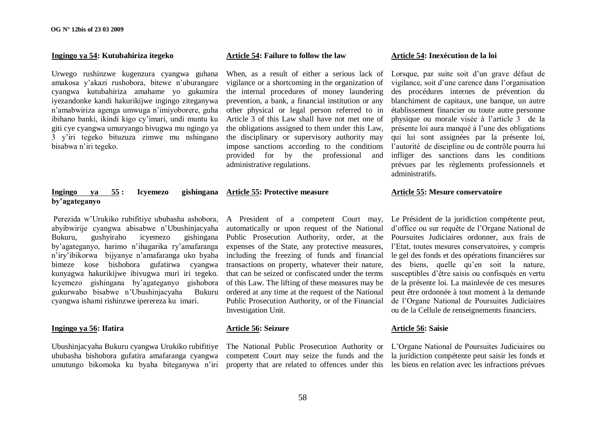#### **Ingingo ya 54: Kutubahiriza itegeko**

Urwego rushinzwe kugenzura cyangwa guhana amakosa y"akazi rushobora, bitewe n"uburangare cyangwa kutubahiriza amahame yo gukumira iyezandonke kandi hakurikijwe ingingo ziteganywa n"amabwiriza agenga umwuga n"imiyoborere, guha ibihano banki, ikindi kigo cy"imari, undi muntu ku giti cye cyangwa umuryango bivugwa mu ngingo ya 3 y"iri tegeko bituzuza zimwe mu nshingano bisabwa n"iri tegeko.

# **Ingingo ya 55 : Icyemezo gishingana Article 55: Protective measure by'agateganyo**

Perezida w"Urukiko rubifitiye ububasha ashobora, abyibwirije cyangwa abisabwe n"Ubushinjacyaha Bukuru, gushyiraho icyemezo gishingana by"agateganyo, harimo n"ihagarika ry"amafaranga n"iry"ibikorwa bijyanye n"amafaranga uko byaba bimeze kose bishobora gufatirwa cyangwa kunyagwa hakurikijwe ibivugwa muri iri tegeko. Icyemezo gishingana by"agateganyo gishobora gukurwaho bisabwe n"Ubushinjacyaha Bukuru cyangwa ishami rishinzwe iperereza ku imari.

#### **Ingingo ya 56: Ifatira**

Ubushinjacyaha Bukuru cyangwa Urukiko rubifitiye ububasha bishobora gufatira amafaranga cyangwa umutungo bikomoka ku byaha biteganywa n"iri

# A President of a competent Court may, automatically or upon request of the National Public Prosecution Authority, order, at the Poursuites Judiciaires ordonner, aux frais de expenses of the State, any protective measures, including the freezing of funds and financial transactions on property, whatever their nature, that can be seized or confiscated under the terms of this Law. The lifting of these measures may be ordered at any time at the request of the National Public Prosecution Authority, or of the Financial Investigation Unit.

**Article 54: Failure to follow the law**

administrative regulations.

When, as a result of either a serious lack of vigilance or a shortcoming in the organization of the internal procedures of money laundering prevention, a bank, a financial institution or any other physical or legal person referred to in Article 3 of this Law shall have not met one of the obligations assigned to them under this Law, the disciplinary or supervisory authority may impose sanctions according to the conditions provided for by the professional and

#### **Article 56: Seizure**

competent Court may seize the funds and the la juridiction compétente peut saisir les fonds et

#### **Article 54: Inexécution de la loi**

Lorsque, par suite soit d'un grave défaut de vigilance, soit d"une carence dans l"organisation des procédures internes de prévention du blanchiment de capitaux, une banque, un autre établissement financier ou toute autre personne physique ou morale visée à l"article 3 de la présente loi aura manqué à l"une des obligations qui lui sont assignées par la présente loi, l"autorité de discipline ou de contrôle pourra lui infliger des sanctions dans les conditions prévues par les règlements professionnels et administratifs.

#### **Article 55: Mesure conservatoire**

Le Président de la juridiction compétente peut, d"office ou sur requête de l"Organe National de l"Etat, toutes mesures conservatoires, y compris le gel des fonds et des opérations financières sur des biens, quelle qu"en soit la nature, susceptibles d"être saisis ou confisqués en vertu de la présente loi. La mainlevée de ces mesures peut être ordonnée à tout moment à la demande de l"Organe National de Poursuites Judiciaires ou de la Cellule de renseignements financiers.

# **Article 56: Saisie**

The National Public Prosecution Authority or L"Organe National de Poursuites Judiciaires ou property that are related to offences under this les biens en relation avec les infractions prévues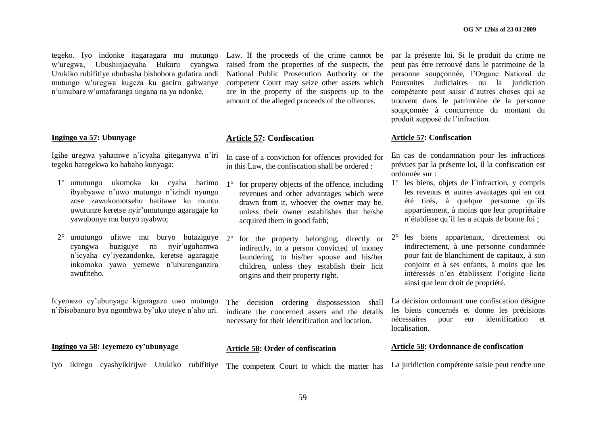tegeko. Iyo indonke itagaragara mu mutungo w"uregwa, Ubushinjacyaha Bukuru cyangwa Urukiko rubifitiye ububasha bishobora gufatira undi mutungo w"uregwa kugeza ku gaciro gahwanye n"umubare w"amafaranga ungana na ya ndonke.

# **Ingingo ya 57: Ubunyage**

Igihe uregwa yahamwe n"icyaha giteganywa n"iri tegeko hategekwa ko habaho kunyaga:

- 1° umutungo ukomoka ku cyaha harimo ibyabyawe n"uwo mutungo n"izindi nyungu zose zawukomotseho hatitawe ku muntu uwutunze keretse nyir"umutungo agaragaje ko yawubonye mu buryo nyabwo;
- 2° umutungo ufitwe mu buryo butaziguye cyangwa buziguye na nyir"uguhamwa n"icyaha cy"iyezandonke, keretse agaragaje inkomoko yawo yemewe n"uburenganzira awufiteho.

Icyemezo cy"ubunyage kigaragaza uwo mutungo n"ibisobanuro bya ngombwa by"uko uteye n"aho uri.

**Ingingo ya 58: Icyemezo cy'ubunyage**

Law. If the proceeds of the crime cannot be raised from the properties of the suspects, the National Public Prosecution Authority or the competent Court may seize other assets which are in the property of the suspects up to the amount of the alleged proceeds of the offences.

# **Article 57: Confiscation**

In case of a conviction for offences provided for in this Law, the confiscation shall be ordered :

- 1° for property objects of the offence, including revenues and other advantages which were drawn from it, whoever the owner may be, unless their owner establishes that he/she acquired them in good faith;
	- 2° for the property belonging, directly or indirectly, to a person convicted of money laundering, to his/her spouse and his/her children, unless they establish their licit origins and their property right.

The decision ordering dispossession shall indicate the concerned assets and the details necessary for their identification and location.

# **Article 58: Order of confiscation**

Iyo ikirego cyashyikirijwe Urukiko rubifitiye The competent Court to which the matter has

par la présente loi. Si le produit du crime ne peut pas être retrouvé dans le patrimoine de la personne soupçonnée, l"Organe National de Poursuites Judiciaires ou la juridiction compétente peut saisir d"autres choses qui se trouvent dans le patrimoine de la personne soupçonnée à concurrence du montant du produit supposé de l"infraction.

#### **Article 57: Confiscation**

En cas de condamnation pour les infractions prévues par la présente loi, il la confiscation est ordonnée sur :

- 1° les biens, objets de l´infraction, y compris les revenus et autres avantages qui en ont été tirés, à quelque personne qu´ils appartiennent, à moins que leur propriétaire n´établisse qu´il les a acquis de bonne foi ;
- 2° les biens appartenant, directement ou indirectement, à une personne condamnée pour fait de blanchiment de capitaux, à son conjoint et à ses enfants, à moins que les intéressés n"en établissent l"origine licite ainsi que leur droit de propriété.

La décision ordonnant une confiscation désigne les biens concernés et donne les précisions nécessaires pour eur identification et localisation.

# **Article 58: Ordonnance de confiscation**

La juridiction compétente saisie peut rendre une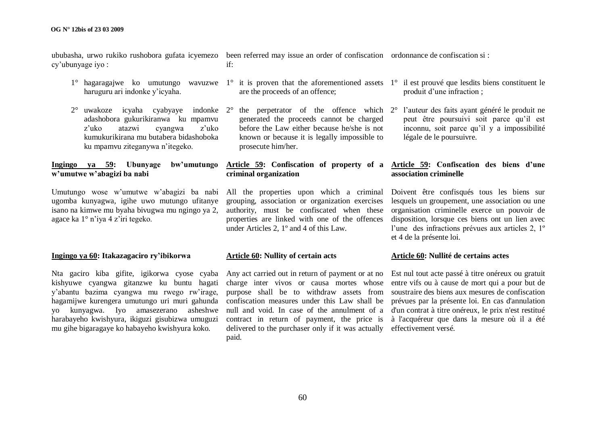cy"ubunyage iyo :

- haruguru ari indonke y"icyaha.
- 2° uwakoze icyaha cyabyaye indonke 2° the perpetrator of the offence which adashobora gukurikiranwa ku mpamvu z"uko atazwi cyangwa z"uko kumukurikirana mu butabera bidashoboka ku mpamvu ziteganywa n"itegeko.

# **Ingingo ya 59: Ubunyage bw'umutungo w'umutwe w'abagizi ba nabi**

Umutungo wose w'umutwe w'abagizi ba nabi All the properties upon which a criminal Doivent être confisqués tous les biens sur ugomba kunyagwa, igihe uwo mutungo ufitanye isano na kimwe mu byaha bivugwa mu ngingo ya 2, agace ka 1° n"iya 4 z"iri tegeko.

# **Ingingo ya 60: Itakazagaciro ry'ibikorwa**

Nta gaciro kiba gifite, igikorwa cyose cyaba kishyuwe cyangwa gitanzwe ku buntu hagati y"abantu bazima cyangwa mu rwego rw"irage, hagamijwe kurengera umutungo uri muri gahunda yo kunyagwa. Iyo amasezerano asheshwe harabayeho kwishyura, ikiguzi gisubizwa umuguzi mu gihe bigaragaye ko habayeho kwishyura koko.

ububasha, urwo rukiko rushobora gufata icyemezo been referred may issue an order of confiscation ordonnance de confiscation si : if:

- are the proceeds of an offence;
- generated the proceeds cannot be charged before the Law either because he/she is not known or because it is legally impossible to prosecute him/her.

# **Article 59: Confiscation of property of a Article 59: Confiscation des biens d'une criminal organization**

grouping, association or organization exercises properties are linked with one of the offences under Articles 2, 1º and 4 of this Law.

# **Article 60: Nullity of certain acts**

charge inter vivos or causa mortes whose entre vifs ou à cause de mort qui a pour but de purpose shall be to withdraw assets from soustraire des biens aux mesures de confiscation confiscation measures under this Law shall be prévues par la présente loi. En cas d'annulation null and void. In case of the annulment of a d'un contrat à titre onéreux, le prix n'est restitué contract in return of payment, the price is à l'acquéreur que dans la mesure où il a été delivered to the purchaser only if it was actually effectivement versé.paid.

- $1^{\circ}$  hagaragajwe ko umutungo wavuzwe  $1^{\circ}$  it is proven that the aforementioned assets  $1^{\circ}$  il est prouvé que lesdits biens constituent le produit d"une infraction ;
	- l'auteur des faits ayant généré le produit ne peut être poursuivi soit parce qu'il est inconnu, soit parce qu"il y a impossibilité légale de le poursuivre.

# **association criminelle**

authority, must be confiscated when these organisation criminelle exerce un pouvoir de lesquels un groupement, une association ou une disposition, lorsque ces biens ont un lien avec l'une des infractions prévues aux articles 2, 1<sup>°</sup> et 4 de la présente loi.

#### **Article 60: Nullité de certains actes**

Any act carried out in return of payment or at no Est nul tout acte passé à titre onéreux ou gratuit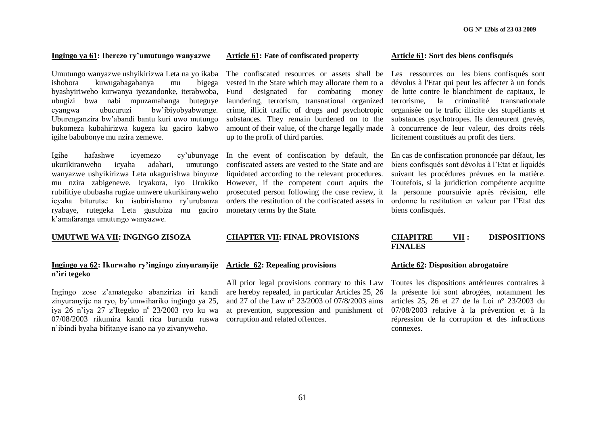#### **Ingingo ya 61: Iherezo ry'umutungo wanyazwe**

Umutungo wanyazwe ushyikirizwa Leta na yo ikaba The confiscated resources or assets shall be Les ressources ou les biens confisqués sont ishobora kuwugabagabanya mu bigega byashyiriweho kurwanya iyezandonke, iterabwoba, ubugizi bwa nabi mpuzamahanga buteguye cyangwa ubucuruzi bw"ibiyobyabwenge. Uburenganzira bw"abandi bantu kuri uwo mutungo bukomeza kubahirizwa kugeza ku gaciro kabwo igihe babubonye mu nzira zemewe.

Igihe hafashwe icyemezo cy"ubunyage ukurikiranweho icyaha adahari, umutungo wanyazwe ushyikirizwa Leta ukagurishwa binyuze mu nzira zabigenewe. Icyakora, iyo Urukiko rubifitiye ububasha rugize umwere ukurikiranyweho icyaha biturutse ku isubirishamo ry"urubanza ryabaye, rutegeka Leta gusubiza mu gaciro k"amafaranga umutungo wanyazwe.

# **UMUTWE WA VII: INGINGO ZISOZA**

# **Ingingo ya 62: Ikurwaho ry'ingingo zinyuranyije n'iri tegeko**

Ingingo zose z"amategeko abanziriza iri kandi zinyuranyije na ryo, by'umwihariko ingingo ya 25, iya 26 n'iya 27 z'Itegeko n° 23/2003 ryo ku wa 07/08/2003 rikumira kandi rica burundu ruswa n"ibindi byaha bifitanye isano na yo zivanyweho.

#### **Article 61: Fate of confiscated property**

vested in the State which may allocate them to a Fund designated for combating money laundering, terrorism, transnational organized crime, illicit traffic of drugs and psychotropic substances. They remain burdened on to the amount of their value, of the charge legally made up to the profit of third parties.

In the event of confiscation by default, the En cas de confiscation prononcée par défaut, les confiscated assets are vested to the State and are liquidated according to the relevant procedures. However, if the competent court aquits the prosecuted person following the case review, it orders the restitution of the confiscated assets in ordonne la restitution en valeur par l"Etat des monetary terms by the State.

#### **CHAPTER VII: FINAL PROVISIONS**

#### **Article 62: Repealing provisions**

All prior legal provisions contrary to this Law are hereby repealed, in particular Articles 25, 26 and 27 of the Law n° 23/2003 of 07/8/2003 aims at prevention, suppression and punishment of 07/08/2003 relative à la prévention et à la corruption and related offences.

#### **Article 61: Sort des biens confisqués**

dévolus à l'Etat qui peut les affecter à un fonds de lutte contre le blanchiment de capitaux, le terrorisme, la criminalité transnationale organisée ou le trafic illicite des stupéfiants et substances psychotropes. Ils demeurent grevés, à concurrence de leur valeur, des droits réels licitement constitués au profit des tiers.

biens confisqués sont dévolus à l"Etat et liquidés suivant les procédures prévues en la matière. Toutefois, si la juridiction compétente acquitte la personne poursuivie après révision, elle biens confisqués.

#### **CHAPITRE VII : DISPOSITIONS FINALES**

#### **Article 62: Disposition abrogatoire**

Toutes les dispositions antérieures contraires à la présente loi sont abrogées, notamment les articles 25, 26 et 27 de la Loi n° 23/2003 du répression de la corruption et des infractions connexes.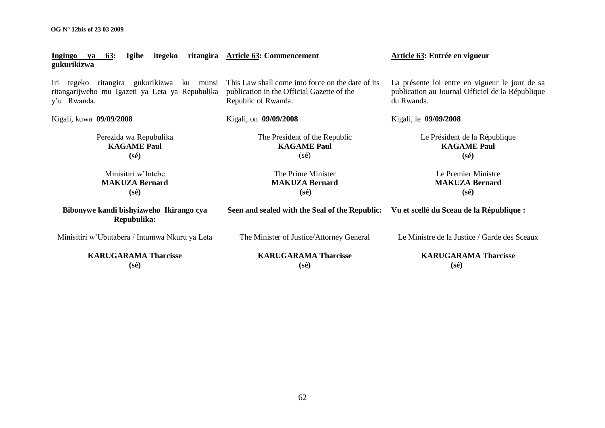**OG N° 12bis of 23 03 2009**

| <b>63:</b><br><b>Igihe</b><br>Ingingo<br>va<br>gukurikizwa                                                           | itegeko ritangira Article 63: Commencement                                                                             | Article 63: Entrée en vigueur                                                                                    |  |  |  |  |
|----------------------------------------------------------------------------------------------------------------------|------------------------------------------------------------------------------------------------------------------------|------------------------------------------------------------------------------------------------------------------|--|--|--|--|
| tegeko ritangira gukurikizwa<br>Iri<br>ku<br>munsi<br>ritangarijweho mu Igazeti ya Leta ya Repubulika<br>y'u Rwanda. | This Law shall come into force on the date of its<br>publication in the Official Gazette of the<br>Republic of Rwanda. | La présente loi entre en vigueur le jour de sa<br>publication au Journal Officiel de la République<br>du Rwanda. |  |  |  |  |
| Kigali, kuwa 09/09/2008                                                                                              | Kigali, on 09/09/2008                                                                                                  | Kigali, le 09/09/2008                                                                                            |  |  |  |  |
| Perezida wa Repubulika<br><b>KAGAME Paul</b><br>$(s\acute{e})$                                                       | The President of the Republic<br><b>KAGAME Paul</b><br>$(s\acute{e})$                                                  | Le Président de la République<br><b>KAGAME Paul</b><br>$(s\acute{e})$                                            |  |  |  |  |
| Minisitiri w'Intebe<br><b>MAKUZA Bernard</b><br>$(s\acute{e})$                                                       | The Prime Minister<br><b>MAKUZA Bernard</b><br>$(s\acute{e})$                                                          | Le Premier Ministre<br><b>MAKUZA Bernard</b><br>$(s\acute{e})$                                                   |  |  |  |  |
| Bibonywe kandi bishyizweho Ikirango cya<br>Repubulika:                                                               | Seen and sealed with the Seal of the Republic:                                                                         | Vu et scellé du Sceau de la République :                                                                         |  |  |  |  |
| Minisitiri w'Ubutabera / Intumwa Nkuru ya Leta                                                                       | The Minister of Justice/Attorney General                                                                               | Le Ministre de la Justice / Garde des Sceaux                                                                     |  |  |  |  |
| <b>KARUGARAMA Tharcisse</b><br>$(s\acute{e})$                                                                        | <b>KARUGARAMA Tharcisse</b><br>$(s\acute{e})$                                                                          | <b>KARUGARAMA Tharcisse</b><br>$(s\acute{e})$                                                                    |  |  |  |  |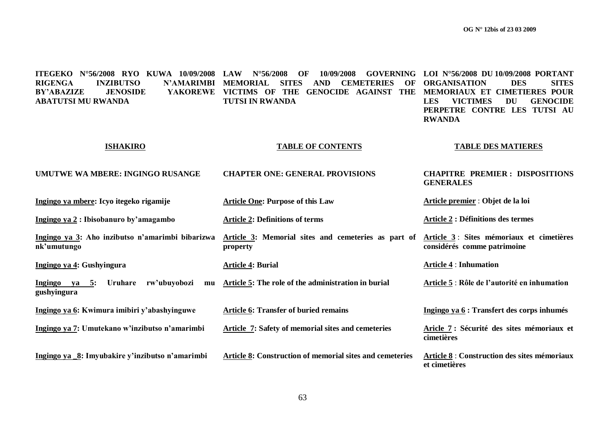| ITEGEKO N°56/2008 RYO KUWA 10/09/2008<br><b>RIGENGA</b><br><b>INZIBUTSO</b><br><b>N'AMARIMBI</b><br><b>JENOSIDE</b><br><b>YAKOREWE</b><br><b>BY'ABAZIZE</b><br><b>ABATUTSI MU RWANDA</b> | $N^{\circ}56/2008$<br><b>LAW</b><br>10/09/2008<br><b>GOVERNING</b><br>OF<br><b>MEMORIAL</b><br><b>SITES</b><br><b>AND</b><br><b>CEMETERIES</b><br>OF<br>VICTIMS OF THE GENOCIDE AGAINST THE<br><b>TUTSI IN RWANDA</b> | LOI N°56/2008 DU 10/09/2008 PORTANT<br><b>ORGANISATION</b><br><b>DES</b><br><b>SITES</b><br>MEMORIAUX ET CIMETIERES POUR<br><b>LES</b><br><b>VICTIMES</b><br><b>DU</b><br><b>GENOCIDE</b><br>PERPETRE CONTRE LES TUTSI AU<br><b>RWANDA</b> |  |  |
|------------------------------------------------------------------------------------------------------------------------------------------------------------------------------------------|-----------------------------------------------------------------------------------------------------------------------------------------------------------------------------------------------------------------------|--------------------------------------------------------------------------------------------------------------------------------------------------------------------------------------------------------------------------------------------|--|--|
| <b>ISHAKIRO</b>                                                                                                                                                                          | <b>TABLE OF CONTENTS</b>                                                                                                                                                                                              | <b>TABLE DES MATIERES</b>                                                                                                                                                                                                                  |  |  |
| UMUTWE WA MBERE: INGINGO RUSANGE                                                                                                                                                         | <b>CHAPTER ONE: GENERAL PROVISIONS</b>                                                                                                                                                                                | <b>CHAPITRE PREMIER: DISPOSITIONS</b><br><b>GENERALES</b>                                                                                                                                                                                  |  |  |
| Ingingo ya mbere: Icyo itegeko rigamije                                                                                                                                                  | <b>Article One: Purpose of this Law</b>                                                                                                                                                                               | Article premier : Objet de la loi                                                                                                                                                                                                          |  |  |
| Ingingo ya 2: Ibisobanuro by'amagambo                                                                                                                                                    | <b>Article 2: Definitions of terms</b>                                                                                                                                                                                | <b>Article 2 : Définitions des termes</b>                                                                                                                                                                                                  |  |  |
| Ingingo ya 3: Aho inzibutso n'amarimbi bibarizwa<br>nk'umutungo                                                                                                                          | Article 3: Memorial sites and cemeteries as part of<br>property                                                                                                                                                       | Article 3 : Sites mémoriaux et cimetières<br>considérés comme patrimoine                                                                                                                                                                   |  |  |
| Ingingo ya 4: Gushyingura                                                                                                                                                                | <b>Article 4: Burial</b>                                                                                                                                                                                              | <b>Article 4 : Inhumation</b>                                                                                                                                                                                                              |  |  |
| <b>Uruhare</b><br>rw'ubuyobozi<br>$\overline{\text{Ingingo}}$ ya 5:<br>mu<br>gushyingura                                                                                                 | Article 5: The role of the administration in burial                                                                                                                                                                   | Article 5 : Rôle de l'autorité en inhumation                                                                                                                                                                                               |  |  |
| Ingingo ya 6: Kwimura imibiri y'abashyinguwe                                                                                                                                             | <b>Article 6: Transfer of buried remains</b>                                                                                                                                                                          | Ingingo ya 6 : Transfert des corps inhumés                                                                                                                                                                                                 |  |  |
| Ingingo ya 7: Umutekano w'inzibutso n'amarimbi                                                                                                                                           | Article 7: Safety of memorial sites and cemeteries                                                                                                                                                                    | Aricle 7 : Sécurité des sites mémoriaux et<br>cimetières                                                                                                                                                                                   |  |  |
| Ingingo ya 8: Imyubakire y'inzibutso n'amarimbi                                                                                                                                          | <b>Article 8: Construction of memorial sites and cemeteries</b>                                                                                                                                                       | Article 8 : Construction des sites mémoriaux<br>et cimetières                                                                                                                                                                              |  |  |

63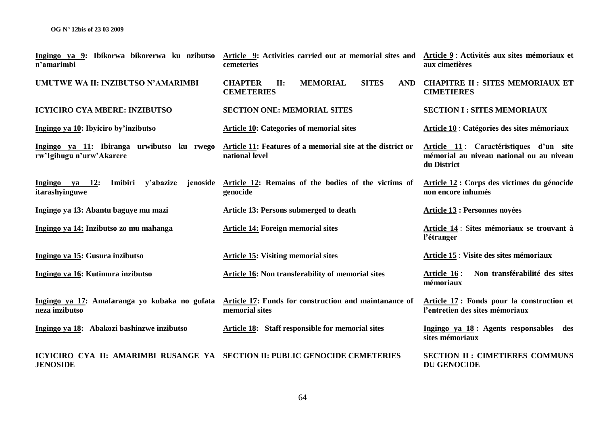| Ingingo ya 9: Ibikorwa bikorerwa ku nzibutso<br>n'amarimbi                                     | Article 9: Activities carried out at memorial sites and<br>cemeteries                                                   | Article 9 : Activités aux sites mémoriaux et<br>aux cimetières                                    |  |  |
|------------------------------------------------------------------------------------------------|-------------------------------------------------------------------------------------------------------------------------|---------------------------------------------------------------------------------------------------|--|--|
| UMUTWE WA II: INZIBUTSO N'AMARIMBI                                                             | <b>MEMORIAL</b><br><b>SITES</b><br><b>CHAPTER</b><br>$\Pi$ :<br><b>AND</b><br><b>CEMETERIES</b>                         | <b>CHAPITRE II: SITES MEMORIAUX ET</b><br><b>CIMETIERES</b>                                       |  |  |
| <b>ICYICIRO CYA MBERE: INZIBUTSO</b>                                                           | <b>SECTION ONE: MEMORIAL SITES</b>                                                                                      | <b>SECTION I : SITES MEMORIAUX</b>                                                                |  |  |
| Ingingo ya 10: Ibyiciro by'inzibutso                                                           | <b>Article 10: Categories of memorial sites</b>                                                                         | Article 10 : Catégories des sites mémoriaux                                                       |  |  |
| rw'Igihugu n'urw'Akarere                                                                       | Ingingo ya 11: Ibiranga urwibutso ku rwego Article 11: Features of a memorial site at the district or<br>national level | Article 11: Caractéristiques d'un site<br>mémorial au niveau national ou au niveau<br>du District |  |  |
| Ingingo ya $12$ :<br>Imibiri y'abazize<br>jenoside<br>itarashyinguwe                           | Article 12: Remains of the bodies of the victims of<br>genocide                                                         | Article 12 : Corps des victimes du génocide<br>non encore inhumés                                 |  |  |
| Ingingo ya 13: Abantu baguye mu mazi                                                           | Article 13: Persons submerged to death                                                                                  | <b>Article 13 : Personnes noyées</b>                                                              |  |  |
| Ingingo ya 14: Inzibutso zo mu mahanga                                                         | <b>Article 14: Foreign memorial sites</b>                                                                               | Article 14 : Sites mémoriaux se trouvant à<br>l'étranger                                          |  |  |
| Ingingo ya 15: Gusura inzibutso                                                                | <b>Article 15: Visiting memorial sites</b>                                                                              | Article 15 : Visite des sites mémoriaux                                                           |  |  |
| Ingingo ya 16: Kutimura inzibutso                                                              | Article 16: Non transferability of memorial sites                                                                       | Non transférabilité des sites<br>Article 16:<br>mémoriaux                                         |  |  |
| neza inzibutso                                                                                 | Ingingo ya 17: Amafaranga yo kubaka no gufata Article 17: Funds for construction and maintanance of<br>memorial sites   | Article 17: Fonds pour la construction et<br>l'entretien des sites mémoriaux                      |  |  |
| Ingingo ya 18: Abakozi bashinzwe inzibutso                                                     | Article 18: Staff responsible for memorial sites                                                                        | Ingingo ya 18: Agents responsables des<br>sites mémoriaux                                         |  |  |
| ICYICIRO CYA II: AMARIMBI RUSANGE YA SECTION II: PUBLIC GENOCIDE CEMETERIES<br><b>JENOSIDE</b> |                                                                                                                         | <b>SECTION II : CIMETIERES COMMUNS</b><br><b>DU GENOCIDE</b>                                      |  |  |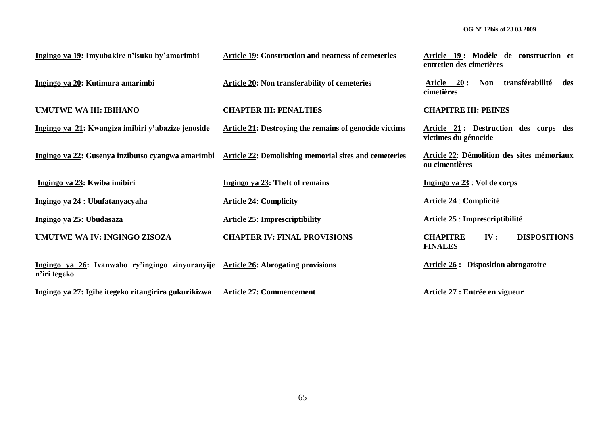**Article 19 : Modèle de construction et** 

|                                                                                                   |                                                                                                                 | entretien des cimetières                                        |
|---------------------------------------------------------------------------------------------------|-----------------------------------------------------------------------------------------------------------------|-----------------------------------------------------------------|
| Ingingo ya 20: Kutimura amarimbi                                                                  | <b>Article 20: Non transferability of cemeteries</b>                                                            | Aricle 20:<br>Non transférabilité<br>des<br>cimetières          |
| <b>UMUTWE WA III: IBIHANO</b>                                                                     | <b>CHAPTER III: PENALTIES</b>                                                                                   | <b>CHAPITRE III: PEINES</b>                                     |
| Ingingo ya 21: Kwangiza imibiri y'abazize jenoside                                                | Article 21: Destroying the remains of genocide victims                                                          | Article 21: Destruction des corps des<br>victimes du génocide   |
|                                                                                                   | <u>Ingingo ya 22</u> : Gusenya inzibutso cyangwa amarimbi Article 22: Demolishing memorial sites and cemeteries | Article 22: Démolition des sites mémoriaux<br>ou cimentières    |
| Ingingo ya 23: Kwiba imibiri                                                                      | Ingingo ya 23: Theft of remains                                                                                 | Ingingo ya $23:$ Vol de corps                                   |
| Ingingo ya 24 : Ubufatanyacyaha                                                                   | <b>Article 24: Complicity</b>                                                                                   | <b>Article 24 : Complicité</b>                                  |
| Ingingo ya 25: Ubudasaza                                                                          | <b>Article 25: Imprescriptibility</b>                                                                           | Article 25 : Imprescriptibilité                                 |
| UMUTWE WA IV: INGINGO ZISOZA                                                                      | <b>CHAPTER IV: FINAL PROVISIONS</b>                                                                             | IV:<br><b>DISPOSITIONS</b><br><b>CHAPITRE</b><br><b>FINALES</b> |
| Ingingo ya 26: Ivanwaho ry'ingingo zinyuranyije Article 26: Abrogating provisions<br>n'iri tegeko |                                                                                                                 | <b>Article 26 :</b> Disposition abrogatoire                     |

**Article 19: Construction and neatness of cemeteries** 

**Ingingo ya 27: Igihe itegeko ritangirira gukurikizwa Article 27: Commencement**

**Ingingo ya 19: Imyubakire n'isuku by'amarimbi** 

**Article 27 : Entrée en vigueur**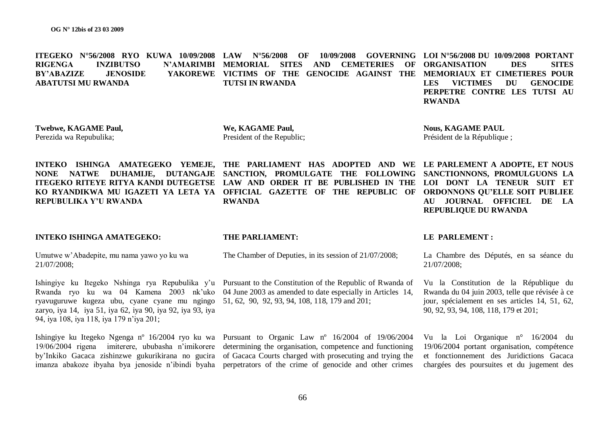|                    |                  |                 | ITEGEKO N°56/2008 RYO KUWA 10/09/2008 LAW N°56/2008 OF                    |                 |  | 10/09/2008 |                                   |               |                 |            | GOVERNING LOI $N^{\circ}56/2008$ DU 10/09/2008 PORTANT |
|--------------------|------------------|-----------------|---------------------------------------------------------------------------|-----------------|--|------------|-----------------------------------|---------------|-----------------|------------|--------------------------------------------------------|
| <b>RIGENGA</b>     | <b>INZIBUTSO</b> |                 | N'AMARIMBI MEMORIAL SITES AND                                             |                 |  |            | <b>CEMETERIES OF ORGANISATION</b> |               |                 | <b>DES</b> | <b>SITES</b>                                           |
| <b>BY'ABAZIZE</b>  |                  | <b>JENOSIDE</b> | YAKOREWE VICTIMS OF THE GENOCIDE AGAINST THE MEMORIAUX ET CIMETIERES POUR |                 |  |            |                                   |               |                 |            |                                                        |
| ABATUTSI MU RWANDA |                  |                 |                                                                           | TUTSI IN RWANDA |  |            |                                   | LES.          | <b>VICTIMES</b> | - DU       | <b>GENOCIDE</b>                                        |
|                    |                  |                 |                                                                           |                 |  |            |                                   |               |                 |            | PERPETRE CONTRE LES TUTSI AU                           |
|                    |                  |                 |                                                                           |                 |  |            |                                   | <b>RWANDA</b> |                 |            |                                                        |
|                    |                  |                 |                                                                           |                 |  |            |                                   |               |                 |            |                                                        |

**Twebwe, KAGAME Paul,** Perezida wa Repubulika;

**We, KAGAME Paul,** President of the Republic;

**Nous, KAGAME PAUL** Président de la République ;

**REPUBLIQUE DU RWANDA**

**INTEKO ISHINGA AMATEGEKO YEMEJE, THE PARLIAMENT HAS ADOPTED AND WE LE PARLEMENT A ADOPTE, ET NOUS NONE NATWE DUHAMIJE, DUTANGAJE SANCTION, PROMULGATE THE FOLLOWING ITEGEKO RITEYE RITYA KANDI DUTEGETSE LAW AND ORDER IT BE PUBLISHED IN THE LOI DONT LA TENEUR SUIT ET KO RYANDIKWA MU IGAZETI YA LETA YA OFFICIAL GAZETTE OF THE REPUBLIC OF ORDONNONS QU'ELLE SOIT PUBLIEE REPUBULIKA Y'U RWANDA RWANDA**

#### **INTEKO ISHINGA AMATEGEKO:**

#### **THE PARLIAMENT:**

Umutwe w"Abadepite, mu nama yawo yo ku wa 21/07/2008;

ryavuguruwe kugeza ubu, cyane cyane mu ngingo 51, 62, 90, 92, 93, 94, 108, 118, 179 and 201; zaryo, iya 14, iya 51, iya 62, iya 90, iya 92, iya 93, iya 94, iya 108, iya 118, iya 179 n"iya 201;

Ishingiye ku Itegeko Nshinga rya Repubulika y'u Pursuant to the Constitution of the Republic of Rwanda of Rwanda ryo ku wa 04 Kamena 2003 nk"uko 04 June 2003 as amended to date especially in Articles 14,

The Chamber of Deputies, in its session of 21/07/2008;

Ishingiye ku Itegeko Ngenga nº 16/2004 ryo ku wa Pursuant to Organic Law nº 16/2004 of 19/06/2004 19/06/2004 rigena imiterere, ububasha n"imikorere determining the organisation, competence and functioning by"Inkiko Gacaca zishinzwe gukurikirana no gucira of Gacaca Courts charged with prosecuting and trying the imanza abakoze ibyaha bya jenoside n"ibindi byaha perpetrators of the crime of genocide and other crimes

#### **LE PARLEMENT :**

La Chambre des Députés, en sa séance du 21/07/2008;

**SANCTIONNONS, PROMULGUONS LA** 

**AU JOURNAL OFFICIEL DE LA** 

Vu la Constitution de la République du Rwanda du 04 juin 2003, telle que révisée à ce jour, spécialement en ses articles 14, 51, 62, 90, 92, 93, 94, 108, 118, 179 et 201;

Vu la Loi Organique n° 16/2004 du 19/06/2004 portant organisation, compétence et fonctionnement des Juridictions Gacaca chargées des poursuites et du jugement des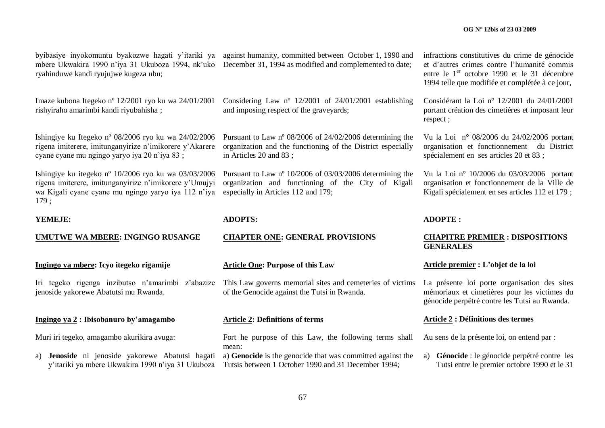mbere Ukwakira 1990 n"iya 31 Ukuboza 1994, nk"uko ryahinduwe kandi ryujujwe kugeza ubu;

Imaze kubona Itegeko nº 12/2001 ryo ku wa 24/01/2001 rishyiraho amarimbi kandi riyubahisha ;

Ishingiye ku Itegeko nº 08/2006 ryo ku wa 24/02/2006 rigena imiterere, imitunganyirize n"imikorere y"Akarere cyane cyane mu ngingo yaryo iya 20 n"iya 83 ;

Ishingiye ku itegeko nº 10/2006 ryo ku wa 03/03/2006 rigena imiterere, imitunganyirize n"imikorere y"Umujyi wa Kigali cyane cyane mu ngingo yaryo iya 112 n'iya 179 ;

# **YEMEJE:**

**UMUTWE WA MBERE: INGINGO RUSANGE**

**Ingingo ya mbere: Icyo itegeko rigamije**

Iri tegeko rigenga inzibutso n"amarimbi z"abazize jenoside yakorewe Abatutsi mu Rwanda.

# **Ingingo ya 2 : Ibisobanuro by'amagambo**

Muri iri tegeko, amagambo akurikira avuga:

a) **Jenoside** ni jenoside yakorewe Abatutsi hagati

byibasiye inyokomuntu byakozwe hagati y"itariki ya against humanity, committed between October 1, 1990 and December 31, 1994 as modified and complemented to date;

> Considering Law nº 12/2001 of 24/01/2001 establishing and imposing respect of the graveyards;

> Pursuant to Law nº 08/2006 of 24/02/2006 determining the organization and the functioning of the District especially in Articles 20 and 83 ;

> Pursuant to Law nº 10/2006 of 03/03/2006 determining the organization and functioning of the City of Kigali especially in Articles 112 and 179;

#### **ADOPTS:**

#### **CHAPTER ONE: GENERAL PROVISIONS**

**Article One: Purpose of this Law** 

This Law governs memorial sites and cemeteries of victims of the Genocide against the Tutsi in Rwanda.

# **Article 2: Definitions of terms**

Fort he purpose of this Law, the following terms shall mean:

y'itariki ya mbere Ukwakira 1990 n'iya 31 Ukuboza Tutsis between 1 October 1990 and 31 December 1994; a) **Genocide** is the genocide that was committed against the

infractions constitutives du crime de génocide et d"autres crimes contre l"humanité commis entre le 1<sup>er</sup> octobre 1990 et le 31 décembre 1994 telle que modifiée et complétée à ce jour,

Considérant la Loi n° 12/2001 du 24/01/2001 portant création des cimetières et imposant leur respect ;

Vu la Loi n° 08/2006 du 24/02/2006 portant organisation et fonctionnement du District spécialement en ses articles 20 et 83 ;

Vu la Loi n° 10/2006 du 03/03/2006 portant organisation et fonctionnement de la Ville de Kigali spécialement en ses articles 112 et 179 ;

#### **ADOPTE :**

#### **CHAPITRE PREMIER : DISPOSITIONS GENERALES**

#### **Article premier : L'objet de la loi**

La présente loi porte organisation des sites mémoriaux et cimetières pour les victimes du génocide perpétré contre les Tutsi au Rwanda.

#### **Article 2 : Définitions des termes**

Au sens de la présente loi, on entend par :

a) **Génocide** : le génocide perpétré contre les Tutsi entre le premier octobre 1990 et le 31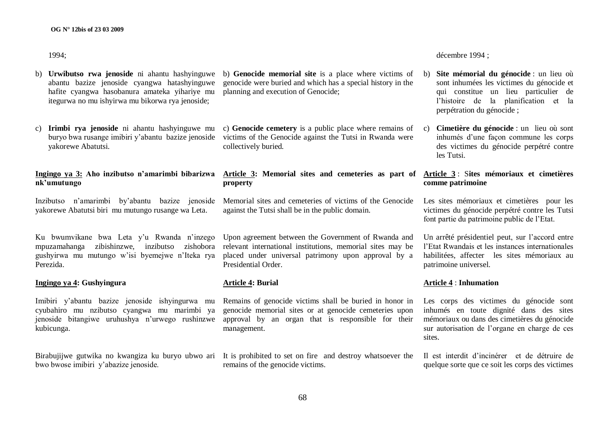1994;

- b) **Urwibutso rwa jenoside** ni ahantu hashyinguwe abantu bazize jenoside cyangwa hatashyinguwe hafite cyangwa hasobanura amateka yihariye mu itegurwa no mu ishyirwa mu bikorwa rya jenoside;
- c) **Irimbi rya jenoside** ni ahantu hashyinguwe mu buryo bwa rusange imibiri y"abantu bazize jenoside yakorewe Abatutsi.

# **Ingingo ya 3: Aho inzibutso n'amarimbi bibarizwa nk'umutungo**

Inzibutso n"amarimbi by"abantu bazize jenoside yakorewe Abatutsi biri mu mutungo rusange wa Leta.

Ku bwumvikane bwa Leta y"u Rwanda n"inzego mpuzamahanga zibishinzwe, inzibutso zishobora gushyirwa mu mutungo w"isi byemejwe n"Iteka rya Perezida.

# **Ingingo ya 4: Gushyingura**

Imibiri y"abantu bazize jenoside ishyingurwa mu cyubahiro mu nzibutso cyangwa mu marimbi ya jenoside bitangiwe uruhushya n"urwego rushinzwe kubicunga.

bwo bwose imibiri y"abazize jenoside.

- b) **Genocide memorial site** is a place where victims of genocide were buried and which has a special history in the planning and execution of Genocide;
- c) **Genocide cemetery** is a public place where remains of victims of the Genocide against the Tutsi in Rwanda were collectively buried.

# **Article 3: Memorial sites and cemeteries as part of property**

Memorial sites and cemeteries of victims of the Genocide against the Tutsi shall be in the public domain.

Upon agreement between the Government of Rwanda and relevant international institutions, memorial sites may be placed under universal patrimony upon approval by a Presidential Order.

# **Article 4: Burial**

Remains of genocide victims shall be buried in honor in genocide memorial sites or at genocide cemeteries upon approval by an organ that is responsible for their management.

Birabujijwe gutwika no kwangiza ku buryo ubwo ari It is prohibited to set on fire and destroy whatsoever the remains of the genocide victims.

décembre 1994 ;

- b) **Site mémorial du génocide** : un lieu où sont inhumées les victimes du génocide et qui constitue un lieu particulier de l"histoire de la planification et la perpétration du génocide ;
- c) **Cimetière du génocide** : un lieu où sont inhumés d"une façon commune les corps des victimes du génocide perpétré contre les Tutsi.

# **Article 3** : S**ites mémoriaux et cimetières comme patrimoine**

Les sites mémoriaux et cimetières pour les victimes du génocide perpétré contre les Tutsi font partie du patrimoine public de l"Etat.

Un arrêté présidentiel peut, sur l"accord entre l"Etat Rwandais et les instances internationales habilitées, affecter les sites mémoriaux au patrimoine universel.

#### **Article 4** : **Inhumation**

Les corps des victimes du génocide sont inhumés en toute dignité dans des sites mémoriaux ou dans des cimetières du génocide sur autorisation de l"organe en charge de ces sites.

Il est interdit d"incinérer et de détruire de quelque sorte que ce soit les corps des victimes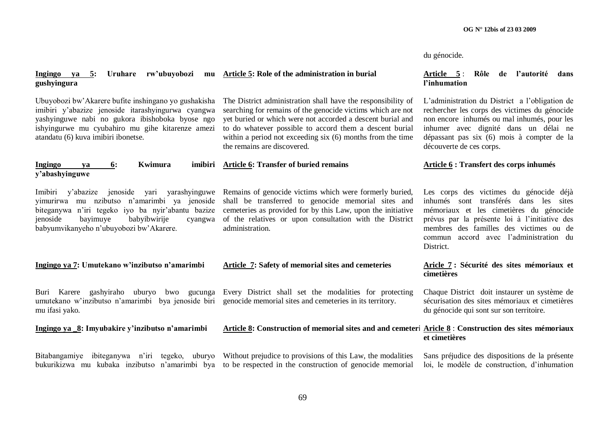du génocide.

| Ingingo ya 5: Uruhare<br>rw'ubuyobozi<br>mu<br>gushyingura                                                                                                                                                                                                   | Article 5: Role of the administration in burial                                                                                                                                                                                                                                                                                                   | Article 5:<br>Rôle<br>de l'autorité<br>dans<br>l'inhumation                                                                                                                                                                                                                        |  |  |  |
|--------------------------------------------------------------------------------------------------------------------------------------------------------------------------------------------------------------------------------------------------------------|---------------------------------------------------------------------------------------------------------------------------------------------------------------------------------------------------------------------------------------------------------------------------------------------------------------------------------------------------|------------------------------------------------------------------------------------------------------------------------------------------------------------------------------------------------------------------------------------------------------------------------------------|--|--|--|
| Ubuyobozi bw'Akarere bufite inshingano yo gushakisha<br>imibiri y'abazize jenoside itarashyingurwa cyangwa<br>yashyinguwe nabi no gukora ibishoboka byose ngo<br>ishyingurwe mu cyubahiro mu gihe kitarenze amezi<br>atandatu (6) kuva imibiri ibonetse.     | The District administration shall have the responsibility of<br>searching for remains of the genocide victims which are not<br>yet buried or which were not accorded a descent burial and<br>to do whatever possible to accord them a descent burial<br>within a period not exceeding six (6) months from the time<br>the remains are discovered. | L'administration du District a l'obligation de<br>rechercher les corps des victimes du génocide<br>non encore inhumés ou mal inhumés, pour les<br>inhumer avec dignité dans un délai ne<br>dépassant pas six (6) mois à compter de la<br>découverte de ces corps.                  |  |  |  |
| Kwimura<br>imibiri<br><b>Ingingo</b><br>6:<br>va<br>y'abashyinguwe                                                                                                                                                                                           | <b>Article 6: Transfer of buried remains</b>                                                                                                                                                                                                                                                                                                      | Article 6 : Transfert des corps inhumés                                                                                                                                                                                                                                            |  |  |  |
| jenoside<br>yarashyinguwe<br>Imibiri<br>y'abazize<br>yari<br>vimurirwa mu nzibutso n'amarimbi ya jenoside<br>biteganywa n'iri tegeko iyo ba nyir'abantu bazize<br>babyibwirije<br>jenoside<br>bayimuye<br>cyangwa<br>babyumvikanyeho n'ubuyobozi bw'Akarere. | Remains of genocide victims which were formerly buried,<br>shall be transferred to genocide memorial sites and<br>cemeteries as provided for by this Law, upon the initiative<br>of the relatives or upon consultation with the District<br>administration.                                                                                       | Les corps des victimes du génocide déjà<br>inhumés sont transférés dans les sites<br>mémoriaux et les cimetières du génocide<br>prévus par la présente loi à l'initiative des<br>membres des familles des victimes ou de<br>accord avec l'administration du<br>commun<br>District. |  |  |  |
| Ingingo ya 7: Umutekano w'inzibutso n'amarimbi                                                                                                                                                                                                               | Article 7: Safety of memorial sites and cemeteries                                                                                                                                                                                                                                                                                                | Aricle 7 : Sécurité des sites mémoriaux et<br>cimetières                                                                                                                                                                                                                           |  |  |  |
| Buri Karere gashyiraho uburyo bwo gucunga<br>umutekano w'inzibutso n'amarimbi bya jenoside biri<br>mu ifasi yako.                                                                                                                                            | Every District shall set the modalities for protecting<br>genocide memorial sites and cemeteries in its territory.                                                                                                                                                                                                                                | Chaque District doit instaurer un système de<br>sécurisation des sites mémoriaux et cimetières<br>du génocide qui sont sur son territoire.                                                                                                                                         |  |  |  |
| Ingingo ya 8: Imyubakire y'inzibutso n'amarimbi                                                                                                                                                                                                              | Article 8: Construction of memorial sites and and cemeteri Aricle 8 : Construction des sites mémoriaux                                                                                                                                                                                                                                            | et cimetières                                                                                                                                                                                                                                                                      |  |  |  |
| Bitabangamiye                                                                                                                                                                                                                                                | ibiteganywa n'iri tegeko, uburyo Without prejudice to provisions of this Law, the modalities<br>bukurikizwa mu kubaka inzibutso n'amarimbi bya to be respected in the construction of genocide memorial                                                                                                                                           | Sans préjudice des dispositions de la présente<br>loi, le modèle de construction, d'inhumation                                                                                                                                                                                     |  |  |  |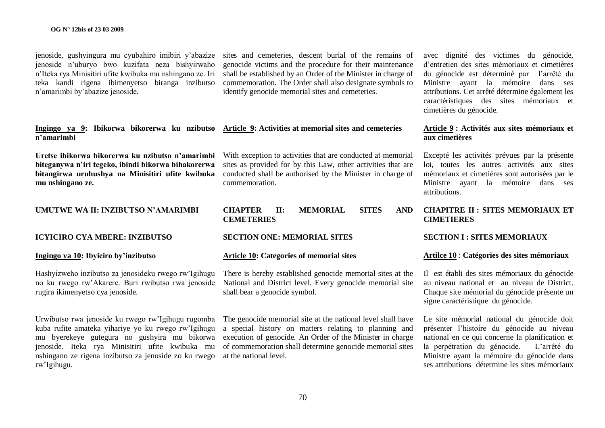jenoside, gushyingura mu cyubahiro imibiri y"abazize jenoside n"uburyo bwo kuzifata neza bishyirwaho n"Iteka rya Minisitiri ufite kwibuka mu nshingano ze. Iri teka kandi rigena ibimenyetso biranga inzibutso n"amarimbi by"abazize jenoside.

**Ingingo ya 9: Ibikorwa bikorerwa ku nzibutso Article 9: Activities at memorial sites and cemeteries n'amarimbi**

**Uretse ibikorwa bikorerwa ku nzibutso n'amarimbi biteganywa n'iri tegeko, ibindi bikorwa bihakorerwa bitangirwa uruhushya na Minisitiri ufite kwibuka mu nshingano ze.**

# **UMUTWE WA II: INZIBUTSO N'AMARIMBI**

**ICYICIRO CYA MBERE: INZIBUTSO** 

# **Ingingo ya 10: Ibyiciro by'inzibutso**

Hashyizweho inzibutso za jenosideku rwego rw"Igihugu no ku rwego rw"Akarere. Buri rwibutso rwa jenoside rugira ikimenyetso cya jenoside.

Urwibutso rwa jenoside ku rwego rw"Igihugu rugomba kuba rufite amateka yihariye yo ku rwego rw"Igihugu mu byerekeye gutegura no gushyira mu bikorwa jenoside. Iteka rya Minisitiri ufite kwibuka mu nshingano ze rigena inzibutso za jenoside zo ku rwego rw"Igihugu.

sites and cemeteries, descent burial of the remains of genocide victims and the procedure for their maintenance shall be established by an Order of the Minister in charge of commemoration. The Order shall also designate symbols to identify genocide memorial sites and cemeteries.

With exception to activities that are conducted at memorial sites as provided for by this Law, other activities that are conducted shall be authorised by the Minister in charge of commemoration.

### **CHAPTER II: MEMORIAL SITES AND CEMETERIES**

#### **SECTION ONE: MEMORIAL SITES**

#### **Article 10: Categories of memorial sites**

There is hereby established genocide memorial sites at the National and District level. Every genocide memorial site shall bear a genocide symbol.

The genocide memorial site at the national level shall have a special history on matters relating to planning and execution of genocide. An Order of the Minister in charge of commemoration shall determine genocide memorial sites at the national level.

avec dignité des victimes du génocide, d"entretien des sites mémoriaux et cimetières du génocide est déterminé par l"arrêté du Ministre ayant la mémoire dans ses attributions. Cet arrêté détermine également les caractéristiques des sites mémoriaux et cimetières du génocide.

# **Article 9 : Activités aux sites mémoriaux et aux cimetières**

Excepté les activités prévues par la présente loi, toutes les autres activités aux sites mémoriaux et cimetières sont autorisées par le Ministre ayant la mémoire dans ses attributions.

# **CHAPITRE II : SITES MEMORIAUX ET CIMETIERES**

#### **SECTION I : SITES MEMORIAUX**

#### **Artilce 10** : **Catégories des sites mémoriaux**

Il est établi des sites mémoriaux du génocide au niveau national et au niveau de District. Chaque site mémorial du génocide présente un signe caractéristique du génocide.

Le site mémorial national du génocide doit présenter l"histoire du génocide au niveau national en ce qui concerne la planification et la perpétration du génocide. L'arrêté du Ministre ayant la mémoire du génocide dans ses attributions détermine les sites mémoriaux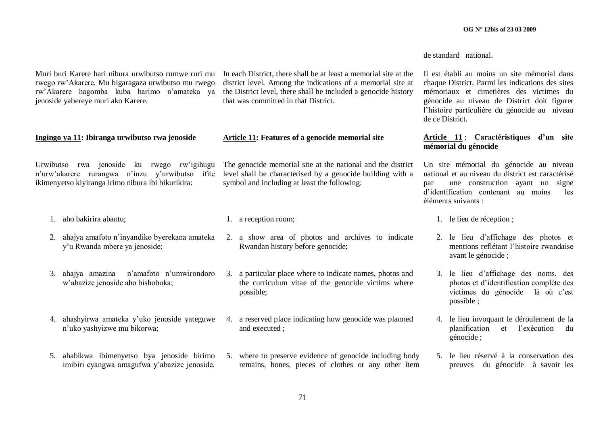de standard national.

Muri buri Karere hari nibura urwibutso rumwe ruri mu rwego rw"Akarere. Mu bigaragaza urwibutso mu rwego rw"Akarere hagomba kuba harimo n"amateka ya jenoside yabereye muri ako Karere. **Ingingo ya 11: Ibiranga urwibutso rwa jenoside**  Urwibutso rwa jenoside ku rwego rw"igihugu n"urw"akarere rurangwa n"inzu y"urwibutso ifite ikimenyetso kiyiranga irimo nibura ibi bikurikira: 1. aho bakirira abantu; 2. ahajya amafoto n"inyandiko byerekana amateka y"u Rwanda mbere ya jenoside; 3. ahajya amazina n"amafoto n"umwirondoro w"abazize jenoside aho bishoboka; 4. ahashyirwa amateka y"uko jenoside yateguwe n"uko yashyizwe mu bikorwa; 5. ahabikwa ibimenyetso bya jenoside birimo imibiri cyangwa amagufwa y"abazize jenoside, In each District, there shall be at least a memorial site at the district level. Among the indications of a memorial site at the District level, there shall be included a genocide history that was committed in that District. **Article 11: Features of a genocide memorial site** The genocide memorial site at the national and the district level shall be characterised by a genocide building with a symbol and including at least the following: 1. a reception room; 2. a show area of photos and archives to indicate Rwandan history before genocide; 3. a particular place where to indicate names, photos and the curriculum vitae of the genocide victims where possible; 4. a reserved place indicating how genocide was planned and executed ; 5. where to preserve evidence of genocide including body remains, bones, pieces of clothes or any other ítem Il est établi au moins un site mémorial dans chaque District. Parmi les indications des sites mémoriaux et cimetières des victimes du génocide au niveau de District doit figurer l"histoire particulière du génocide au niveau de ce District. **Article 11** : **Caractéristiques d'un site mémorial du génocide** Un site mémorial du génocide au niveau national et au niveau du district est caractérisé par une construction ayant un signe d"identification contenant au moins les éléments suivants : 1. le lieu de réception ; 2. le lieu d"affichage des photos et mentions reflétant l"histoire rwandaise avant le génocide ; 3. le lieu d"affichage des noms, des photos et d"identification complète des victimes du génocide là où c"est possible ; 4. le lieu invoquant le déroulement de la planification et l"exécution du génocide ; 5. le lieu réservé à la conservation des preuves du génocide à savoir les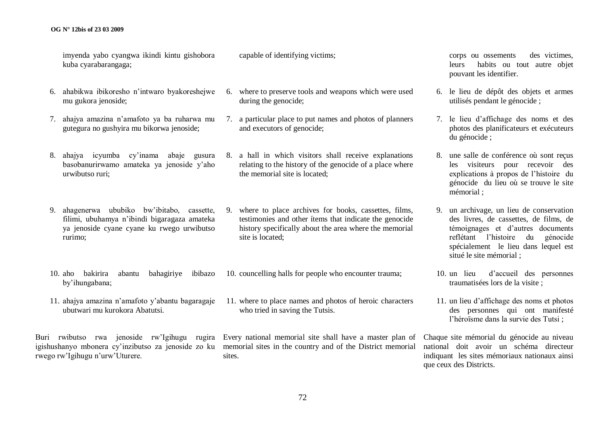#### **OG N° 12bis of 23 03 2009**

imyenda yabo cyangwa ikindi kintu gishobora kuba cyarabarangaga;

- 6. ahabikwa ibikoresho n"intwaro byakoreshejwe mu gukora jenoside;
- 7. ahajya amazina n"amafoto ya ba ruharwa mu gutegura no gushyira mu bikorwa jenoside;
- 8. ahajya icyumba cy"inama abaje gusura basobanurirwamo amateka ya jenoside y"aho urwibutso ruri;
- 9. ahagenerwa ububiko bw"ibitabo, cassette, filimi, ubuhamya n"ibindi bigaragaza amateka ya jenoside cyane cyane ku rwego urwibutso rurimo;
- 10. aho bakirira abantu bahagiriye ibibazo by"ihungabana;
- 11. ahajya amazina n"amafoto y"abantu bagaragaje ubutwari mu kurokora Abatutsi.

rwego rw"Igihugu n"urw"Uturere.

capable of identifying victims;

- 6. where to preserve tools and weapons which were used during the genocide;
- 7. a particular place to put names and photos of planners and executors of genocide;
- 8. a hall in which visitors shall receive explanations relating to the history of the genocide of a place where the memorial site is located;
- 9. where to place archives for books, cassettes, films, testimonies and other ítems that indicate the genocide history specifically about the area where the memorial site is located;
- 10. councelling halls for people who encounter trauma;
- 11. where to place names and photos of heroic characters who tried in saving the Tutsis.

Buri rwibutso rwa jenoside rw"Igihugu rugira Every national memorial site shall have a master plan of igishushanyo mbonera cy'inzibutso za jenoside zo ku memorial sites in the country and of the District memorial sites.

corps ou ossements des victimes, leurs habits ou tout autre objet pouvant les identifier.

- 6. le lieu de dépôt des objets et armes utilisés pendant le génocide ;
- 7. le lieu d"affichage des noms et des photos des planificateurs et exécuteurs du génocide ;
- 8. une salle de conférence où sont reçus les visiteurs pour recevoir des explications à propos de l"histoire du génocide du lieu où se trouve le site mémorial ;
- 9. un archivage, un lieu de conservation des livres, de cassettes, de films, de témoignages et d"autres documents reflétant l"histoire du génocide spécialement le lieu dans lequel est situé le site mémorial ;
- 10. un lieu d"accueil des personnes traumatisées lors de la visite ;
- 11. un lieu d"affichage des noms et photos des personnes qui ont manifesté l"héroïsme dans la survie des Tutsi ;

Chaque site mémorial du génocide au niveau national doit avoir un schéma directeur indiquant les sites mémoriaux nationaux ainsi que ceux des Districts.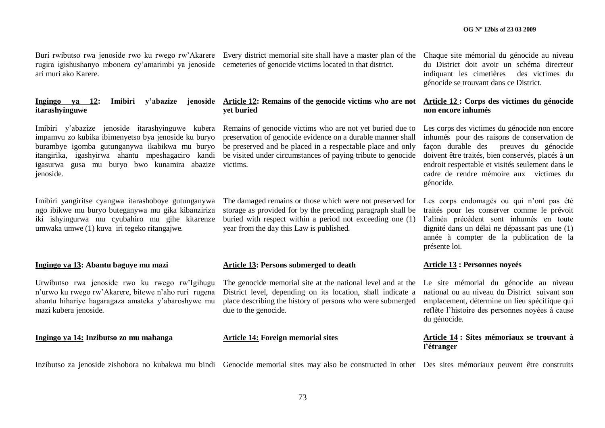rugira igishushanyo mbonera cy"amarimbi ya jenoside cemeteries of genocide victims located in that district. ari muri ako Karere.

# **itarashyinguwe**

Imibiri y"abazize jenoside itarashyinguwe kubera impamvu zo kubika ibimenyetso bya jenoside ku buryo burambye igomba gutunganywa ikabikwa mu buryo itangirika, igashyirwa ahantu mpeshagaciro kandi igasurwa gusa mu buryo bwo kunamira abazize jenoside.

Imibiri yangiritse cyangwa itarashoboye gutunganywa ngo ibikwe mu buryo buteganywa mu gika kibanziriza iki ishyingurwa mu cyubahiro mu gihe kitarenze umwaka umwe (1) kuva iri tegeko ritangajwe.

#### **Ingingo ya 13: Abantu baguye mu mazi**

Urwibutso rwa jenoside rwo ku rwego rw"Igihugu n"urwo ku rwego rw"Akarere, bitewe n"aho ruri rugena ahantu hihariye hagaragaza amateka y"abaroshywe mu mazi kubera jenoside.

**Ingingo ya 14: Inzibutso zo mu mahanga**

Buri rwibutso rwa jenoside rwo ku rwego rw"Akarere Every district memorial site shall have a master plan of the

#### **Ingingo ya 12: Imibiri y'abazize jenoside Article 12: Remains of the genocide victims who are not yet buried**

Remains of genocide victims who are not yet buried due to preservation of genocide evidence on a durable manner shall be preserved and be placed in a respectable place and only be visited under circumstances of paying tribute to genocide victims.

The damaged remains or those which were not preserved for storage as provided for by the preceding paragraph shall be buried with respect within a period not exceeding one (1) year from the day this Law is published.

#### **Article 13: Persons submerged to death**

The genocide memorial site at the national level and at the District level, depending on its location, shall indicate a place describing the history of persons who were submerged due to the genocide.

#### **Article 14: Foreign memorial sites**

Chaque site mémorial du génocide au niveau du District doit avoir un schéma directeur indiquant les cimetières des victimes du génocide se trouvant dans ce District.

## **Article 12 : Corps des victimes du génocide non encore inhumés**

Les corps des victimes du génocide non encore inhumés pour des raisons de conservation de façon durable des preuves du génocide doivent être traités, bien conservés, placés à un endroit respectable et visités seulement dans le cadre de rendre mémoire aux victimes du génocide.

Les corps endomagés ou qui n'ont pas été traités pour les conserver comme le prévoit l"alinéa précédent sont inhumés en toute dignité dans un délai ne dépassant pas une (1) année à compter de la publication de la présente loi.

#### **Article 13 : Personnes noyeés**

Le site mémorial du génocide au niveau national ou au niveau du District suivant son emplacement, détermine un lieu spécifique qui reflète l"histoire des personnes noyées à cause du génocide.

#### **Article 14 : Sites mémoriaux se trouvant à l'étranger**

Inzibutso za jenoside zishobora no kubakwa mu bindi Genocide memorial sites may also be constructed in other Des sites mémoriaux peuvent être construits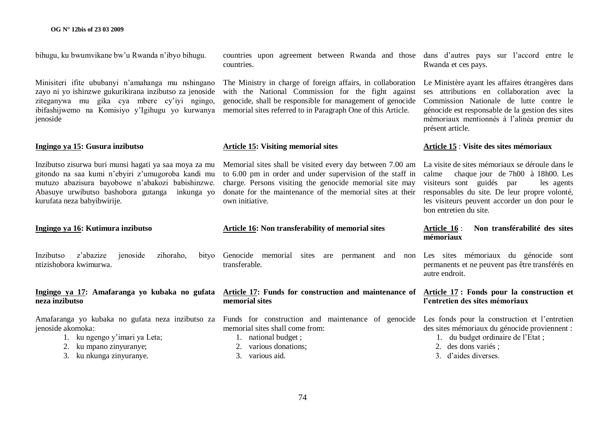bihugu, ku bwumvikane bw"u Rwanda n"ibyo bihugu.

Minisiteri ifite ububanyi n"amahanga mu nshingano zayo ni yo ishinzwe gukurikirana inzibutso za jenoside ziteganywa mu gika cya mbere cy"iyi ngingo, ibifashijwemo na Komisiyo y"Igihugu yo kurwanya ienoside

#### **Ingingo ya 15: Gusura inzibutso**

Inzibutso zisurwa buri munsi hagati ya saa moya za mu gitondo na saa kumi n"ebyiri z"umugoroba kandi mu mutuzo abazisura bayobowe n"abakozi babishinzwe. Abasuye urwibutso bashobora gutanga inkunga yo kurufata neza babyibwirije.

**Ingingo ya 16: Kutimura inzibutso**

Inzibutso z"abazize jenoside zihoraho, bityo ntizishobora kwimurwa.

#### **Ingingo ya 17: Amafaranga yo kubaka no gufata neza inzibutso**

jenoside akomoka:

- 1. ku ngengo y"imari ya Leta;
- 2. ku mpano zinyuranye;
- 3. ku nkunga zinyuranye.

countries upon agreement between Rwanda and those dans d"autres pays sur l"accord entre le countries.

The Ministry in charge of foreign affairs, in collaboration with the National Commission for the fight against genocide, shall be responsible for management of genocide memorial sites referred to in Paragraph One of this Article.

#### **Article 15: Visiting memorial sites**

Memorial sites shall be visited every day between 7.00 am La visite de sites mémoriaux se déroule dans le to 6.00 pm in order and under supervision of the staff in charge. Persons visiting the genocide memorial site may donate for the maintenance of the memorial sites at their own initiative.

#### **Article 16: Non transferability of memorial sites**

Genocide memorial sites are permanent and non Les sites mémoriaux du génocide sont transferable.

#### **Article 17: Funds for construction and maintenance of Article 17 : Fonds pour la construction et memorial sites**

Amafaranga yo kubaka no gufata neza inzibutso za Funds for construction and maintenance of genocide Les fonds pour la construction et l"entretien memorial sites shall come from:

- 1. national budget ;
- 2. various donations;
- 3. various aid.

Rwanda et ces pays.

Le Ministère ayant les affaires étrangères dans ses attributions en collaboration avec la Commission Nationale de lutte contre le génocide est responsable de la gestion des sites mémoriaux mentionnés à l"alinéa premier du présent article.

#### **Article 15** : **Visite des sites mémoriaux**

calme chaque jour de 7h00 à 18h00. Les visiteurs sont guidés par les agents responsables du site. De leur propre volonté, les visiteurs peuvent accorder un don pour le bon entretien du site.

#### **Article 16** : **Non transférabilité des sites mémoriaux**

permanents et ne peuvent pas être transférés en autre endroit.

# **l'entretien des sites mémoriaux**

des sites mémoriaux du génocide proviennent :

- 1. du budget ordinaire de l"Etat ;
- 2. des dons variés :
- 3. d"aides diverses.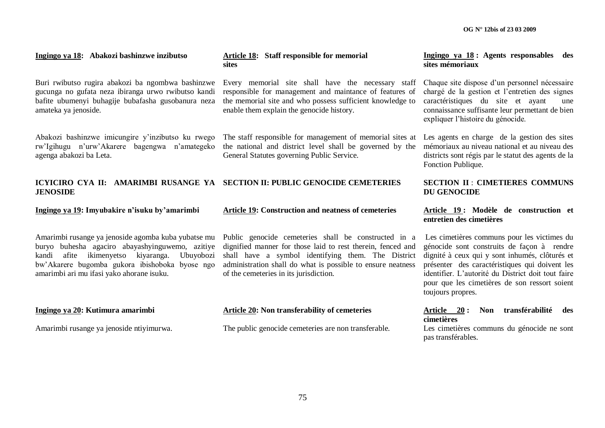#### **Ingingo ya 18: Abakozi bashinzwe inzibutso**

Buri rwibutso rugira abakozi ba ngombwa bashinzwe gucunga no gufata neza ibiranga urwo rwibutso kandi bafite ubumenyi buhagije bubafasha gusobanura neza amateka ya jenoside.

Abakozi bashinzwe imicungire y"inzibutso ku rwego rw"Igihugu n"urw"Akarere bagengwa n"amategeko agenga abakozi ba Leta.

#### **ICYICIRO CYA II: AMARIMBI RUSANGE YA SECTION II: PUBLIC GENOCIDE CEMETERIES JENOSIDE**

**Ingingo ya 19: Imyubakire n'isuku by'amarimbi** 

Amarimbi rusange ya jenoside agomba kuba yubatse mu buryo buhesha agaciro abayashyinguwemo, azitiye kandi afite ikimenyetso kiyaranga. Ubuyobozi bw"Akarere bugomba gukora ibishoboka byose ngo amarimbi ari mu ifasi yako ahorane isuku.

#### **Ingingo ya 20: Kutimura amarimbi**

Amarimbi rusange ya jenoside ntiyimurwa.

**Article 18: Staff responsible for memorial sites**

Every memorial site shall have the necessary staff responsible for management and maintance of features of the memorial site and who possess sufficient knowledge to enable them explain the genocide history.

The staff responsible for management of memorial sites at the national and district level shall be governed by the General Statutes governing Public Service.

#### **Article 19: Construction and neatness of cemeteries**

Public genocide cemeteries shall be constructed in a dignified manner for those laid to rest therein, fenced and shall have a symbol identifying them. The District administration shall do what is possible to ensure neatness of the cemeteries in its jurisdiction.

#### **Article 20: Non transferability of cemeteries**

The public genocide cemeteries are non transferable.

**Ingingo ya 18 : Agents responsables des sites mémoriaux**

Chaque site dispose d"un personnel nécessaire chargé de la gestion et l"entretien des signes caractéristiques du site et ayant une connaissance suffisante leur permettant de bien expliquer l"histoire du génocide.

Les agents en charge de la gestion des sites mémoriaux au niveau national et au niveau des districts sont régis par le statut des agents de la Fonction Publique.

## **SECTION II** : **CIMETIERES COMMUNS DU GENOCIDE**

#### **Article 19 : Modèle de construction et entretien des cimetières**

Les cimetières communs pour les victimes du génocide sont construits de façon à rendre dignité à ceux qui y sont inhumés, clôturés et présenter des caractéristiques qui doivent les identifier. L"autorité du District doit tout faire pour que les cimetières de son ressort soient toujours propres.

#### **Article 20 : Non transférabilité des cimetières**

Les cimetières communs du génocide ne sont pas transférables.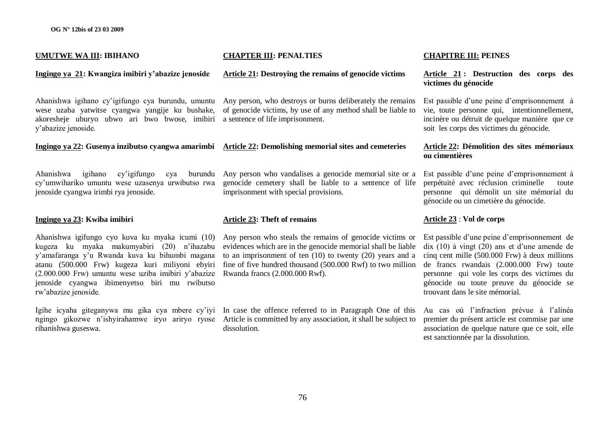#### **UMUTWE WA III: IBIHANO**

#### **Ingingo ya 21: Kwangiza imibiri y'abazize jenoside**

wese uzaba yatwitse cyangwa yangije ku bushake, akoresheje uburyo ubwo ari bwo bwose, imibiri a sentence of life imprisonment. y"abazize jenoside.

Ahanishwa igihano cy'igifungo cya cy"umwihariko umuntu wese uzasenya urwibutso rwa jenoside cyangwa irimbi rya jenoside.

#### **Ingingo ya 23: Kwiba imibiri**

Ahanishwa igifungo cyo kuva ku myaka icumi (10) kugeza ku myaka makumyabiri (20) n"ihazabu y"amafaranga y"u Rwanda kuva ku bihumbi magana atanu (500.000 Frw) kugeza kuri miliyoni ebyiri (2.000.000 Frw) umuntu wese uziba imibiri y"abazize jenoside cyangwa ibimenyetso biri mu rwibutso rw"abazize jenoside.

Igihe icyaha giteganywa mu gika cya mbere cy"iyi In case the offence referred to in Paragraph One of this rihanishwa guseswa.

# **CHAPTER III: PENALTIES**

#### **Article 21: Destroying the remains of genocide victims**

Ahanishwa igihano cy"igifungo cya burundu, umuntu Any person, who destroys or burns deliberately the remains of genocide victims, by use of any method shall be liable to

#### **Ingingo ya 22: Gusenya inzibutso cyangwa amarimbi Article 22: Demolishing memorial sites and cemeteries**

Any person who vandalises a genocide memorial site or a genocide cemetery shall be liable to a sentence of life imprisonment with special provisions.

#### **Article 23: Theft of remains**

Any person who steals the remains of genocide victims or evidences which are in the genocide memorial shall be liable to an imprisonment of ten (10) to twenty (20) years and a fine of five hundred thousand (500.000 Rwf) to two million Rwanda francs (2.000.000 Rwf).

ngingo gikozwe n"ishyirahamwe iryo ariryo ryose Article is committed by any association, it shall be subject to dissolution.

#### **CHAPITRE III: PEINES**

#### **Article 21 : Destruction des corps des victimes du génocide**

Est passible d"une peine d"emprisonnement à vie, toute personne qui, intentionnellement, incinère ou détruit de quelque manière que ce soit les corps des victimes du génocide.

#### **Article 22: Démolition des sites mémoriaux ou cimentières**

Est passible d"une peine d"emprisonnement à perpétuité avec réclusion criminelle toute personne qui démolit un site mémorial du génocide ou un cimetière du génocide.

## **Article 23** : **Vol de corps**

Est passible d"une peine d"emprisonnement de dix  $(10)$  à vingt  $(20)$  ans et d'une amende de cinq cent mille (500.000 Frw) à deux millions de francs rwandais (2.000.000 Frw) toute personne qui vole les corps des victimes du génocide ou toute preuve du génocide se trouvant dans le site mémorial.

Au cas où l"infraction prévue à l"alinéa premier du présent article est commise par une association de quelque nature que ce soit, elle est sanctionnée par la dissolution.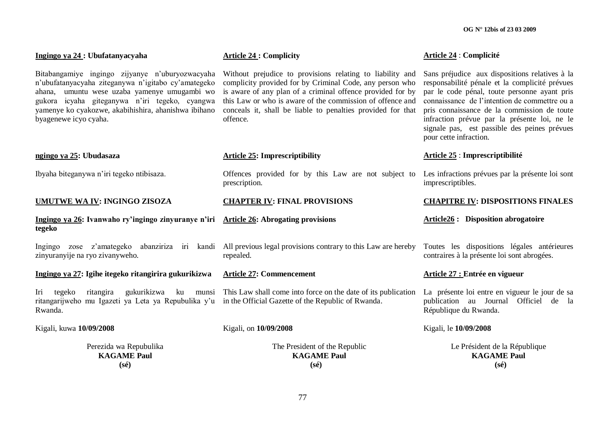| Ingingo ya 24 : Ubufatanyacyaha                                                                                                                                                                                                                                                           | <b>Article 24: Complicity</b>                                                                                                                                                                                                                                                                                               | Article 24 : Complicité                                                                                                                                                                                                                                                                                                                                                    |
|-------------------------------------------------------------------------------------------------------------------------------------------------------------------------------------------------------------------------------------------------------------------------------------------|-----------------------------------------------------------------------------------------------------------------------------------------------------------------------------------------------------------------------------------------------------------------------------------------------------------------------------|----------------------------------------------------------------------------------------------------------------------------------------------------------------------------------------------------------------------------------------------------------------------------------------------------------------------------------------------------------------------------|
| Bitabangamiye ingingo zijyanye n'uburyozwacyaha<br>n'ubufatanyacyaha ziteganywa n'igitabo cy'amategeko<br>ahana, umuntu wese uzaba yamenye umugambi wo<br>gukora icyaha giteganywa n'iri tegeko, cyangwa<br>yamenye ko cyakozwe, akabihishira, ahanishwa ibihano<br>byagenewe icyo cyaha. | Without prejudice to provisions relating to liability and<br>complicity provided for by Criminal Code, any person who<br>is aware of any plan of a criminal offence provided for by<br>this Law or who is aware of the commission of offence and<br>conceals it, shall be liable to penalties provided for that<br>offence. | Sans préjudice aux dispositions relatives à la<br>responsabilité pénale et la complicité prévues<br>par le code pénal, toute personne ayant pris<br>connaissance de l'intention de commettre ou a<br>pris connaissance de la commission de toute<br>infraction prévue par la présente loi, ne le<br>signale pas, est passible des peines prévues<br>pour cette infraction. |
| ngingo ya 25: Ubudasaza                                                                                                                                                                                                                                                                   | <b>Article 25: Imprescriptibility</b>                                                                                                                                                                                                                                                                                       | Article 25 : Imprescriptibilité                                                                                                                                                                                                                                                                                                                                            |
| Ibyaha biteganywa n'iri tegeko ntibisaza.                                                                                                                                                                                                                                                 | Offences provided for by this Law are not subject to<br>prescription.                                                                                                                                                                                                                                                       | Les infractions prévues par la présente loi sont<br>imprescriptibles.                                                                                                                                                                                                                                                                                                      |
| <b>UMUTWE WA IV: INGINGO ZISOZA</b>                                                                                                                                                                                                                                                       | <b>CHAPTER IV: FINAL PROVISIONS</b>                                                                                                                                                                                                                                                                                         | <b>CHAPITRE IV: DISPOSITIONS FINALES</b>                                                                                                                                                                                                                                                                                                                                   |
| Ingingo ya 26: Ivanwaho ry'ingingo zinyuranye n'iri Article 26: Abrogating provisions<br>tegeko                                                                                                                                                                                           |                                                                                                                                                                                                                                                                                                                             | <b>Article26 :</b> Disposition abrogatoire                                                                                                                                                                                                                                                                                                                                 |
| zinyuranyije na ryo zivanyweho.                                                                                                                                                                                                                                                           | Ingingo zose z'amategeko abanziriza iri kandi All previous legal provisions contrary to this Law are hereby<br>repealed.                                                                                                                                                                                                    | Toutes les dispositions légales antérieures<br>contraires à la présente loi sont abrogées.                                                                                                                                                                                                                                                                                 |
| Ingingo ya 27: Igihe itegeko ritangirira gukurikizwa                                                                                                                                                                                                                                      | <b>Article 27: Commencement</b>                                                                                                                                                                                                                                                                                             | Article 27 : Entrée en vigueur                                                                                                                                                                                                                                                                                                                                             |
| ritangira<br>gukurikizwa<br>tegeko<br>Iri<br>ritangarijweho mu Igazeti ya Leta ya Repubulika y'u in the Official Gazette of the Republic of Rwanda.<br>Rwanda.                                                                                                                            | ku munsi This Law shall come into force on the date of its publication                                                                                                                                                                                                                                                      | La présente loi entre en vigueur le jour de sa<br>publication au Journal Officiel de la<br>République du Rwanda.                                                                                                                                                                                                                                                           |
| Kigali, kuwa 10/09/2008                                                                                                                                                                                                                                                                   | Kigali, on 10/09/2008                                                                                                                                                                                                                                                                                                       | Kigali, le 10/09/2008                                                                                                                                                                                                                                                                                                                                                      |
| Perezida wa Repubulika<br><b>KAGAME Paul</b><br>$(s\acute{e})$                                                                                                                                                                                                                            | The President of the Republic<br><b>KAGAME Paul</b><br>$(s\acute{e})$                                                                                                                                                                                                                                                       | Le Président de la République<br><b>KAGAME Paul</b><br>$(s\acute{e})$                                                                                                                                                                                                                                                                                                      |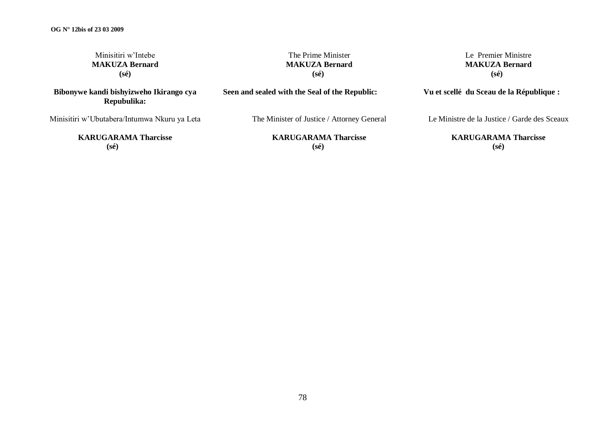| Minisitiri w'Intebe                                    | The Prime Minister                             | Le Premier Ministre                           |
|--------------------------------------------------------|------------------------------------------------|-----------------------------------------------|
| <b>MAKUZA Bernard</b>                                  | <b>MAKUZA Bernard</b>                          | <b>MAKUZA Bernard</b>                         |
| $(s\acute{e})$                                         | $(s\acute{e})$                                 | $(s\acute{e})$                                |
| Bibonywe kandi bishyizweho Ikirango cya<br>Repubulika: | Seen and sealed with the Seal of the Republic: | Vu et scellé du Sceau de la République :      |
| Minisitiri w'Ubutabera/Intumwa Nkuru ya Leta           | The Minister of Justice / Attorney General     | Le Ministre de la Justice / Garde des Sceaux  |
| <b>KARUGARAMA Tharcisse</b><br>$(s\acute{e})$          | <b>KARUGARAMA Tharcisse</b><br>$(s\acute{e})$  | <b>KARUGARAMA Tharcisse</b><br>$(s\acute{e})$ |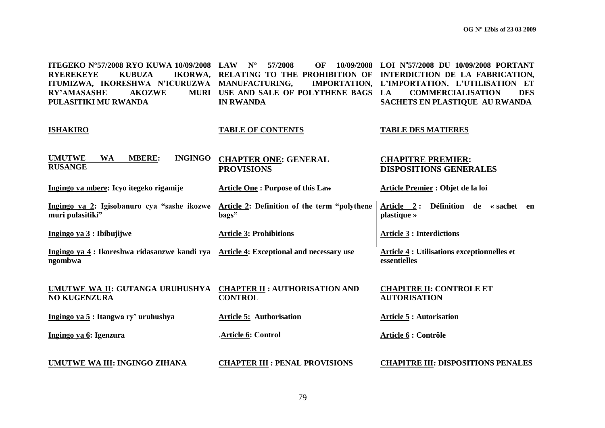| ITEGEKO N°57/2008 RYO KUWA 10/09/2008 LAW<br><b>RYEREKEYE</b><br><b>KUBUZA</b><br>ITUMIZWA, IKORESHWA N'ICURUZWA MANUFACTURING,<br><b>RY'AMASASHE</b><br><b>AKOZWE</b><br>PULASITIKI MU RWANDA | $N^{\circ}$<br>57/2008<br>OF<br>10/09/2008<br>IKORWA, RELATING TO THE PROHIBITION OF<br>MURI USE AND SALE OF POLYTHENE BAGS<br><b>IN RWANDA</b> | LOI Nº57/2008 DU 10/09/2008 PORTANT<br>INTERDICTION DE LA FABRICATION,<br>IMPORTATION, L'IMPORTATION, L'UTILISATION ET<br><b>COMMERCIALISATION</b><br>LA<br><b>DES</b><br>SACHETS EN PLASTIQUE AU RWANDA |
|------------------------------------------------------------------------------------------------------------------------------------------------------------------------------------------------|-------------------------------------------------------------------------------------------------------------------------------------------------|----------------------------------------------------------------------------------------------------------------------------------------------------------------------------------------------------------|
| <b>ISHAKIRO</b>                                                                                                                                                                                | <b>TABLE OF CONTENTS</b>                                                                                                                        | <b>TABLE DES MATIERES</b>                                                                                                                                                                                |
| <b>INGINGO</b><br><b>UMUTWE</b><br><b>MBERE:</b><br><b>WA</b><br><b>RUSANGE</b>                                                                                                                | <b>CHAPTER ONE: GENERAL</b><br><b>PROVISIONS</b>                                                                                                | <b>CHAPITRE PREMIER:</b><br><b>DISPOSITIONS GENERALES</b>                                                                                                                                                |
| Ingingo ya mbere: Icyo itegeko rigamije                                                                                                                                                        | <b>Article One: Purpose of this Law</b>                                                                                                         | Article Premier : Objet de la loi                                                                                                                                                                        |
| Ingingo ya 2: Igisobanuro cya "sashe ikozwe<br>muri pulasitiki"                                                                                                                                | Article 2: Definition of the term "polythene<br>bags"                                                                                           | Article 2: Définition de « sachet en<br>plastique »                                                                                                                                                      |
| Ingingo ya $3:$ Ibibujijwe                                                                                                                                                                     | <b>Article 3: Prohibitions</b>                                                                                                                  | <b>Article 3 : Interdictions</b>                                                                                                                                                                         |
| Ingingo ya 4 : Ikoreshwa ridasanzwe kandi rya Article 4: Exceptional and necessary use<br>ngombwa                                                                                              |                                                                                                                                                 | <b>Article 4 : Utilisations exceptionnelles et</b><br>essentielles                                                                                                                                       |
| UMUTWE WA II: GUTANGA URUHUSHYA<br><b>NO KUGENZURA</b>                                                                                                                                         | <b>CHAPTER II : AUTHORISATION AND</b><br><b>CONTROL</b>                                                                                         | <b>CHAPITRE II: CONTROLE ET</b><br><b>AUTORISATION</b>                                                                                                                                                   |
| Ingingo ya 5: Itangwa ry' uruhushya                                                                                                                                                            | <b>Article 5: Authorisation</b>                                                                                                                 | <b>Article 5: Autorisation</b>                                                                                                                                                                           |
| Ingingo ya 6: Igenzura                                                                                                                                                                         | Article 6: Control                                                                                                                              | Article 6 : Contrôle                                                                                                                                                                                     |
| UMUTWE WA III: INGINGO ZIHANA                                                                                                                                                                  | <b>CHAPTER III : PENAL PROVISIONS</b>                                                                                                           | <b>CHAPITRE III: DISPOSITIONS PENALES</b>                                                                                                                                                                |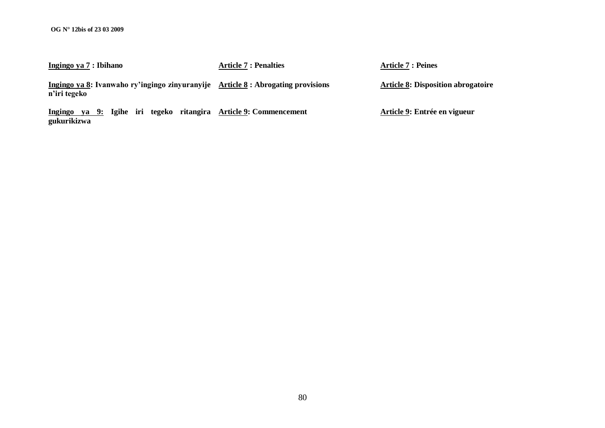**Ingingo ya 7 : Ibihano Article 7 : Penalties Article 7 : Peines**

**Ingingo ya 8: Ivanwaho ry'ingingo zinyuranyije Article 8 : Abrogating provisions n'iri tegeko Article 8: Disposition abrogatoire** 

**Ingingo ya 9: Igihe iri tegeko ritangira Article 9: Commencement gukurikizwa**

**Article 9: Entrée en vigueur**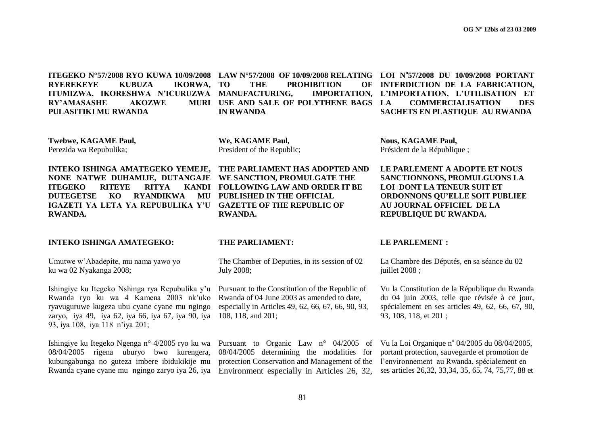**ITEGEKO N°57/2008 RYO KUWA 10/09/2008 LAW N°57/2008 OF 10/09/2008 RELATING LOI N<sup>o</sup> 57/2008 DU 10/09/2008 PORTANT RYEREKEYE KUBUZA IKORWA,**  ITUMIZWA, IKORESHWA N'ICURUZWA MANUFACTURING, IMPORTATION, **RY'AMASASHE AKOZWE PULASITIKI MU RWANDA**

THE PROHIBITION OF **MURI USE AND SALE OF POLYTHENE BAGS LA IN RWANDA L'IMPORTATION, L'UTILISATION ET** 

**LA COMMERCIALISATION DES SACHETS EN PLASTIQUE AU RWANDA**

**Twebwe, KAGAME Paul,** Perezida wa Repubulika;

**INTEKO ISHINGA AMATEGEKO YEMEJE, NONE NATWE DUHAMIJE, DUTANGAJE ITEGEKO RITEYE RITYA DUTEGETSE KO RYANDIKWA IGAZETI YA LETA YA REPUBULIKA Y'U GAZETTE OF THE REPUBLIC OF RWANDA.**

#### **INTEKO ISHINGA AMATEGEKO: THE PARLIAMENT: LE PARLEMENT :**

Umutwe w"Abadepite, mu nama yawo yo ku wa 02 Nyakanga 2008;

Ishingiye ku Itegeko Nshinga rya Repubulika y"u Rwanda ryo ku wa 4 Kamena 2003 nk"uko ryavuguruwe kugeza ubu cyane cyane mu ngingo zaryo, iya 49, iya 62, iya 66, iya 67, iya 90, iya 93, iya 108, iya 118 n"iya 201;

Ishingiye ku Itegeko Ngenga n° 4/2005 ryo ku wa 08/04/2005 rigena uburyo bwo kurengera, kubungabunga no guteza imbere ibidukikije mu Rwanda cyane cyane mu ngingo zaryo iya 26, iya **We, KAGAME Paul,** President of the Republic;

**THE PARLIAMENT HAS ADOPTED AND WE SANCTION, PROMULGATE THE FOLLOWING LAW AND ORDER IT BE PUBLISHED IN THE OFFICIAL RWANDA.**

The Chamber of Deputies, in its session of 02 July 2008;

Pursuant to the Constitution of the Republic of Rwanda of 04 June 2003 as amended to date, especially in Articles 49, 62, 66, 67, 66, 90, 93, 108, 118, and 201;

Pursuant to Organic Law n° 04/2005 of 08/04/2005 determining the modalities for protection Conservation and Management of the Environment especially in Articles 26, 32, **Nous, KAGAME Paul,** Président de la République ;

**LE PARLEMENT A ADOPTE ET NOUS SANCTIONNONS, PROMULGUONS LA LOI DONT LA TENEUR SUIT ET ORDONNONS QU'ELLE SOIT PUBLIEE AU JOURNAL OFFICIEL DE LA REPUBLIQUE DU RWANDA.**

**INTERDICTION DE LA FABRICATION,** 

La Chambre des Députés, en sa séance du 02 juillet 2008 ;

Vu la Constitution de la République du Rwanda du 04 juin 2003, telle que révisée à ce jour, spécialement en ses articles 49, 62, 66, 67, 90, 93, 108, 118, et 201 ;

Vu la Loi Organique nº 04/2005 du 08/04/2005, portant protection, sauvegarde et promotion de l"environnement au Rwanda, spécialement en ses articles 26,32, 33,34, 35, 65, 74, 75,77, 88 et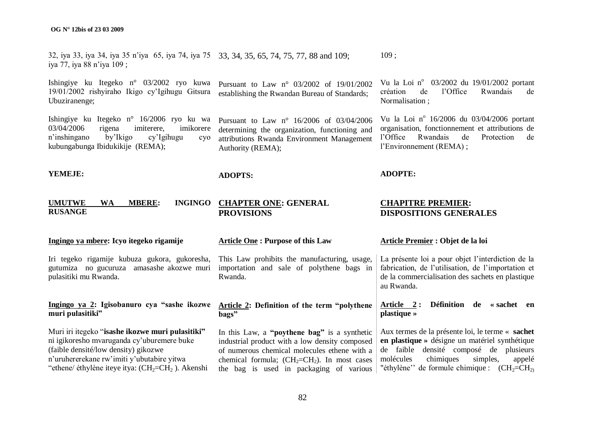32, iya 33, iya 34, iya 35 n"iya 65, iya 74, iya 75 33, 34, 35, 65, 74, 75, 77, 88 and 109; iya 77, iya 88 n"iya 109 ; 109 ;

**ADOPTS:**

Ishingiye ku Itegeko n° 03/2002 ryo kuwa 19/01/2002 rishyiraho Ikigo cy"Igihugu Gitsura Ubuziranenge;

Ishingiye ku Itegeko n° 16/2006 ryo ku wa 03/04/2006 rigena imiterere, imikorere n"inshingano by"Ikigo cy"Igihugu cyo kubungabunga Ibidukikije (REMA);

Pursuant to Law n° 03/2002 of 19/01/2002 establishing the Rwandan Bureau of Standards;

Pursuant to Law n° 16/2006 of 03/04/2006 determining the organization, functioning and attributions Rwanda Environment Management Authority (REMA);

Vu la Loi nº 03/2002 du 19/01/2002 portant création de l"Office Rwandais de Normalisation ;

Vu la Loi nº 16/2006 du 03/04/2006 portant organisation, fonctionnement et attributions de l"Office Rwandais de Protection de l"Environnement (REMA) ;

#### **YEMEJE:**

#### **UMUTWE WA MBERE: INGINGO RUSANGE CHAPTER ONE: GENERAL PROVISIONS CHAPITRE PREMIER: DISPOSITIONS GENERALES**

#### **Ingingo ya mbere: Icyo itegeko rigamije**

Iri tegeko rigamije kubuza gukora, gukoresha, gutumiza no gucuruza amasashe akozwe muri pulasitiki mu Rwanda.

#### **Ingingo ya 2: Igisobanuro cya "sashe ikozwe muri pulasitiki"**

Muri iri itegeko "**isashe ikozwe muri pulasitiki"**  ni igikoresho mvaruganda cy"uburemere buke (faible densité/low density) gikozwe n"uruhererekane rw"imiti y"ubutabire yitwa "ethene/ éthylène iteye itya:  $(CH_2=CH_2)$ . Akenshi

#### **Article One : Purpose of this Law**

This Law prohibits the manufacturing, usage, importation and sale of polythene bags in Rwanda.

**Article 2: Definition of the term "polythene bags"**

In this Law, a **"poythene bag"** is a synthetic industrial product with a low density composed of numerous chemical molecules ethene with a chemical formula;  $(CH<sub>2</sub>=CH<sub>2</sub>)$ . In most cases the bag is used in packaging of various

#### **Article Premier : Objet de la loi**

**ADOPTE:**

La présente loi a pour objet l'interdiction de la fabrication, de l"utilisation, de l"importation et de la commercialisation des sachets en plastique au Rwanda.

#### **Article 2 : Définition de « sachet en plastique »**

Aux termes de la présente loi, le terme « **sachet en plastique »** désigne un matériel synthétique de faible densité composé de plusieurs molécules chimiques simples, appelé "éthylène" de formule chimique :  $(CH_2=CH_2)$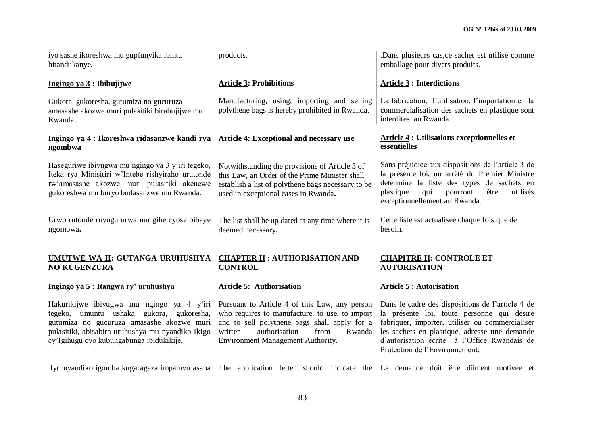iyo sashe ikoreshwa mu gupfunyika ibintu bitandukanye**.**

Gukora, gukoresha, gutumiza no gucuruza amasashe akozwe muri pulasitiki birabujijwe mu

**Ingingo ya 4 : Ikoreshwa ridasanzwe kandi rya**

gukoreshwa mu buryo budasanzwe mu Rwanda.

Urwo rutonde ruvugururwa mu gihe cyose bibaye

**Ingingo ya 3 : Ibibujijwe**

Rwanda.

**ngombwa**

ngombwa**.**

products.

## **Article 3: Prohibitions**

Manufacturing, using, importing and selling polythene bags is hereby prohibited in Rwanda.

## **Article 4: Exceptional and necessary use**

Haseguriwe ibivugwa mu ngingo ya 3 y"iri tegeko, Iteka rya Minisitiri w"Intebe rishyiraho urutonde rw"amasashe akozwe muri pulasitiki akenewe Notwithstanding the provisions of Article 3 of this Law, an Order of the Prime Minister shall establish a list of polythene bags necessary to be used in exceptional cases in Rwanda**.**

> The list shall be up dated at any time where it is deemed necessary**.**

#### **UMUTWE WA II: GUTANGA URUHUSHYA CHAPTER II : AUTHORISATION AND NO KUGENZURA**

#### **Ingingo ya 5 : Itangwa ry' uruhushya**

Hakurikijwe ibivugwa mu ngingo ya 4 y"iri tegeko, umuntu ushaka gukora, gukoresha, gutumiza no gucuruza amasashe akozwe muri pulasitiki, abisabira uruhushya mu nyandiko Ikigo cy"Igihugu cyo kubungabunga ibidukikije.

Iyo nyandiko igomba kugaragaza impamvu asaba The application letter should indicate the La demande doit être dûment motivée et

# **CONTROL**

#### **Article 5: Authorisation**

Pursuant to Article 4 of this Law, any person who requires to manufacture, to use, to import and to sell polythene bags shall apply for a written authorisation from Rwanda Environment Management Authority.

.Dans plusieurs cas,ce sachet est utilisé comme emballage pour divers produits.

#### **Article 3 : Interdictions**

La fabrication, l'utilisation, l'importation et la commercialisation des sachets en plastique sont interdites au Rwanda.

#### **Article 4 : Utilisations exceptionnelles et essentielles**

Sans préjudice aux dispositions de l"article 3 de la présente loi, un arrêté du Premier Ministre détermine la liste des types de sachets en plastique qui pourront être utilisés exceptionnellement au Rwanda.

Cette liste est actualisée chaque fois que de besoin.

#### **CHAPITRE II: CONTROLE ET AUTORISATION**

### **Article 5 : Autorisation**

Dans le cadre des dispositions de l"article 4 de la présente loi, toute personne qui désire fabriquer, importer, utiliser ou commercialiser les sachets en plastique, adresse une demande d"autorisation écrite à l"Office Rwandais de Protection de l"Environnement.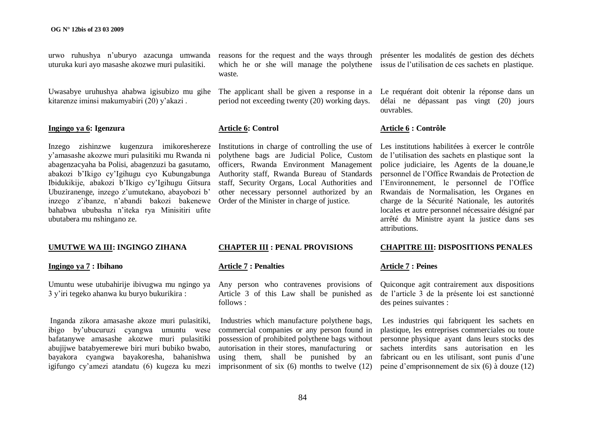urwo ruhushya n"uburyo azacunga umwanda uturuka kuri ayo masashe akozwe muri pulasitiki.

Uwasabye uruhushya ahabwa igisubizo mu gihe kitarenze iminsi makumyabiri (20) y"akazi .

## **Ingingo ya 6: Igenzura**

Inzego zishinzwe kugenzura imikoreshereze y"amasashe akozwe muri pulasitiki mu Rwanda ni abagenzacyaha ba Polisi, abagenzuzi ba gasutamo, abakozi b"Ikigo cy"Igihugu cyo Kubungabunga Ibidukikije, abakozi b"Ikigo cy"Igihugu Gitsura Ubuziranenge, inzego z'umutekano, abayobozi b' inzego z"ibanze, n"abandi bakozi bakenewe bahabwa ububasha n"iteka rya Minisitiri ufite ubutabera mu nshingano ze.

#### **Ingingo ya 7 : Ibihano**

Umuntu wese utubahirije ibivugwa mu ngingo ya 3 y"iri tegeko ahanwa ku buryo bukurikira :

Inganda zikora amasashe akoze muri pulasitiki, ibigo by"ubucuruzi cyangwa umuntu wese bafatanywe amasashe akozwe muri pulasitiki abujijwe batabyemerewe biri muri bubiko bwabo, bayakora cyangwa bayakoresha, bahanishwa igifungo cy"amezi atandatu (6) kugeza ku mezi

reasons for the request and the ways through which he or she will manage the polythene waste.

The applicant shall be given a response in a period not exceeding twenty (20) working days.

#### **Article 6: Control**

Institutions in charge of controlling the use of polythene bags are Judicial Police, Custom officers, Rwanda Environment Management Authority staff, Rwanda Bureau of Standards staff, Security Organs, Local Authorities and other necessary personnel authorized by an Order of the Minister in charge of justice.

#### **Article 7 : Penalties**

Any person who contravenes provisions of Article 3 of this Law shall be punished as follows :

Industries which manufacture polythene bags, commercial companies or any person found in possession of prohibited polythene bags without autorisation in their stores, manufacturing or using them, shall be punished by an imprisonment of six (6) months to twelve (12) présenter les modalités de gestion des déchets issus de l"utilisation de ces sachets en plastique.

Le requérant doit obtenir la réponse dans un délai ne dépassant pas vingt (20) jours ouvrables.

#### **Article 6 : Contrôle**

Les institutions habilitées à exercer le contrôle de l"utilisation des sachets en plastique sont la police judiciaire, les Agents de la douane,le personnel de l"Office Rwandais de Protection de l"Environnement, le personnel de l"Office Rwandais de Normalisation, les Organes en charge de la Sécurité Nationale, les autorités locales et autre personnel nécessaire désigné par arrêté du Ministre ayant la justice dans ses attributions.

#### **UMUTWE WA III: INGINGO ZIHANA CHAPTER III : PENAL PROVISIONS CHAPITRE III: DISPOSITIONS PENALES**

#### **Article 7 : Peines**

Quiconque agit contrairement aux dispositions de l"article 3 de la présente loi est sanctionné des peines suivantes :

Les industries qui fabriquent les sachets en plastique, les entreprises commerciales ou toute personne physique ayant dans leurs stocks des sachets interdits sans autorisation en les fabricant ou en les utilisant, sont punis d'une peine d"emprisonnement de six (6) à douze (12)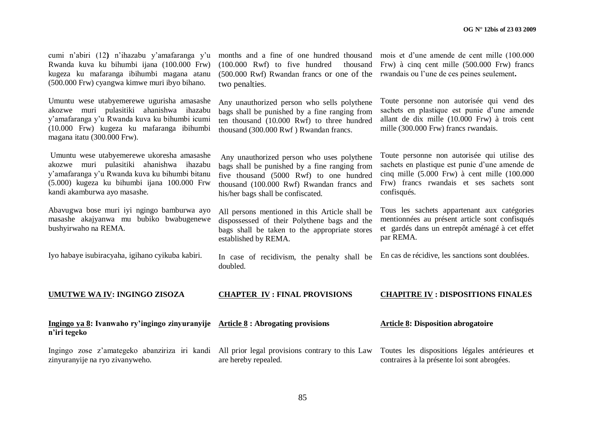| cumi n'abiri (12) n'ihazabu y'amafaranga y'u<br>Rwanda kuva ku bihumbi ijana (100.000 Frw)<br>kugeza ku mafaranga ibihumbi magana atanu<br>(500.000 Frw) cyangwa kimwe muri ibyo bihano.                                | months and a fine of one hundred thousand<br>$(100.000 \text{ Rwf})$ to five hundred<br>thousand<br>(500.000 Rwf) Rwandan francs or one of the<br>two penalties.                                                          | mois et d'une amende de cent mille (100.000<br>Frw) à cinq cent mille (500.000 Frw) francs<br>rwandais ou l'une de ces peines seulement.                                                                       |
|-------------------------------------------------------------------------------------------------------------------------------------------------------------------------------------------------------------------------|---------------------------------------------------------------------------------------------------------------------------------------------------------------------------------------------------------------------------|----------------------------------------------------------------------------------------------------------------------------------------------------------------------------------------------------------------|
| Umuntu wese utabyemerewe ugurisha amasashe<br>akozwe muri pulasitiki ahanishwa ihazabu<br>y'amafaranga y'u Rwanda kuva ku bihumbi icumi<br>(10.000 Frw) kugeza ku mafaranga ibihumbi<br>magana itatu (300.000 Frw).     | Any unauthorized person who sells polythene<br>bags shall be punished by a fine ranging from<br>ten thousand (10.000 Rwf) to three hundred<br>thousand (300.000 Rwf) Rwandan francs.                                      | Toute personne non autorisée qui vend des<br>sachets en plastique est punie d'une amende<br>allant de dix mille (10.000 Frw) à trois cent<br>mille (300.000 Frw) francs rwandais.                              |
| Umuntu wese utabyemerewe ukoresha amasashe<br>akozwe muri pulasitiki ahanishwa ihazabu<br>y'amafaranga y'u Rwanda kuva ku bihumbi bitanu<br>(5.000) kugeza ku bihumbi ijana 100.000 Frw<br>kandi akamburwa ayo masashe. | Any unauthorized person who uses polythene<br>bags shall be punished by a fine ranging from<br>five thousand (5000 Rwf) to one hundred<br>thousand (100.000 Rwf) Rwandan francs and<br>his/her bags shall be confiscated. | Toute personne non autorisée qui utilise des<br>sachets en plastique est punie d'une amende de<br>cinq mille $(5.000$ Frw) à cent mille $(100.000)$<br>Frw) francs rwandais et ses sachets sont<br>confisqués. |
| Abavugwa bose muri iyi ngingo bamburwa ayo<br>masashe akajyanwa mu bubiko bwabugenewe<br>bushyirwaho na REMA.                                                                                                           | All persons mentioned in this Article shall be<br>dispossessed of their Polythene bags and the<br>bags shall be taken to the appropriate stores<br>established by REMA.                                                   | Tous les sachets appartenant aux catégories<br>mentionnées au présent article sont confisqués<br>et gardés dans un entrepôt aménagé à cet effet<br>par REMA.                                                   |
| Iyo habaye isubiracyaha, igihano cyikuba kabiri.                                                                                                                                                                        | In case of recidivism, the penalty shall be<br>doubled.                                                                                                                                                                   | En cas de récidive, les sanctions sont doublées.                                                                                                                                                               |
| <b>UMUTWE WA IV: INGINGO ZISOZA</b>                                                                                                                                                                                     | <b>CHAPTER IV: FINAL PROVISIONS</b>                                                                                                                                                                                       | <b>CHAPITRE IV : DISPOSITIONS FINALES</b>                                                                                                                                                                      |
| Ingingo ya 8: Ivanwaho ry'ingingo zinyuranyije Article 8 : Abrogating provisions<br>n'iri tegeko                                                                                                                        |                                                                                                                                                                                                                           | <b>Article 8: Disposition abrogatoire</b>                                                                                                                                                                      |
| Ingingo zose z'amategeko abanziriza iri kandi All prior legal provisions contrary to this Law<br>zinyuranyije na ryo zivanyweho.                                                                                        | are hereby repealed.                                                                                                                                                                                                      | Toutes les dispositions légales antérieures et<br>contraires à la présente loi sont abrogées.                                                                                                                  |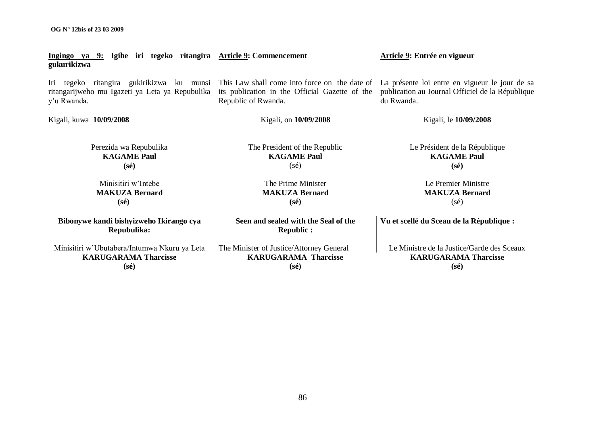Iri tegeko ritangira gukirikizwa ku munsi This Law shall come into force on the date of La présente loi entre en vigueur le jour de sa its publication in the Official Gazette of the publication au Journal Officiel de la République Republic of Rwanda. du Rwanda. Kigali, kuwa **10/09/2008** Perezida wa Repubulika **KAGAME Paul (sé)** Minisitiri w"Intebe **MAKUZA Bernard (sé)** Kigali, on **10/09/2008** The President of the Republic **KAGAME Paul**  $(sé)$ The Prime Minister **MAKUZA Bernard (sé)** Kigali, le **10/09/2008** Le Président de la République **KAGAME Paul (sé)** Le Premier Ministre **MAKUZA Bernard** (sé) **Bibonywe kandi bishyizweho Ikirango cya Repubulika:** Minisitiri w"Ubutabera/Intumwa Nkuru ya Leta **KARUGARAMA Tharcisse (sé) Seen and sealed with the Seal of the Republic :** The Minister of Justice/Attorney General **KARUGARAMA Tharcisse (sé) Vu et scellé du Sceau de la République :** Le Ministre de la Justice/Garde des Sceaux **KARUGARAMA Tharcisse (sé)**

**Ingingo ya 9: Igihe iri tegeko ritangira Article 9: Commencement gukurikizwa**

ritangarijweho mu Igazeti ya Leta ya Repubulika y"u Rwanda.

**Article 9: Entrée en vigueur**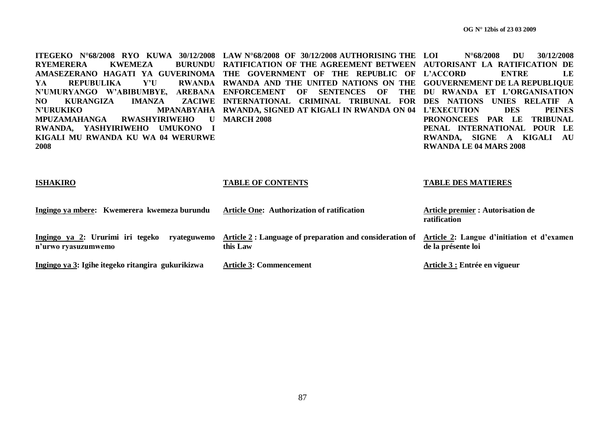**ITEGEKO N°68/2008 RYO KUWA 30/12/2008 LAW N°68/2008 OF 30/12/2008 AUTHORISING THE RYEMERERA KWEMEZA AMASEZERANO HAGATI YA GUVERINOMA THE GOVERNMENT OF THE REPUBLIC OF L'ACCORD ENTRE LE YA REPUBULIKA Y'U N'UMURYANGO W'ABIBUMBYE, AREBANA ENFORCEMENT OF SENTENCES OF THE DU RWANDA ET L'ORGANISATION NO KURANGIZA IMANZA N'URUKIKO MPANABYAHA RWANDA, SIGNED AT KIGALI IN RWANDA ON 04 L'EXECUTION DES PEINES MPUZAMAHANGA RWASHYIRIWEHO U MARCH 2008 RWANDA, YASHYIRIWEHO UMUKONO I KIGALI MU RWANDA KU WA 04 WERURWE 2008 RATIFICATION OF THE AGREEMENT BETWEEN AUTORISANT LA RATIFICATION DE RWANDA AND THE UNITED NATIONS ON THE GOUVERNEMENT DE LA REPUBLIQUE INTERNATIONAL CRIMINAL TRIBUNAL FOR DES NATIONS UNIES RELATIF A LOI N°68/2008 DU 30/12/2008 PRONONCEES PAR LE TRIBUNAL PENAL INTERNATIONAL POUR LE RWANDA, SIGNE A KIGALI AU RWANDA LE 04 MARS 2008** 

| <b>ISHAKIRO</b>                                                        | <b>TABLE OF CONTENTS</b>                                                                                       | <b>TABLE DES MATIERES</b>                         |
|------------------------------------------------------------------------|----------------------------------------------------------------------------------------------------------------|---------------------------------------------------|
| Ingingo ya mbere: Kwemerera kwemeza burundu                            | Article One: Authorization of ratification                                                                     | Article premier : Autorisation de<br>ratification |
| Ingingo ya 2: Ururimi iri tegeko<br>ryateguwemo<br>n'urwo ryasuzumwemo | Article 2: Language of preparation and consideration of Article 2: Langue d'initiation et d'examen<br>this Law | de la présente loi                                |
| Ingingo ya 3: Igihe itegeko ritangira gukurikizwa                      | <b>Article 3: Commencement</b>                                                                                 | Article 3 : Entrée en vigueur                     |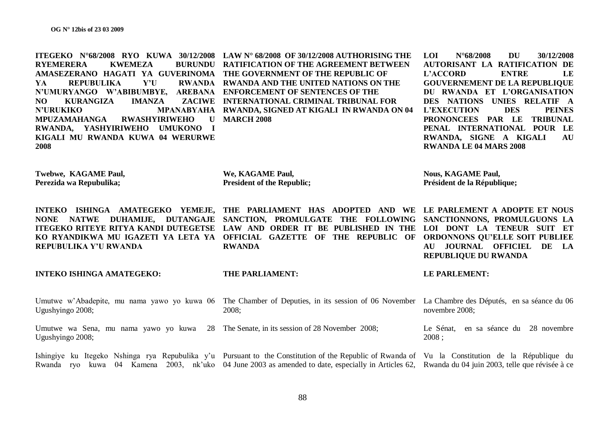**ITEGEKO N°68/2008 RYO KUWA 30/12/2008 LAW N° 68/2008 OF 30/12/2008 AUTHORISING THE RYEMERERA KWEMEZA AMASEZERANO HAGATI YA GUVERINOMA THE GOVERNMENT OF THE REPUBLIC OF YA REPUBULIKA Y'U N'UMURYANGO W'ABIBUMBYE, AREBANA ENFORCEMENT OF SENTENCES OF THE NO KURANGIZA IMANZA N'URUKIKO MPANABYAHA RWANDA, SIGNED AT KIGALI IN RWANDA ON 04 MPUZAMAHANGA RWASHYIRIWEHO U MARCH 2008 RWANDA, YASHYIRIWEHO UMUKONO I KIGALI MU RWANDA KUWA 04 WERURWE 2008 Twebwe, KAGAME Paul, Perezida wa Repubulika; INTEKO ISHINGA AMATEGEKO YEMEJE, THE PARLIAMENT HAS ADOPTED AND WE LE PARLEMENT A ADOPTE ET NOUS RURUNDU RATIFICATION OF THE AGREEMENT BETWEEN RWANDA AND THE UNITED NATIONS ON THE** *ZACIWE INTERNATIONAL CRIMINAL TRIBUNAL FOR* **We, KAGAME Paul, President of the Republic; LOI N°68/2008 DU 30/12/2008 AUTORISANT LA RATIFICATION DE L'ACCORD ENTRE LE GOUVERNEMENT DE LA REPUBLIQUE DU RWANDA ET L'ORGANISATION DES NATIONS UNIES RELATIF A L'EXECUTION DES PEINES PRONONCEES PAR LE TRIBUNAL PENAL INTERNATIONAL POUR LE RWANDA, SIGNE A KIGALI AU RWANDA LE 04 MARS 2008 Nous, KAGAME Paul, Président de la République;** 

**NONE NATWE DUHAMIJE, DUTANGAJE SANCTION, PROMULGATE THE FOLLOWING SANCTIONNONS, PROMULGUONS LA ITEGEKO RITEYE RITYA KANDI DUTEGETSE LAW AND ORDER IT BE PUBLISHED IN THE LOI DONT LA TENEUR SUIT ET KO RYANDIKWA MU IGAZETI YA LETA YA OFFICIAL GAZETTE OF THE REPUBLIC OF ORDONNONS QU'ELLE SOIT PUBLIEE REPUBULIKA Y'U RWANDA RWANDA AU JOURNAL OFFICIEL DE LA REPUBLIQUE DU RWANDA** 

**INTEKO ISHINGA AMATEGEKO:** Umutwe w'Abadepite, mu nama yawo yo kuwa 06 The Chamber of Deputies, in its session of 06 November La Chambre des Députés, en sa séance du 06 Ugushyingo 2008; Umutwe wa Sena, mu nama yawo yo kuwa 28 The Senate, in its session of 28 November 2008; Ugushyingo 2008; Ishingiye ku Itegeko Nshinga rya Repubulika y'u Pursuant to the Constitution of the Republic of Rwanda of Vu la Constitution de la République du Rwanda ryo kuwa 04 Kamena 2003, nk'uko 04 June 2003 as amended to date, especially in Articles 62, Rwanda du 04 juin 2003, telle que révisée à ce **THE PARLIAMENT:** 2008; **LE PARLEMENT:**  novembre 2008; Le Sénat, en sa séance du 28 novembre 2008 ;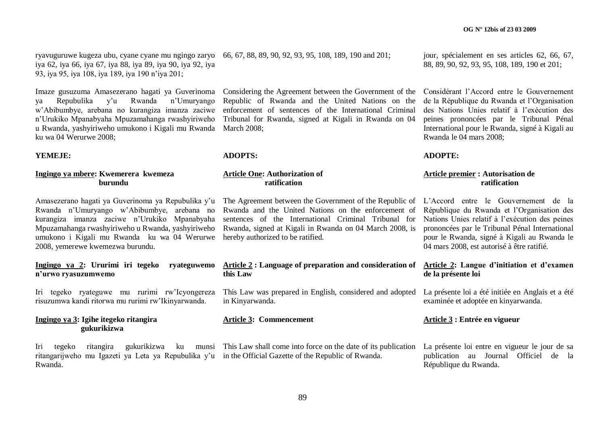ryavuguruwe kugeza ubu, cyane cyane mu ngingo zaryo 66, 67, 88, 89, 90, 92, 93, 95, 108, 189, 190 and 201; iya 62, iya 66, iya 67, iya 88, iya 89, iya 90, iya 92, iya 93, iya 95, iya 108, iya 189, iya 190 n"iya 201;

ya Repubulika y"u Rwanda n"Umuryango w"Abibumbye, arebana no kurangiza imanza zaciwe n"Urukiko Mpanabyaha Mpuzamahanga rwashyiriweho u Rwanda, yashyiriweho umukono i Kigali mu Rwanda ku wa 04 Werurwe 2008;

**YEMEJE:**

# **Ingingo ya mbere: Kwemerera kwemeza burundu**

Amasezerano hagati ya Guverinoma ya Repubulika y"u Rwanda n"Umuryango w"Abibumbye, arebana no kurangiza imanza zaciwe n"Urukiko Mpanabyaha Mpuzamahanga rwashyiriweho u Rwanda, yashyiriweho umukono i Kigali mu Rwanda ku wa 04 Werurwe 2008, yemerewe kwemezwa burundu.

#### **Ingingo ya 2: Ururimi iri tegeko ryateguwemo n'urwo ryasuzumwemo**

Iri tegeko ryateguwe mu rurimi rw"Icyongereza risuzumwa kandi ritorwa mu rurimi rw"Ikinyarwanda.

# **Ingingo ya 3: Igihe itegeko ritangira gukurikizwa**

ritangarijweho mu Igazeti ya Leta ya Repubulika y"u in the Official Gazette of the Republic of Rwanda. Rwanda.

Imaze gusuzuma Amasezerano hagati ya Guverinoma Considering the Agreement between the Government of the Republic of Rwanda and the United Nations on the enforcement of sentences of the International Criminal Tribunal for Rwanda, signed at Kigali in Rwanda on 04 March 2008;

#### **ADOPTS:**

#### **Article One: Authorization of ratification**

The Agreement between the Government of the Republic of Rwanda and the United Nations on the enforcement of sentences of the International Criminal Tribunal for Rwanda, signed at Kigali in Rwanda on 04 March 2008, is hereby authorized to be ratified.

#### **Article 2 : Language of preparation and consideration of this Law**

This Law was prepared in English, considered and adopted in Kinyarwanda.

## **Article 3: Commencement**

Iri tegeko ritangira gukurikizwa ku munsi This Law shall come into force on the date of its publication

jour, spécialement en ses articles 62, 66, 67, 88, 89, 90, 92, 93, 95, 108, 189, 190 et 201;

Considérant l"Accord entre le Gouvernement de la République du Rwanda et l"Organisation des Nations Unies relatif à l"exécution des peines prononcées par le Tribunal Pénal International pour le Rwanda, signé à Kigali au Rwanda le 04 mars 2008;

**ADOPTE:**

#### **Article premier : Autorisation de ratification**

L"Accord entre le Gouvernement de la République du Rwanda et l"Organisation des Nations Unies relatif à l"exécution des peines prononcées par le Tribunal Pénal International pour le Rwanda, signé à Kigali au Rwanda le 04 mars 2008, est autorisé à être ratifié.

#### **Article 2: Langue d'initiation et d'examen de la présente loi**

La présente loi a été initiée en Anglais et a été examinée et adoptée en kinyarwanda.

## **Article 3 : Entrée en vigueur**

La présente loi entre en vigueur le jour de sa publication au Journal Officiel de la République du Rwanda.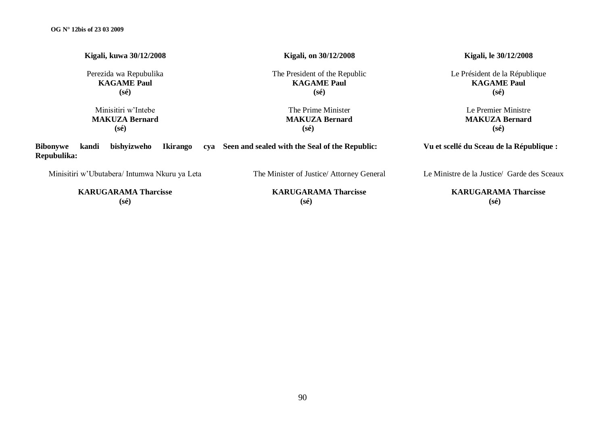| Kigali, kuwa 30/12/2008                                                          | Kigali, on 30/12/2008                                                 | Kigali, le 30/12/2008                                                 |
|----------------------------------------------------------------------------------|-----------------------------------------------------------------------|-----------------------------------------------------------------------|
| Perezida wa Repubulika<br><b>KAGAME Paul</b><br>(sé)                             | The President of the Republic<br><b>KAGAME Paul</b><br>$(s\acute{e})$ | Le Président de la République<br><b>KAGAME Paul</b><br>$(s\acute{e})$ |
| Minisitiri w'Intebe<br><b>MAKUZA Bernard</b><br>$(s\acute{e})$                   | The Prime Minister<br><b>MAKUZA Bernard</b><br>$(s\acute{e})$         | Le Premier Ministre<br><b>MAKUZA Bernard</b><br>$(s\acute{e})$        |
| bishyizweho<br><b>Ikirango</b><br><b>Bibonywe</b><br>kandi<br>cva<br>Repubulika: | Seen and sealed with the Seal of the Republic:                        | Vu et scellé du Sceau de la République :                              |
| Minisitiri w'Ubutabera/ Intumwa Nkuru ya Leta                                    | The Minister of Justice/Attorney General                              | Le Ministre de la Justice/ Garde des Sceaux                           |

**KARUGARAMA Tharcisse (sé)**

**KARUGARAMA Tharcisse (sé)**

**KARUGARAMA Tharcisse (sé)**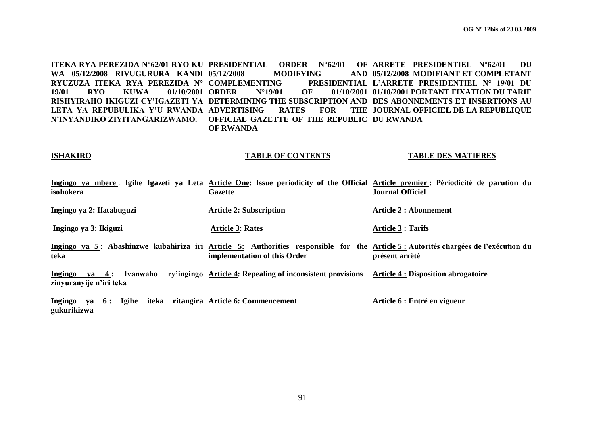**ITEKA RYA PEREZIDA N°62/01 RYO KU PRESIDENTIAL ORDER N°62/01 OF ARRETE PRESIDENTIEL N°62/01 DU WA 05/12/2008 RIVUGURURA KANDI RYUZUZA ITEKA RYA PEREZIDA N° COMPLEMENTING PRESIDENTIAL 19/01 RYO KUWA 01/10/2001 RISHYIRAHO IKIGUZI CY'IGAZETI YA DETERMINING THE SUBSCRIPTION AND DES ABONNEMENTS ET INSERTIONS AU LETA YA REPUBULIKA Y'U RWANDA N'INYANDIKO ZIYITANGARIZWAMO. OFFICIAL GAZETTE OF THE REPUBLIC DU RWANDA MODIFYING ORDER N°19/01 OF 01/10/2001 01/10/2001 PORTANT FIXATION DU TARIF RATES FOR OF RWANDA 05/12/2008 MODIFIANT ET COMPLETANT L'ARRETE PRESIDENTIEL N° 19/01 DU JOURNAL OFFICIEL DE LA REPUBLIQUE**

#### **ISHAKIRO**

#### **TABLE OF CONTENTS**

#### **TABLE DES MATIERES**

| isohokera                                                      | Gazette                                                    | Ingingo ya mbere: Igihe Igazeti ya Leta Article One: Issue periodicity of the Official Article premier: Périodicité de parution du<br><b>Journal Officiel</b> |
|----------------------------------------------------------------|------------------------------------------------------------|---------------------------------------------------------------------------------------------------------------------------------------------------------------|
| Ingingo ya 2: Ifatabuguzi                                      | <b>Article 2: Subscription</b>                             | <b>Article 2 : Abonnement</b>                                                                                                                                 |
| Ingingo ya 3: Ikiguzi                                          | <b>Article 3: Rates</b>                                    | <b>Article 3 : Tarifs</b>                                                                                                                                     |
| teka                                                           | implementation of this Order                               | Ingingo ya 5: Abashinzwe kubahiriza iri Article 5: Authorities responsible for the Article 5: Autorités chargées de l'exécution du<br>présent arrêté          |
| Ivanwaho<br>$va = 4$ :<br>Ingingo<br>zinyuranyije n'iri teka   | ry'ingingo Article 4: Repealing of inconsistent provisions | <b>Article 4 : Disposition abrogatoire</b>                                                                                                                    |
| ya 6: Igihe iteka ritangira Article 6: Commencement<br>Ingingo |                                                            | Article 6 : Entré en vigueur                                                                                                                                  |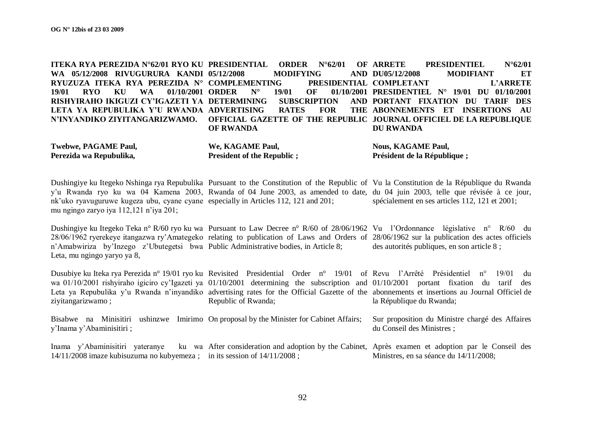**ITEKA RYA PEREZIDA N°62/01 RYO KU**  WA 05/12/2008 RIVUGURURA KANDI 05/12/2008 **RYUZUZA ITEKA RYA PEREZIDA N° COMPLEMENTING PRESIDENTIAL 19/01 RYO KU WA 01/10/2001 RISHYIRAHO IKIGUZI CY'IGAZETI YA**  LETA YA REPUBULIKA Y'U RWANDA ADVERTISING RATES FOR THE **N'INYANDIKO ZIYITANGARIZWAMO. OFFICIAL GAZETTE OF THE REPUBLIC JOURNAL OFFICIEL DE LA REPUBLIQUE PRIMER** N°62/01 **OF ARRETE 05/12/2008 MODIFYING AND ORDER N° 19/01 OF 01/10/2001 PRESIDENTIEL N° 19/01 DU 01/10/2001 SUBSCRIPTION OF RWANDA PRESIDENTIEL N°62/01 DU05/12/2008 MODIFIANT ET COMPLETANT L'ARRETE PORTANT FIXATION DU TARIF DES**  THE ABONNEMENTS ET INSERTIONS AU **DU RWANDA**

| <b>Twebwe, PAGAME Paul,</b> | We, KAGAME Paul,                   | <b>Nous, KAGAME Paul,</b>   |
|-----------------------------|------------------------------------|-----------------------------|
| Perezida wa Repubulika,     | <b>President of the Republic ;</b> | Président de la République; |

Dushingiye ku Itegeko Nshinga rya Repubulika Pursuant to the Constitution of the Republic of Vu la Constitution de la République du Rwanda y'u Rwanda ryo ku wa 04 Kamena 2003, Rwanda of 04 June 2003, as amended to date, du 04 juin 2003, telle que révisée à ce jour, nk"uko ryavuguruwe kugeza ubu, cyane cyane especially in Articles 112, 121 and 201; mu ngingo zaryo iya 112,121 n"iya 201; spécialement en ses articles 112, 121 et 2001;

Dushingiye ku Itegeko Teka n° R/60 ryo ku wa Pursuant to Law Decree n° R/60 of 28/06/1962 Vu l'Ordonnance législative n° R/60 du 28/06/1962 ryerekeye itangazwa ry"Amategeko relating to publication of Laws and Orders of 28/06/1962 sur la publication des actes officiels n"Amabwiriza by"Inzego z"Ubutegetsi bwa Public Administrative bodies, in Article 8; Leta, mu ngingo yaryo ya 8, des autorités publiques, en son article 8 ;

Dusubiye ku Iteka rya Perezida n° 19/01 ryo ku Revisited Presidential Order n° 19/01 of Revu l'Arrêté Présidentiel n° 19/01 du wa 01/10/2001 rishyiraho igiciro cy'Igazeti ya 01/10/2001 determining the subscription and 01/10/2001 portant fixation du tarif des Leta ya Repubulika y'u Rwanda n'inyandiko advertising rates for the Official Gazette of the abonnements et insertions au Journal Officiel de ziyitangarizwamo ; Republic of Rwanda; la République du Rwanda;

Bisabwe na Minisitiri ushinzwe Imirimo On proposal by the Minister for Cabinet Affairs; y"Inama y"Abaminisitiri ; Sur proposition du Ministre chargé des Affaires du Conseil des Ministres ;

Inama y'Abaminisitiri yateranye 14/11/2008 imaze kubisuzuma no kubyemeza ; in its session of 14/11/2008 ; After consideration and adoption by the Cabinet, Après examen et adoption par le Conseil des Ministres, en sa séance du 14/11/2008;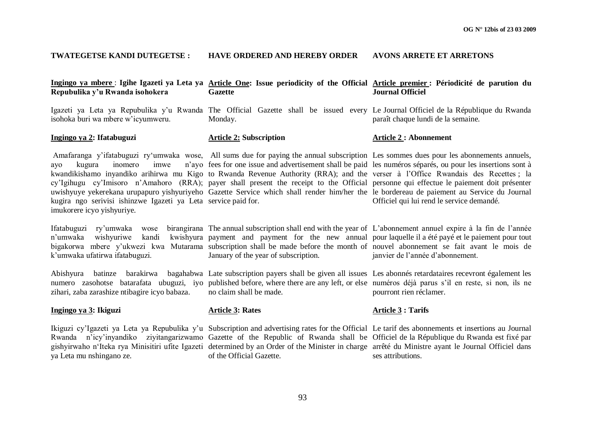#### **TWATEGETSE KANDI DUTEGETSE : HAVE ORDERED AND HEREBY ORDER AVONS ARRETE ET ARRETONS**

| Repubulika y'u Rwanda isohokera                                                                                                  | Ingingo ya mbere: Igihe Igazeti ya Leta ya Article One: Issue periodicity of the Official Article premier: Périodicité de parution du<br><b>Gazette</b>                                                                                                                                                                                                                                                                                                                                                                                                                                                                                                                          | <b>Journal Officiel</b>                   |
|----------------------------------------------------------------------------------------------------------------------------------|----------------------------------------------------------------------------------------------------------------------------------------------------------------------------------------------------------------------------------------------------------------------------------------------------------------------------------------------------------------------------------------------------------------------------------------------------------------------------------------------------------------------------------------------------------------------------------------------------------------------------------------------------------------------------------|-------------------------------------------|
| isohoka buri wa mbere w'icyumweru.                                                                                               | Igazeti ya Leta ya Repubulika y'u Rwanda The Official Gazette shall be issued every Le Journal Officiel de la République du Rwanda<br>Monday.                                                                                                                                                                                                                                                                                                                                                                                                                                                                                                                                    | paraît chaque lundi de la semaine.        |
| Ingingo ya 2: Ifatabuguzi                                                                                                        | <b>Article 2: Subscription</b>                                                                                                                                                                                                                                                                                                                                                                                                                                                                                                                                                                                                                                                   | <b>Article 2: Abonnement</b>              |
| inomero<br>imwe<br>kugura<br>avo<br>kugira ngo serivisi ishinzwe Igazeti ya Leta service paid for.<br>imukorere icyo yishyuriye. | Amafaranga y'ifatabuguzi ry'umwaka wose, All sums due for paying the annual subscription Les sommes dues pour les abonnements annuels,<br>n'ayo fees for one issue and advertisement shall be paid les numéros séparés, ou pour les insertions sont à<br>kwandikishamo inyandiko arihirwa mu Kigo to Rwanda Revenue Authority (RRA); and the verser à l'Office Rwandais des Recettes; la<br>cy'Igihugu cy'Imisoro n'Amahoro (RRA); payer shall present the receipt to the Official personne qui effectue le paiement doit présenter<br>uwishyuye yekerekana urupapuro yishyuriyeho Gazette Service which shall render him/her the le bordereau de paiement au Service du Journal | Officiel qui lui rend le service demandé. |
| Ifatabuguzi ry'umwaka<br>wose<br>n'umwaka<br>wishyuriwe<br>kandi<br>k'umwaka ufatirwa ifatabuguzi.                               | birangirana The annual subscription shall end with the year of L'abonnement annuel expire à la fin de l'année<br>kwishyura payment and payment for the new annual pour laquelle il a été payé et le paiement pour tout<br>bigakorwa mbere y'ukwezi kwa Mutarama subscription shall be made before the month of nouvel abonnement se fait avant le mois de<br>January of the year of subscription.                                                                                                                                                                                                                                                                                | janvier de l'année d'abonnement.          |
| Abishyura batinze barakirwa<br>zihari, zaba zarashize ntibagire icyo babaza.                                                     | bagahabwa Late subscription payers shall be given all issues Les abonnés retardataires recevront également les<br>numero zasohotse batarafata ubuguzi, iyo published before, where there are any left, or else numéros déjà parus s'il en reste, si non, ils ne<br>no claim shall be made.                                                                                                                                                                                                                                                                                                                                                                                       | pourront rien réclamer.                   |
| Ingingo ya 3: Ikiguzi                                                                                                            | <b>Article 3: Rates</b>                                                                                                                                                                                                                                                                                                                                                                                                                                                                                                                                                                                                                                                          | <b>Article 3: Tarifs</b>                  |
| ya Leta mu nshingano ze.                                                                                                         | Ikiguzi cy'Igazeti ya Leta ya Repubulika y'u Subscription and advertising rates for the Official Le tarif des abonnements et insertions au Journal<br>Rwanda n'icy'inyandiko ziyitangarizwamo Gazette of the Republic of Rwanda shall be Officiel de la République du Rwanda est fixé par<br>gishyirwaho n'Iteka rya Minisitiri ufite Igazeti determined by an Order of the Minister in charge arrêté du Ministre ayant le Journal Officiel dans<br>of the Official Gazette.                                                                                                                                                                                                     | ses attributions.                         |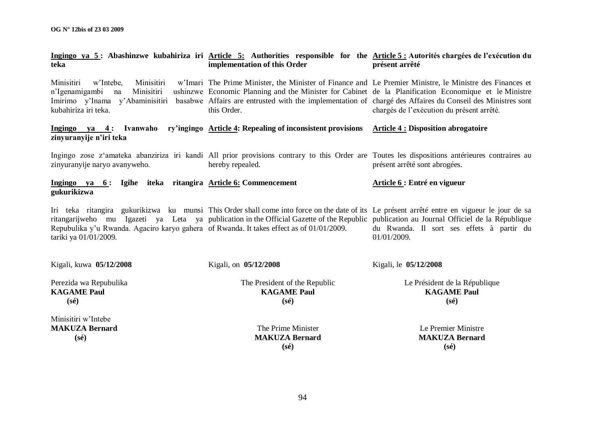| teka                                                                                                              | Ingingo ya 5: Abashinzwe kubahiriza iri Article 5: Authorities responsible for the Article 5: Autorités chargées de l'exécution du<br>implementation of this Order                                                                                                                                                                                                             | présent arrêté                                                        |
|-------------------------------------------------------------------------------------------------------------------|--------------------------------------------------------------------------------------------------------------------------------------------------------------------------------------------------------------------------------------------------------------------------------------------------------------------------------------------------------------------------------|-----------------------------------------------------------------------|
| Minisitiri<br>Minisitiri<br>w'Intebe,<br>n'Igenamigambi<br>Minisitiri<br>na<br>kubahiriza iri teka.               | w'Imari The Prime Minister, the Minister of Finance and Le Premier Ministre, le Ministre des Finances et<br>ushinzwe Economic Planning and the Minister for Cabinet de la Planification Economique et le Ministre<br>Imirimo y'Inama y'Abaminisitiri basabwe Affairs are entrusted with the implementation of chargé des Affaires du Conseil des Ministres sont<br>this Order. | chargés de l'exécution du présent arrêté.                             |
| Ingingo ya 4:<br>Ivanwaho<br>zinyuranyije n'iri teka                                                              | ry'ingingo Article 4: Repealing of inconsistent provisions Article 4 : Disposition abrogatoire                                                                                                                                                                                                                                                                                 |                                                                       |
| zinyuranyije naryo avanyweho.                                                                                     | Ingingo zose z'amateka abanziriza iri kandi All prior provisions contrary to this Order are Toutes les dispositions antérieures contraires au<br>hereby repealed.                                                                                                                                                                                                              | présent arrêté sont abrogées.                                         |
| Ingingo ya 6: Igihe iteka ritangira Article 6: Commencement<br>gukurikizwa                                        |                                                                                                                                                                                                                                                                                                                                                                                | Article 6 : Entré en vigueur                                          |
| Repubulika y'u Rwanda. Agaciro karyo gahera of Rwanda. It takes effect as of 01/01/2009.<br>tariki ya 01/01/2009. | Iri teka ritangira gukurikizwa ku munsi This Order shall come into force on the date of its Le présent arrêté entre en vigueur le jour de sa<br>ritangarijweho mu Igazeti ya Leta ya publication in the Official Gazette of the Republic publication au Journal Officiel de la République                                                                                      | du Rwanda. Il sort ses effets à partir du<br>01/01/2009.              |
| Kigali, kuwa 05/12/2008                                                                                           | Kigali, on 05/12/2008                                                                                                                                                                                                                                                                                                                                                          | Kigali, le 05/12/2008                                                 |
| Perezida wa Repubulika<br><b>KAGAME Paul</b><br>$(s\acute{e})$                                                    | The President of the Republic<br><b>KAGAME Paul</b><br>$(s\acute{e})$                                                                                                                                                                                                                                                                                                          | Le Président de la République<br><b>KAGAME Paul</b><br>$(s\acute{e})$ |
| Minisitiri w'Intebe<br><b>MAKUZA Bernard</b><br>$(s\acute{e})$                                                    | The Prime Minister<br><b>MAKUZA Bernard</b><br>$(s\acute{e})$                                                                                                                                                                                                                                                                                                                  | Le Premier Ministre<br><b>MAKUZA Bernard</b><br>$(s\acute{e})$        |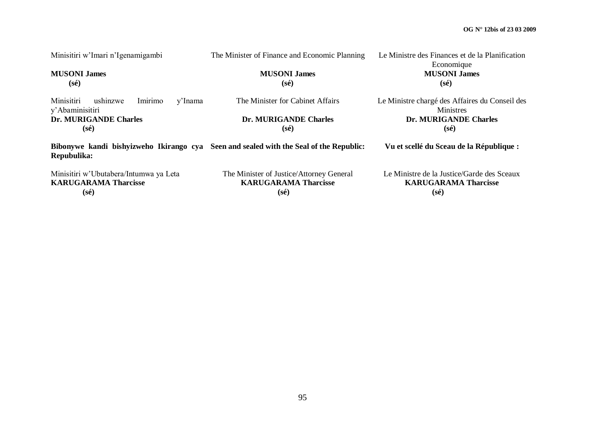| Minisitiri w'Imari n'Igenamigambi                               | The Minister of Finance and Economic Planning                                          | Le Ministre des Finances et de la Planification<br>Economique      |
|-----------------------------------------------------------------|----------------------------------------------------------------------------------------|--------------------------------------------------------------------|
| <b>MUSONI James</b>                                             | <b>MUSONI James</b>                                                                    | <b>MUSONI James</b>                                                |
| $(s\acute{e})$                                                  | $(s\acute{e})$                                                                         | $(s\acute{e})$                                                     |
| Minisitiri<br>Imirimo<br>ushinzwe<br>y'Inama<br>y'Abaminisitiri | The Minister for Cabinet Affairs                                                       | Le Ministre chargé des Affaires du Conseil des<br><b>Ministres</b> |
| Dr. MURIGANDE Charles                                           | Dr. MURIGANDE Charles                                                                  | Dr. MURIGANDE Charles                                              |
| (sé)                                                            | (sé)                                                                                   | $(s\acute{e})$                                                     |
| Repubulika:                                                     | Bibonywe kandi bishyizweho Ikirango cya Seen and sealed with the Seal of the Republic: | Vu et scellé du Sceau de la République :                           |
| Minisitiri w'Ubutabera/Intumwa ya Leta                          | The Minister of Justice/Attorney General                                               | Le Ministre de la Justice/Garde des Sceaux                         |
| <b>KARUGARAMA Tharcisse</b>                                     | <b>KARUGARAMA Tharcisse</b>                                                            | <b>KARUGARAMA Tharcisse</b>                                        |
| (sé)                                                            | $(s\acute{e})$                                                                         | (sé)                                                               |

 **(sé)**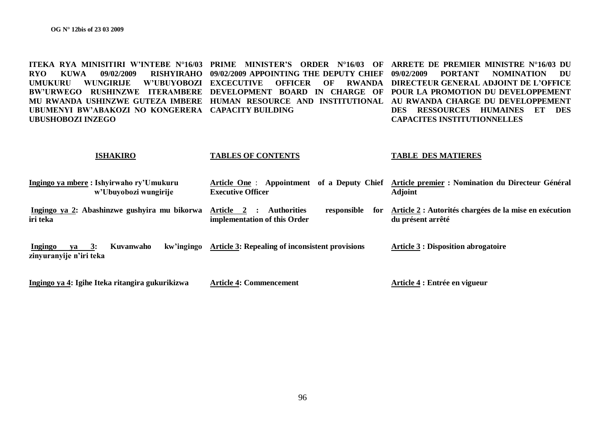**ITEKA RYA MINISITIRI W'INTEBE N°16/03 PRIME MINISTER'S ORDER N°16/03 OF ARRETE DE PREMIER MINISTRE N°16/03 DU RYO KUWA 09/02/2009 RISHYIRAHO 09/02/2009 APPOINTING THE DEPUTY CHIEF UMUKURU WUNGIRIJE W'UBUYOBOZI**  BW'URWEGO RUSHINZWE ITERAMBERE DEVELOPMENT BOARD IN CHARGE OF POUR LA PROMOTION DU DEVELOPPEMENT **MU RWANDA USHINZWE GUTEZA IMBERE HUMAN RESOURCE AND INSTITUTIONAL AU RWANDA CHARGE DU DEVELOPPEMENT UBUMENYI BW'ABAKOZI NO KONGERERA CAPACITY BUILDING UBUSHOBOZI INZEGO EXCECUTIVE OFFICER OF RWANDA DIRECTEUR GENERAL ADJOINT DE L'OFFICE 09/02/2009 PORTANT NOMINATION DU DES RESSOURCES HUMAINES ET DES CAPACITES INSTITUTIONNELLES**

#### **ISHAKIRO Ingingo ya mbere : Ishyirwaho ry'Umukuru w'Ubuyobozi wungirije TABLES OF CONTENTS Article One** : **Appointment of a Deputy Chief Article premier : Nomination du Directeur Général Executive Officer TABLE DES MATIERES Adjoint**

**Ingingo ya 2: Abashinzwe gushyira mu bikorwa iri teka Article 2 : Authorities responsible for implementation of this Order Article 2 : Autorités chargées de la mise en exécution du présent arrêté**

**Ingingo ya 3: Kuvanwaho kw'ingingo zinyuranyije n'iri teka Article 3: Repealing of inconsistent provisions Article 3 : Disposition abrogatoire**

**Ingingo ya 4: Igihe Iteka ritangira gukurikizwa**

**Article 4: Commencement**

**Article 4 : Entrée en vigueur**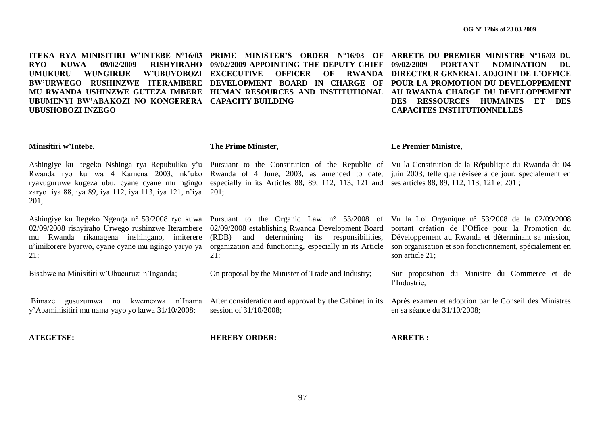**ITEKA RYA MINISITIRI W'INTEBE N°16/03 PRIME MINISTER'S ORDER N°16/03 OF ARRETE DU PREMIER MINISTRE N°16/03 DU RYO KUWA 09/02/2009 RISHYIRAHO UMUKURU WUNGIRIJE W'UBUYOBOZI**  BW'URWEGO RUSHINZWE ITERAMBERE DEVELOPMENT BOARD IN CHARGE OF POUR LA PROMOTION DU DEVELOPPEMENT **MU RWANDA USHINZWE GUTEZA IMBERE HUMAN RESOURCES AND INSTITUTIONAL AU RWANDA CHARGE DU DEVELOPPEMENT UBUMENYI BW'ABAKOZI NO KONGERERA CAPACITY BUILDING UBUSHOBOZI INZEGO 09/02/2009 APPOINTING THE DEPUTY CHIEF OFFICER OF 09/02/2009 PORTANT NOMINATION DU RWANDA DIRECTEUR GENERAL ADJOINT DE L'OFFICE DES RESSOURCES HUMAINES ET DES CAPACITES INSTITUTIONNELLES**

#### **Minisitiri w'Intebe,**

**The Prime Minister,**

**Le Premier Ministre,**

especially in its Articles 88, 89, 112, 113, 121 and ses articles 88, 89, 112, 113, 121 et 201 ;

Ashingiye ku Itegeko Nshinga rya Repubulika y'u Pursuant to the Constitution of the Republic of Vu la Constitution de la République du Rwanda du 04 Rwanda ryo ku wa 4 Kamena 2003, nk'uko Rwanda of 4 June, 2003, as amended to date, juin 2003, telle que révisée à ce jour, spécialement en ryavuguruwe kugeza ubu, cyane cyane mu ngingo zaryo iya 88, iya 89, iya 112, iya 113, iya 121, n"iya 201; 201;

02/09/2008 rishyiraho Urwego rushinzwe Iterambere mu Rwanda rikanagena inshingano, imiterere n"imikorere byarwo, cyane cyane mu ngingo yaryo ya 21;

Bisabwe na Minisitiri w"Ubucuruzi n"Inganda;

(RDB) and determining its responsibilities,  $21:$ 

On proposal by the Minister of Trade and Industry;

Ashingiye ku Itegeko Ngenga n° 53/2008 ryo kuwa Pursuant to the Organic Law n° 53/2008 of Vu la Loi Organique n° 53/2008 de la 02/09/2008 02/09/2008 establishing Rwanda Development Board portant création de l"Office pour la Promotion du organization and functioning, especially in its Article son organisation et son fonctionnement, spécialement en Développement au Rwanda et déterminant sa mission, son article 21;

> Sur proposition du Ministre du Commerce et de l"Industrie;

Bimaze gusuzumwa no kwemezwa n"Inama y"Abaminisitiri mu nama yayo yo kuwa 31/10/2008; After consideration and approval by the Cabinet in its session of 31/10/2008; Après examen et adoption par le Conseil des Ministres en sa séance du 31/10/2008;

**ATEGETSE:**

**HEREBY ORDER:**

**ARRETE :**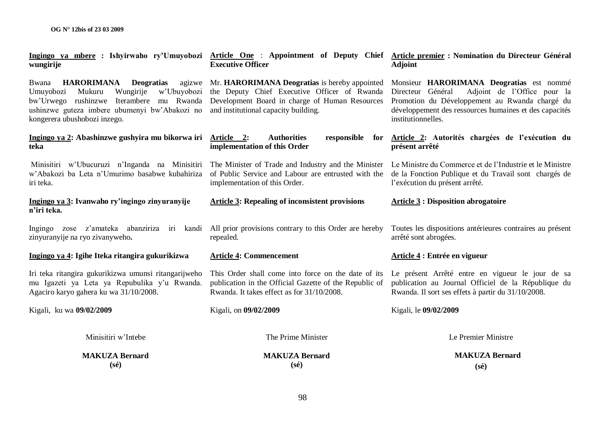| wungirije                                                                                                                                                                                                                                 | <b>Executive Officer</b>                                                                                                                                                                | Ingingo ya mbere : Ishyirwaho ry'Umuyobozi Article One : Appointment of Deputy Chief Article premier : Nomination du Directeur Général<br><b>Adjoint</b>                                                                       |
|-------------------------------------------------------------------------------------------------------------------------------------------------------------------------------------------------------------------------------------------|-----------------------------------------------------------------------------------------------------------------------------------------------------------------------------------------|--------------------------------------------------------------------------------------------------------------------------------------------------------------------------------------------------------------------------------|
| <b>HARORIMANA</b><br><b>Deogratias</b><br>agizwe<br>Bwana<br>Mukuru<br>Wungirije<br>w'Ubuyobozi<br>Umuyobozi<br>bw'Urwego rushinzwe Iterambere mu Rwanda<br>ushinzwe guteza imbere ubumenyi bw'Abakozi no<br>kongerera ubushobozi inzego. | Mr. HARORIMANA Deogratias is hereby appointed<br>the Deputy Chief Executive Officer of Rwanda<br>Development Board in charge of Human Resources<br>and institutional capacity building. | Monsieur HARORIMANA Deogratias est nommé<br>Directeur Général<br>Adjoint de l'Office pour la<br>Promotion du Développement au Rwanda chargé du<br>développement des ressources humaines et des capacités<br>institutionnelles. |
| Ingingo ya 2: Abashinzwe gushyira mu bikorwa iri<br>teka                                                                                                                                                                                  | Article 2:<br><b>Authorities</b><br>responsible<br>for<br>implementation of this Order                                                                                                  | Article 2: Autorités chargées de l'exécution du<br>présent arrêté                                                                                                                                                              |
| Minisitiri w'Ubucuruzi n'Inganda na Minisitiri<br>w'Abakozi ba Leta n'Umurimo basabwe kubahiriza<br>iri teka.                                                                                                                             | The Minister of Trade and Industry and the Minister<br>of Public Service and Labour are entrusted with the<br>implementation of this Order.                                             | Le Ministre du Commerce et de l'Industrie et le Ministre<br>de la Fonction Publique et du Travail sont chargés de<br>l'exécution du présent arrêté.                                                                            |
| Ingingo ya 3: Ivanwaho ry'ingingo zinyuranyije<br>n'iri teka.                                                                                                                                                                             | <b>Article 3: Repealing of inconsistent provisions</b>                                                                                                                                  | <b>Article 3 : Disposition abrogatoire</b>                                                                                                                                                                                     |
| Ingingo zose z'amateka abanziriza iri<br>kandi<br>zinyuranyije na ryo zivanyweho.                                                                                                                                                         | All prior provisions contrary to this Order are hereby<br>repealed.                                                                                                                     | Toutes les dispositions antérieures contraires au présent<br>arrêté sont abrogées.                                                                                                                                             |
| Ingingo ya 4: Igihe Iteka ritangira gukurikizwa                                                                                                                                                                                           | <b>Article 4: Commencement</b>                                                                                                                                                          | Article 4 : Entrée en vigueur                                                                                                                                                                                                  |
| Iri teka ritangira gukurikizwa umunsi ritangarijweho<br>mu Igazeti ya Leta ya Repubulika y'u Rwanda.<br>Agaciro karyo gahera ku wa 31/10/2008.                                                                                            | This Order shall come into force on the date of its<br>publication in the Official Gazette of the Republic of<br>Rwanda. It takes effect as for 31/10/2008.                             | Le présent Arrêté entre en vigueur le jour de sa<br>publication au Journal Officiel de la République du<br>Rwanda. Il sort ses effets à partir du 31/10/2008.                                                                  |
| Kigali, ku wa 09/02/2009                                                                                                                                                                                                                  | Kigali, on 09/02/2009                                                                                                                                                                   | Kigali, le 09/02/2009                                                                                                                                                                                                          |
| Minisitiri w'Intebe                                                                                                                                                                                                                       | The Prime Minister                                                                                                                                                                      | Le Premier Ministre                                                                                                                                                                                                            |
| <b>MAKUZA Bernard</b><br>$(s\acute{e})$                                                                                                                                                                                                   | <b>MAKUZA Bernard</b><br>$(s\acute{e})$                                                                                                                                                 | <b>MAKUZA Bernard</b><br>$(s\acute{e})$                                                                                                                                                                                        |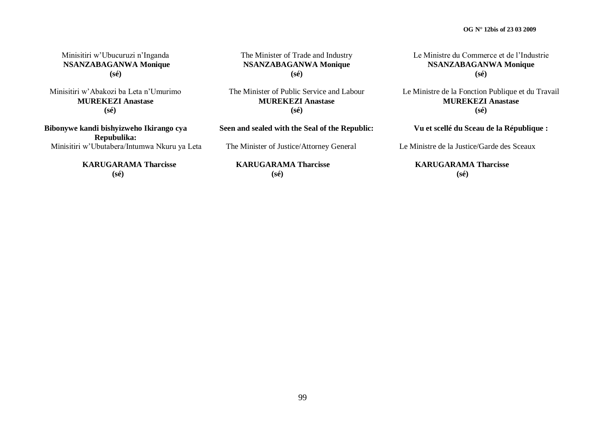Minisitiri w"Ubucuruzi n"Inganda **NSANZABAGANWA Monique (sé)**

Minisitiri w"Abakozi ba Leta n"Umurimo **MUREKEZI Anastase (sé)**

**Bibonywe kandi bishyizweho Ikirango cya Repubulika:** Minisitiri w"Ubutabera/Intumwa Nkuru ya Leta

> **KARUGARAMA Tharcisse (sé)**

The Minister of Trade and Industry **NSANZABAGANWA Monique (sé)**

The Minister of Public Service and Labour **MUREKEZI Anastase (sé)**

**Seen and sealed with the Seal of the Republic:**

The Minister of Justice/Attorney General

 **KARUGARAMA Tharcisse (sé)**

Le Ministre du Commerce et de l"Industrie **NSANZABAGANWA Monique (sé)**

Le Ministre de la Fonction Publique et du Travail **MUREKEZI Anastase (sé)**

**Vu et scellé du Sceau de la République :**

Le Ministre de la Justice/Garde des Sceaux

 **KARUGARAMA Tharcisse (sé)**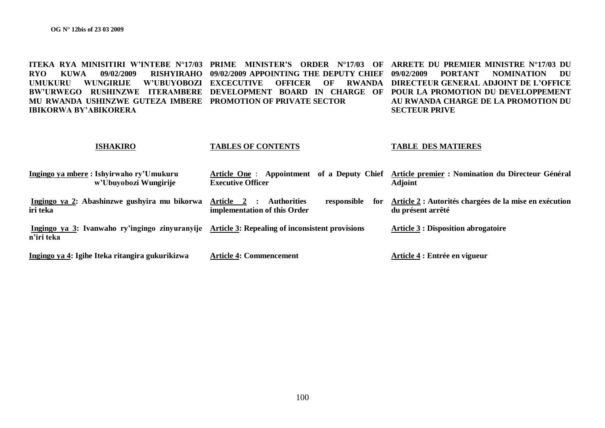**ITEKA RYA MINISITIRI W'INTEBE N°17/03 PRIME MINISTER'S ORDER N°17/03 OF ARRETE DU PREMIER MINISTRE N°17/03 DU RYO KUWA 09/02/2009 RISHYIRAHO 09/02/2009 APPOINTING THE DEPUTY CHIEF UMUKURU WUNGIRIJE W'UBUYOBOZI**  BW'URWEGO RUSHINZWE ITERAMBERE DEVELOPMENT BOARD IN CHARGE OF POUR LA PROMOTION DU DEVELOPPEMENT **MU RWANDA USHINZWE GUTEZA IMBERE PROMOTION OF PRIVATE SECTOR IBIKORWA BY'ABIKORERA EXCECUTIVE OFFICER OF RWANDA DIRECTEUR GENERAL ADJOINT DE L'OFFICE 09/02/2009 PORTANT NOMINATION DU AU RWANDA CHARGE DE LA PROMOTION DU SECTEUR PRIVE**

#### **ISHAKIRO Ingingo ya mbere : Ishyirwaho ry'Umukuru w'Ubuyobozi Wungirije Ingingo ya 2: Abashinzwe gushyira mu bikorwa iri teka Ingingo ya 3: Ivanwaho ry'ingingo zinyuranyije Article 3: Repealing of inconsistent provisions n'iri teka Ingingo ya 4: Igihe Iteka ritangira gukurikizwa TABLES OF CONTENTS Article One** : **Appointment of a Deputy Chief Article premier : Nomination du Directeur Général Executive Officer Article 2 : Authorities responsible for implementation of this Order Article 4: Commencement TABLE DES MATIERES Adjoint Article 2 : Autorités chargées de la mise en exécution du présent arrêté Article 3 : Disposition abrogatoire Article 4 : Entrée en vigueur**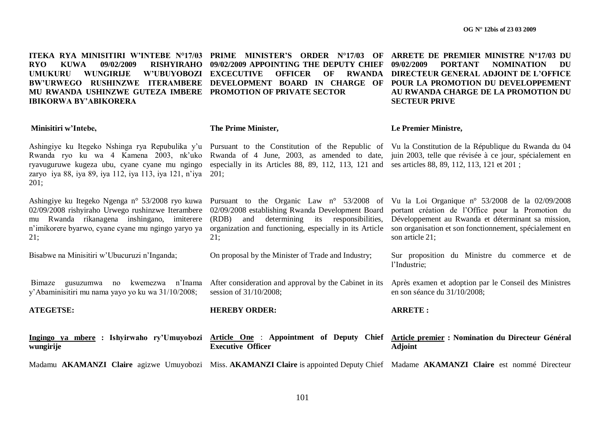**ITEKA RYA MINISITIRI W'INTEBE N°17/03 PRIME MINISTER'S ORDER N°17/03 OF ARRETE DE PREMIER MINISTRE N°17/03 DU RYO KUWA 09/02/2009 RISHYIRAHO 09/02/2009 APPOINTING THE DEPUTY CHIEF UMUKURU WUNGIRIJE W'UBUYOBOZI**  BW'URWEGO RUSHINZWE ITERAMBERE DEVELOPMENT BOARD IN CHARGE OF POUR LA PROMOTION DU DEVELOPPEMENT **MU RWANDA USHINZWE GUTEZA IMBERE PROMOTION OF PRIVATE SECTOR IBIKORWA BY'ABIKORERA Minisitiri w'Intebe,** Ashingiye ku Itegeko Nshinga rya Repubulika y'u Pursuant to the Constitution of the Republic of Vu la Constitution de la République du Rwanda du 04 Rwanda ryo ku wa 4 Kamena 2003, nk"uko ryavuguruwe kugeza ubu, cyane cyane mu ngingo especially in its Articles 88, 89, 112, 113, 121 and ses articles 88, 89, 112, 113, 121 et 201; zaryo iya 88, iya 89, iya 112, iya 113, iya 121, n"iya 201; 201; Ashingiye ku Itegeko Ngenga n° 53/2008 ryo kuwa 02/09/2008 rishyiraho Urwego rushinzwe Iterambere mu Rwanda rikanagena inshingano, imiterere n"imikorere byarwo, cyane cyane mu ngingo yaryo ya 21; Bisabwe na Minisitiri w"Ubucuruzi n"Inganda; Bimaze gusuzumwa no kwemezwa n"Inama y"Abaminisitiri mu nama yayo yo ku wa 31/10/2008; **ATEGETSE: Ingingo ya mbere : Ishyirwaho ry'Umuyobozi Article One** : **Appointment of Deputy Chief Article premier : Nomination du Directeur Général wungirije** Madamu AKAMANZI Claire agizwe Umuyobozi Miss. AKAMANZI Claire is appointed Deputy Chief Madame AKAMANZI Claire est nommé Directeur **OFFICER OF The Prime Minister,** Rwanda of 4 June, 2003, as amended to date, juin 2003, telle que révisée à ce jour, spécialement en Pursuant to the Organic Law n° 53/2008 of Vu la Loi Organique n° 53/2008 de la 02/09/2008 02/09/2008 establishing Rwanda Development Board (RDB) and determining its responsibilities, organization and functioning, especially in its Article son organisation et son fonctionnement, spécialement en 21; On proposal by the Minister of Trade and Industry; After consideration and approval by the Cabinet in its session of 31/10/2008; **HEREBY ORDER: Executive Officer 09/02/2009 PORTANT NOMINATION DU RWANDA DIRECTEUR GENERAL ADJOINT DE L'OFFICE AU RWANDA CHARGE DE LA PROMOTION DU SECTEUR PRIVE Le Premier Ministre,** portant création de l"Office pour la Promotion du Développement au Rwanda et déterminant sa mission, son article 21; Sur proposition du Ministre du commerce et de l"Industrie; Après examen et adoption par le Conseil des Ministres en son séance du 31/10/2008; **ARRETE : Adjoint**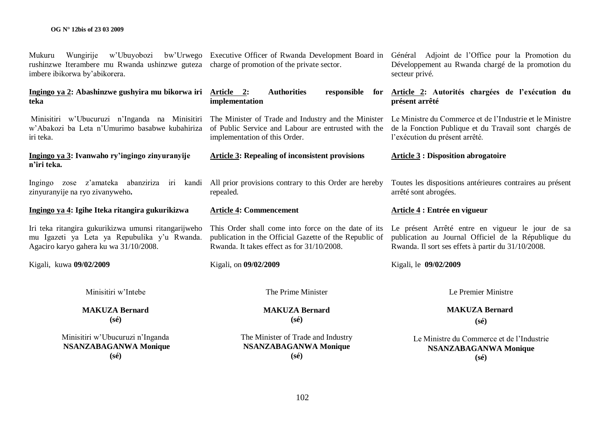| Minisitiri w'Ubucuruzi n'Inganda<br><b>NSANZABAGANWA Monique</b><br>$(s\acute{e})$                                                             | The Minister of Trade and Industry<br><b>NSANZABAGANWA Monique</b><br>$(s\acute{e})$                                                                        | Le Ministre du Commerce et de l'Industrie<br><b>NSANZABAGANWA Monique</b><br>$(s\acute{e})$                                                                                                              |
|------------------------------------------------------------------------------------------------------------------------------------------------|-------------------------------------------------------------------------------------------------------------------------------------------------------------|----------------------------------------------------------------------------------------------------------------------------------------------------------------------------------------------------------|
| $(s\acute{e})$                                                                                                                                 | $(s\acute{e})$                                                                                                                                              | $(s\acute{e})$                                                                                                                                                                                           |
| <b>MAKUZA Bernard</b>                                                                                                                          | <b>MAKUZA Bernard</b>                                                                                                                                       | <b>MAKUZA Bernard</b>                                                                                                                                                                                    |
| Minisitiri w'Intebe                                                                                                                            | The Prime Minister                                                                                                                                          | Le Premier Ministre                                                                                                                                                                                      |
| Kigali, kuwa 09/02/2009                                                                                                                        | Kigali, on 09/02/2009                                                                                                                                       | Kigali, le 09/02/2009                                                                                                                                                                                    |
| Iri teka ritangira gukurikizwa umunsi ritangarijweho<br>mu Igazeti ya Leta ya Repubulika y'u Rwanda.<br>Agaciro karyo gahera ku wa 31/10/2008. | This Order shall come into force on the date of its<br>publication in the Official Gazette of the Republic of<br>Rwanda. It takes effect as for 31/10/2008. | Le présent Arrêté entre en vigueur le jour de sa<br>publication au Journal Officiel de la République du<br>Rwanda. Il sort ses effets à partir du 31/10/2008.                                            |
| Ingingo ya 4: Igihe Iteka ritangira gukurikizwa                                                                                                | <b>Article 4: Commencement</b>                                                                                                                              | Article 4 : Entrée en vigueur                                                                                                                                                                            |
| Ingingo zose z'amateka abanziriza iri<br>kandi<br>zinyuranyije na ryo zivanyweho.                                                              | All prior provisions contrary to this Order are hereby<br>repealed.                                                                                         | Toutes les dispositions antérieures contraires au présent<br>arrêté sont abrogées.                                                                                                                       |
| Ingingo ya 3: Ivanwaho ry'ingingo zinyuranyije<br>n'iri teka.                                                                                  | <b>Article 3: Repealing of inconsistent provisions</b>                                                                                                      | <b>Article 3: Disposition abrogatoire</b>                                                                                                                                                                |
| Minisitiri w'Ubucuruzi n'Inganda na Minisitiri<br>w'Abakozi ba Leta n'Umurimo basabwe kubahiriza<br>iri teka.                                  | The Minister of Trade and Industry and the Minister<br>of Public Service and Labour are entrusted with the<br>implementation of this Order.                 | Le Ministre du Commerce et de l'Industrie et le Ministre<br>de la Fonction Publique et du Travail sont chargés de<br>l'exécution du présent arrêté.                                                      |
| Ingingo ya 2: Abashinzwe gushyira mu bikorwa iri<br>teka                                                                                       | <b>Authorities</b><br>responsible<br><u>Article 2:</u><br>for<br>implementation                                                                             | Article 2: Autorités chargées de l'exécution du<br>présent arrêté                                                                                                                                        |
| Mukuru<br>rushinzwe Iterambere mu Rwanda ushinzwe guteza charge of promotion of the private sector.<br>imbere ibikorwa by'abikorera.           |                                                                                                                                                             | Wungirije w'Ubuyobozi bw'Urwego Executive Officer of Rwanda Development Board in Général Adjoint de l'Office pour la Promotion du<br>Développement au Rwanda chargé de la promotion du<br>secteur privé. |